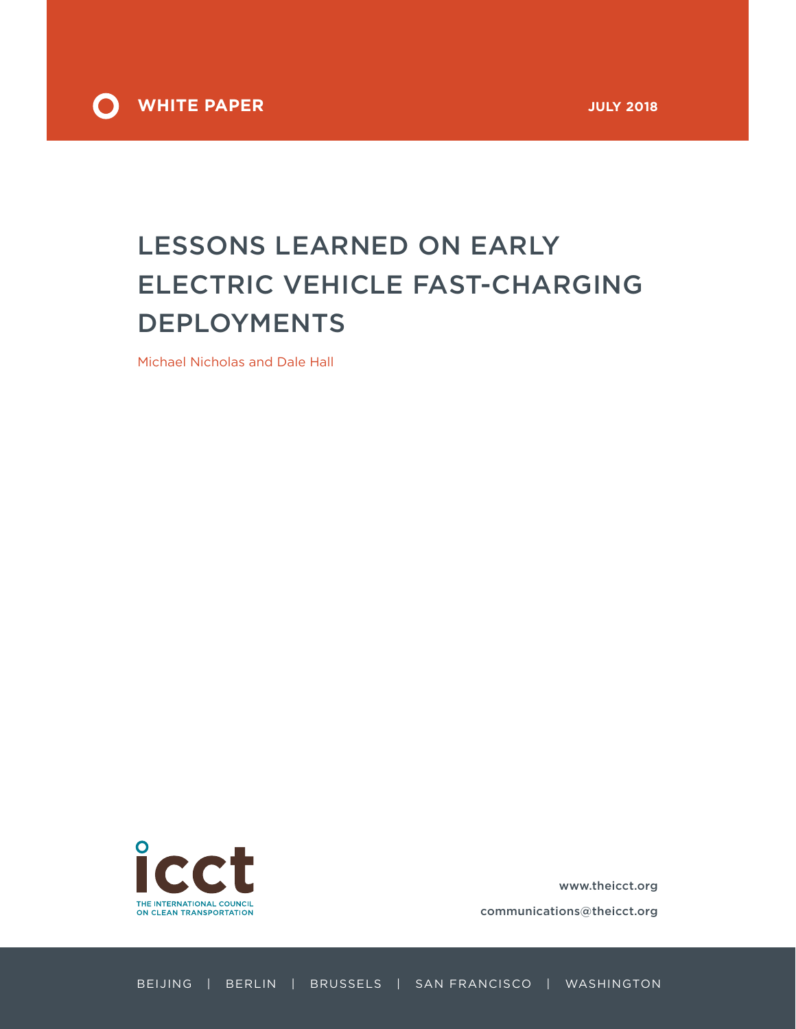

# LESSONS LEARNED ON EARLY ELECTRIC VEHICLE FAST-CHARGING DEPLOYMENTS

Michael Nicholas and Dale Hall



[www.theicct.org](http://www.theicct.org)

[communications@theicct.org](mailto:communications%40theicct.org%20%20%20%20?subject=)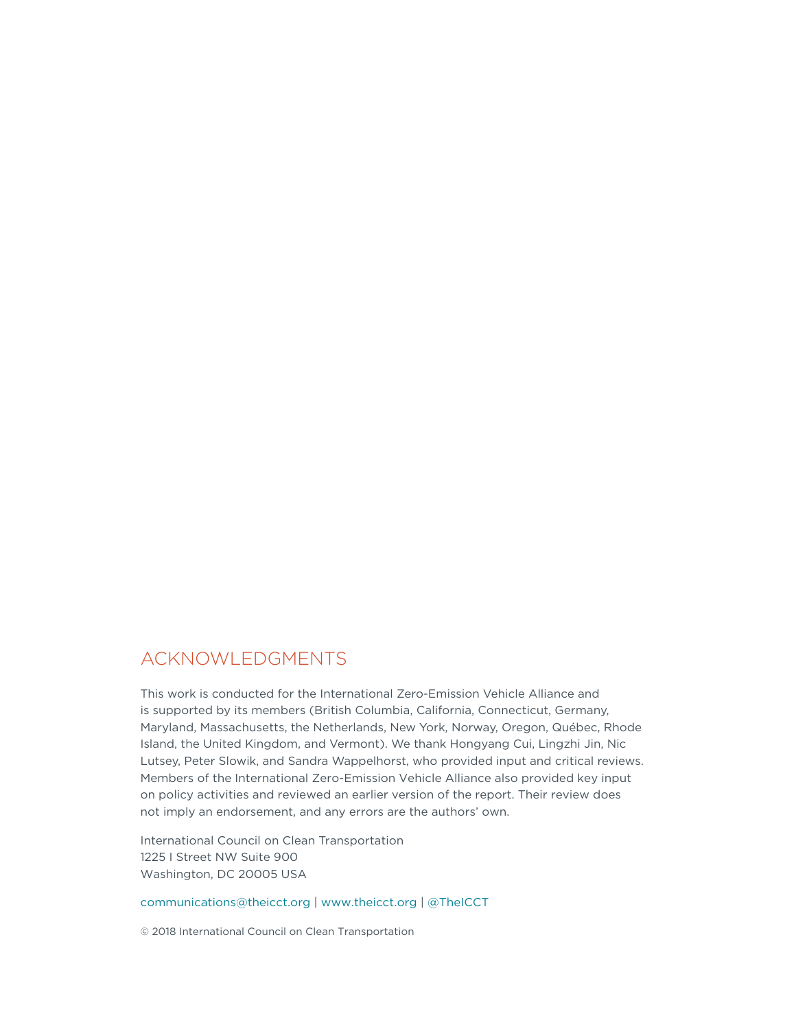### ACKNOWLEDGMENTS

This work is conducted for the International Zero-Emission Vehicle Alliance and is supported by its members (British Columbia, California, Connecticut, Germany, Maryland, Massachusetts, the Netherlands, New York, Norway, Oregon, Québec, Rhode Island, the United Kingdom, and Vermont). We thank Hongyang Cui, Lingzhi Jin, Nic Lutsey, Peter Slowik, and Sandra Wappelhorst, who provided input and critical reviews. Members of the International Zero-Emission Vehicle Alliance also provided key input on policy activities and reviewed an earlier version of the report. Their review does not imply an endorsement, and any errors are the authors' own.

International Council on Clean Transportation 1225 I Street NW Suite 900 Washington, DC 20005 USA

[communications@theicct.org](mailto:communications%40theicct.org?subject=) |<www.theicct.org>| [@TheICCT](https://twitter.com/TheICCT)

© 2018 International Council on Clean Transportation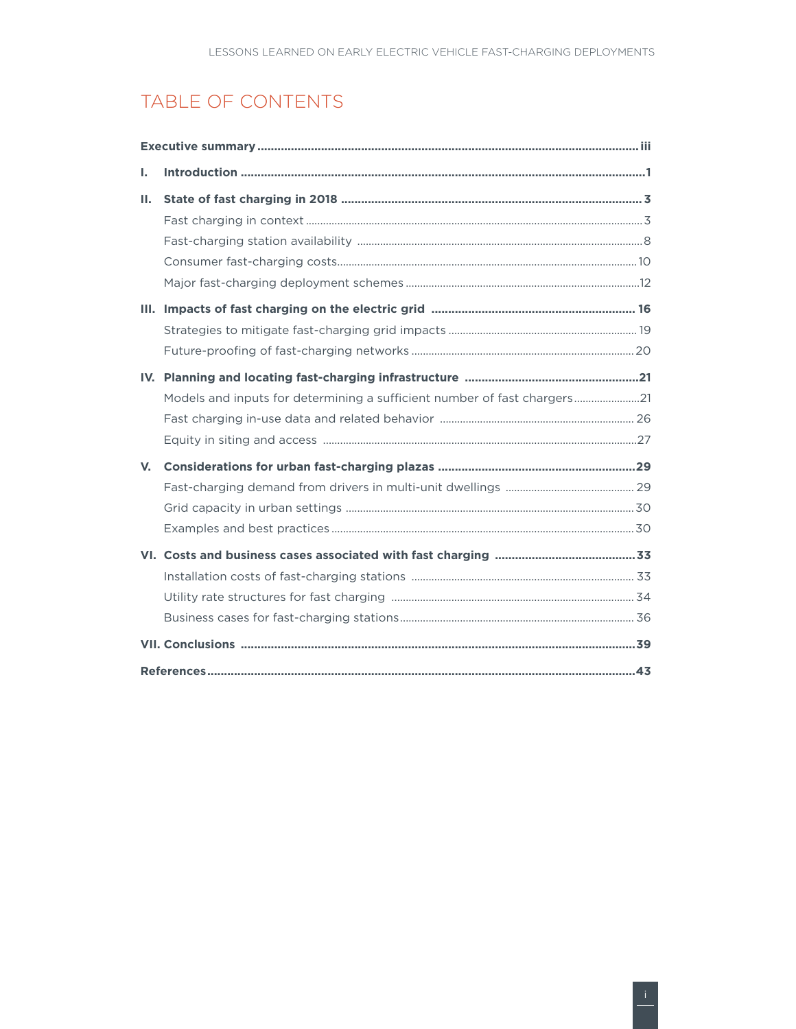## TABLE OF CONTENTS

| L. |                                                                          |  |  |  |  |  |  |
|----|--------------------------------------------------------------------------|--|--|--|--|--|--|
| н. |                                                                          |  |  |  |  |  |  |
|    |                                                                          |  |  |  |  |  |  |
|    |                                                                          |  |  |  |  |  |  |
|    |                                                                          |  |  |  |  |  |  |
|    |                                                                          |  |  |  |  |  |  |
|    |                                                                          |  |  |  |  |  |  |
|    |                                                                          |  |  |  |  |  |  |
|    |                                                                          |  |  |  |  |  |  |
|    |                                                                          |  |  |  |  |  |  |
|    | Models and inputs for determining a sufficient number of fast chargers21 |  |  |  |  |  |  |
|    |                                                                          |  |  |  |  |  |  |
|    |                                                                          |  |  |  |  |  |  |
| V. |                                                                          |  |  |  |  |  |  |
|    |                                                                          |  |  |  |  |  |  |
|    |                                                                          |  |  |  |  |  |  |
|    |                                                                          |  |  |  |  |  |  |
|    |                                                                          |  |  |  |  |  |  |
|    |                                                                          |  |  |  |  |  |  |
|    |                                                                          |  |  |  |  |  |  |
|    |                                                                          |  |  |  |  |  |  |
|    |                                                                          |  |  |  |  |  |  |
|    |                                                                          |  |  |  |  |  |  |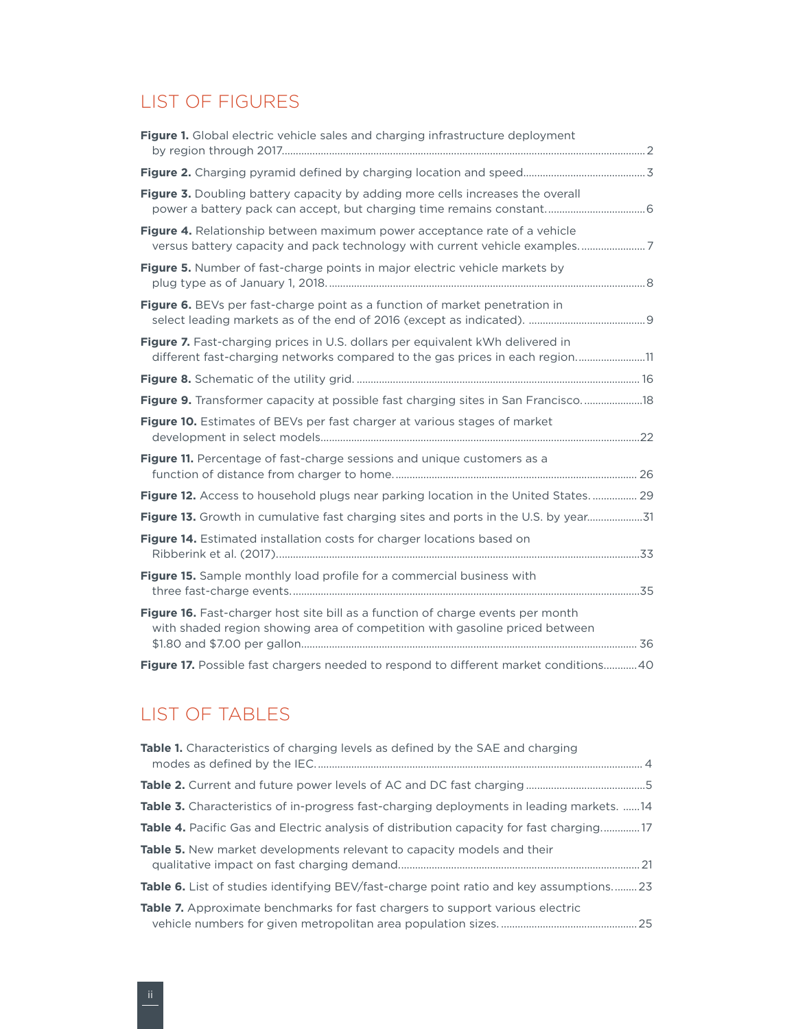### LIST OF FIGURES

| Figure 1. Global electric vehicle sales and charging infrastructure deployment                                                                                 |  |
|----------------------------------------------------------------------------------------------------------------------------------------------------------------|--|
|                                                                                                                                                                |  |
| Figure 3. Doubling battery capacity by adding more cells increases the overall                                                                                 |  |
| Figure 4. Relationship between maximum power acceptance rate of a vehicle<br>versus battery capacity and pack technology with current vehicle examples7        |  |
| Figure 5. Number of fast-charge points in major electric vehicle markets by                                                                                    |  |
| Figure 6. BEVs per fast-charge point as a function of market penetration in                                                                                    |  |
| Figure 7. Fast-charging prices in U.S. dollars per equivalent kWh delivered in<br>different fast-charging networks compared to the gas prices in each region11 |  |
|                                                                                                                                                                |  |
| Figure 9. Transformer capacity at possible fast charging sites in San Francisco 18                                                                             |  |
| Figure 10. Estimates of BEVs per fast charger at various stages of market                                                                                      |  |
| <b>Figure 11.</b> Percentage of fast-charge sessions and unique customers as a                                                                                 |  |
| Figure 12. Access to household plugs near parking location in the United States 29                                                                             |  |
| Figure 13. Growth in cumulative fast charging sites and ports in the U.S. by year31                                                                            |  |
| <b>Figure 14.</b> Estimated installation costs for charger locations based on                                                                                  |  |
| Figure 15. Sample monthly load profile for a commercial business with                                                                                          |  |
| Figure 16. Fast-charger host site bill as a function of charge events per month<br>with shaded region showing area of competition with gasoline priced between |  |
| Figure 17. Possible fast chargers needed to respond to different market conditions40                                                                           |  |

## LIST OF TABLES

| <b>Table 1.</b> Characteristics of charging levels as defined by the SAE and charging           |
|-------------------------------------------------------------------------------------------------|
|                                                                                                 |
| <b>Table 3.</b> Characteristics of in-progress fast-charging deployments in leading markets. 14 |
| <b>Table 4.</b> Pacific Gas and Electric analysis of distribution capacity for fast charging17  |
| <b>Table 5.</b> New market developments relevant to capacity models and their                   |
| <b>Table 6.</b> List of studies identifying BEV/fast-charge point ratio and key assumptions 23  |
| <b>Table 7.</b> Approximate benchmarks for fast chargers to support various electric            |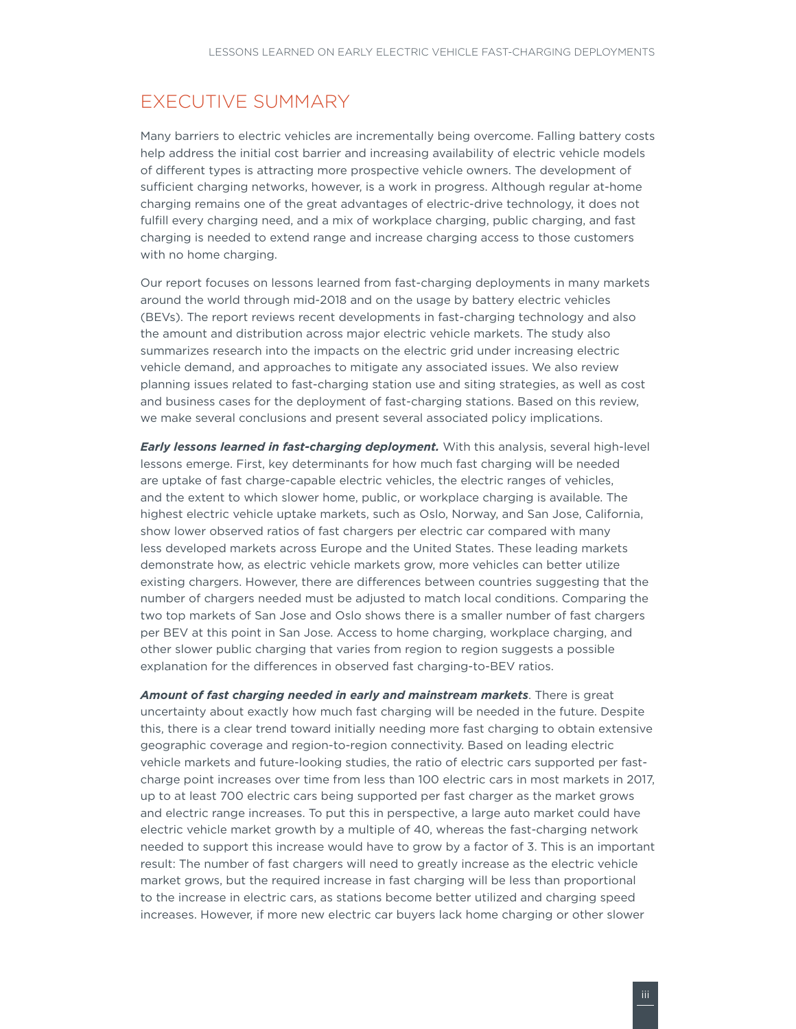### <span id="page-4-0"></span>EXECUTIVE SUMMARY

Many barriers to electric vehicles are incrementally being overcome. Falling battery costs help address the initial cost barrier and increasing availability of electric vehicle models of different types is attracting more prospective vehicle owners. The development of sufficient charging networks, however, is a work in progress. Although regular at-home charging remains one of the great advantages of electric-drive technology, it does not fulfill every charging need, and a mix of workplace charging, public charging, and fast charging is needed to extend range and increase charging access to those customers with no home charging.

Our report focuses on lessons learned from fast-charging deployments in many markets around the world through mid-2018 and on the usage by battery electric vehicles (BEVs). The report reviews recent developments in fast-charging technology and also the amount and distribution across major electric vehicle markets. The study also summarizes research into the impacts on the electric grid under increasing electric vehicle demand, and approaches to mitigate any associated issues. We also review planning issues related to fast-charging station use and siting strategies, as well as cost and business cases for the deployment of fast-charging stations. Based on this review, we make several conclusions and present several associated policy implications.

*Early lessons learned in fast-charging deployment.* With this analysis, several high-level lessons emerge. First, key determinants for how much fast charging will be needed are uptake of fast charge-capable electric vehicles, the electric ranges of vehicles, and the extent to which slower home, public, or workplace charging is available. The highest electric vehicle uptake markets, such as Oslo, Norway, and San Jose, California, show lower observed ratios of fast chargers per electric car compared with many less developed markets across Europe and the United States. These leading markets demonstrate how, as electric vehicle markets grow, more vehicles can better utilize existing chargers. However, there are differences between countries suggesting that the number of chargers needed must be adjusted to match local conditions. Comparing the two top markets of San Jose and Oslo shows there is a smaller number of fast chargers per BEV at this point in San Jose. Access to home charging, workplace charging, and other slower public charging that varies from region to region suggests a possible explanation for the differences in observed fast charging-to-BEV ratios.

*Amount of fast charging needed in early and mainstream markets*. There is great uncertainty about exactly how much fast charging will be needed in the future. Despite this, there is a clear trend toward initially needing more fast charging to obtain extensive geographic coverage and region-to-region connectivity. Based on leading electric vehicle markets and future-looking studies, the ratio of electric cars supported per fastcharge point increases over time from less than 100 electric cars in most markets in 2017, up to at least 700 electric cars being supported per fast charger as the market grows and electric range increases. To put this in perspective, a large auto market could have electric vehicle market growth by a multiple of 40, whereas the fast-charging network needed to support this increase would have to grow by a factor of 3. This is an important result: The number of fast chargers will need to greatly increase as the electric vehicle market grows, but the required increase in fast charging will be less than proportional to the increase in electric cars, as stations become better utilized and charging speed increases. However, if more new electric car buyers lack home charging or other slower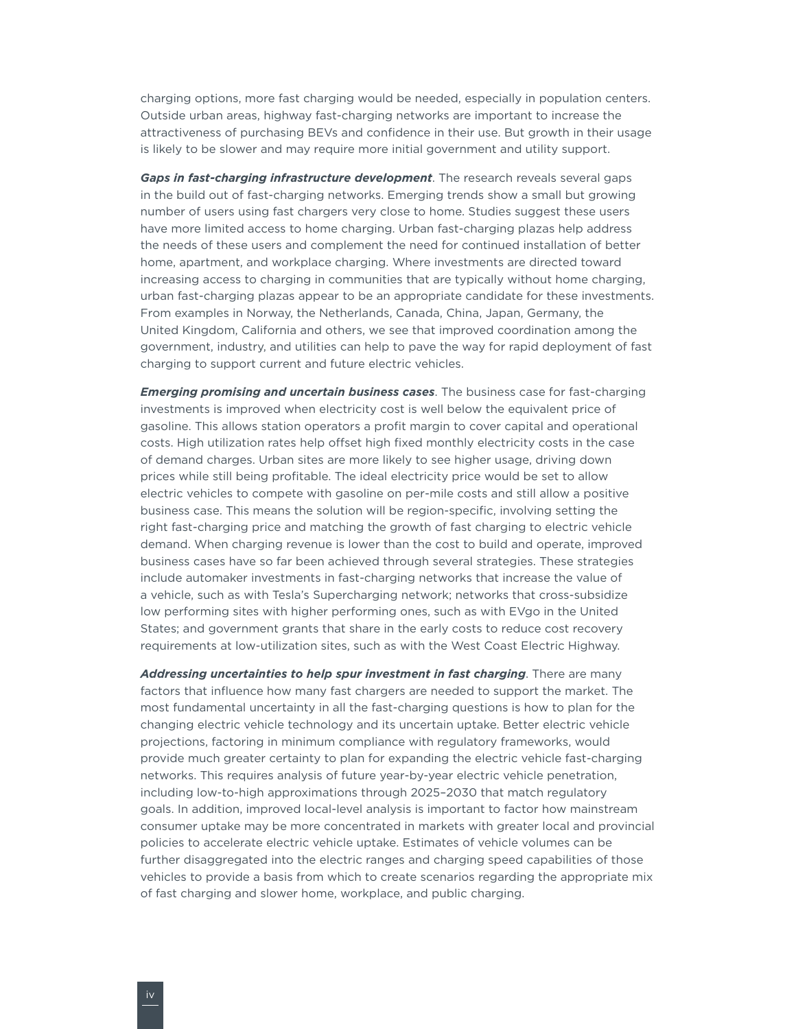charging options, more fast charging would be needed, especially in population centers. Outside urban areas, highway fast-charging networks are important to increase the attractiveness of purchasing BEVs and confidence in their use. But growth in their usage is likely to be slower and may require more initial government and utility support.

*Gaps in fast-charging infrastructure development*. The research reveals several gaps in the build out of fast-charging networks. Emerging trends show a small but growing number of users using fast chargers very close to home. Studies suggest these users have more limited access to home charging. Urban fast-charging plazas help address the needs of these users and complement the need for continued installation of better home, apartment, and workplace charging. Where investments are directed toward increasing access to charging in communities that are typically without home charging, urban fast-charging plazas appear to be an appropriate candidate for these investments. From examples in Norway, the Netherlands, Canada, China, Japan, Germany, the United Kingdom, California and others, we see that improved coordination among the government, industry, and utilities can help to pave the way for rapid deployment of fast charging to support current and future electric vehicles.

*Emerging promising and uncertain business cases*. The business case for fast-charging investments is improved when electricity cost is well below the equivalent price of gasoline. This allows station operators a profit margin to cover capital and operational costs. High utilization rates help offset high fixed monthly electricity costs in the case of demand charges. Urban sites are more likely to see higher usage, driving down prices while still being profitable. The ideal electricity price would be set to allow electric vehicles to compete with gasoline on per-mile costs and still allow a positive business case. This means the solution will be region-specific, involving setting the right fast-charging price and matching the growth of fast charging to electric vehicle demand. When charging revenue is lower than the cost to build and operate, improved business cases have so far been achieved through several strategies. These strategies include automaker investments in fast-charging networks that increase the value of a vehicle, such as with Tesla's Supercharging network; networks that cross-subsidize low performing sites with higher performing ones, such as with EVgo in the United States; and government grants that share in the early costs to reduce cost recovery requirements at low-utilization sites, such as with the West Coast Electric Highway.

*Addressing uncertainties to help spur investment in fast charging*. There are many factors that influence how many fast chargers are needed to support the market. The most fundamental uncertainty in all the fast-charging questions is how to plan for the changing electric vehicle technology and its uncertain uptake. Better electric vehicle projections, factoring in minimum compliance with regulatory frameworks, would provide much greater certainty to plan for expanding the electric vehicle fast-charging networks. This requires analysis of future year-by-year electric vehicle penetration, including low-to-high approximations through 2025–2030 that match regulatory goals. In addition, improved local-level analysis is important to factor how mainstream consumer uptake may be more concentrated in markets with greater local and provincial policies to accelerate electric vehicle uptake. Estimates of vehicle volumes can be further disaggregated into the electric ranges and charging speed capabilities of those vehicles to provide a basis from which to create scenarios regarding the appropriate mix of fast charging and slower home, workplace, and public charging.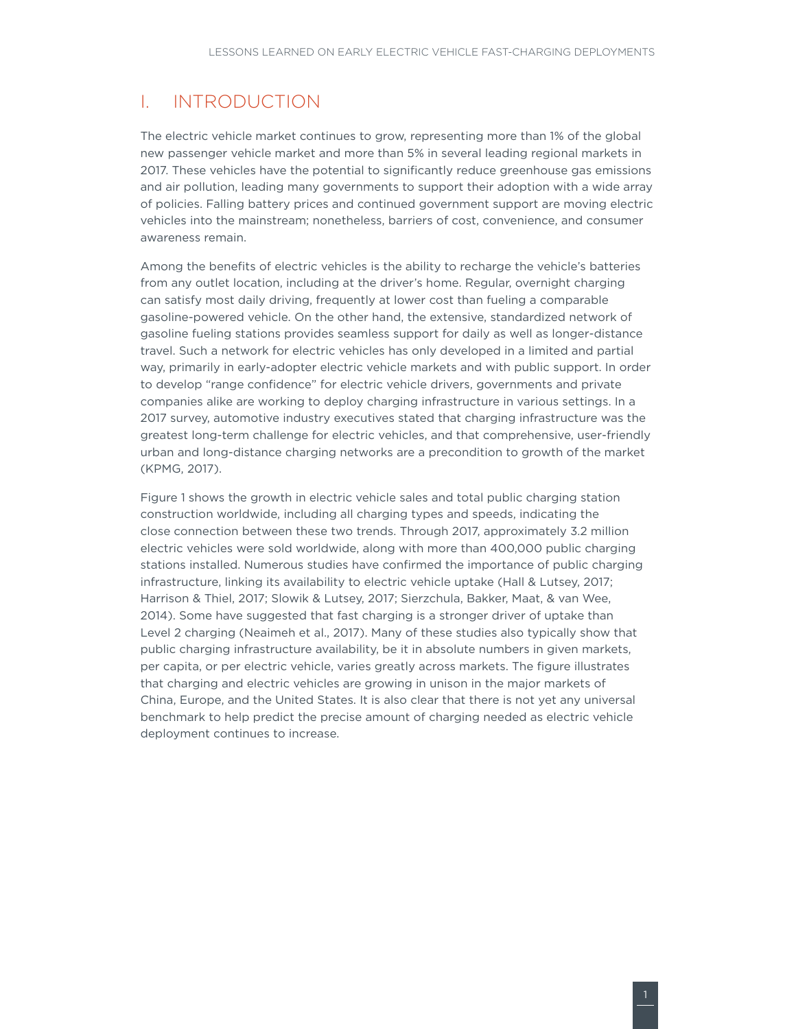### <span id="page-6-0"></span>I. INTRODUCTION

The electric vehicle market continues to grow, representing more than 1% of the global new passenger vehicle market and more than 5% in several leading regional markets in 2017. These vehicles have the potential to significantly reduce greenhouse gas emissions and air pollution, leading many governments to support their adoption with a wide array of policies. Falling battery prices and continued government support are moving electric vehicles into the mainstream; nonetheless, barriers of cost, convenience, and consumer awareness remain.

Among the benefits of electric vehicles is the ability to recharge the vehicle's batteries from any outlet location, including at the driver's home. Regular, overnight charging can satisfy most daily driving, frequently at lower cost than fueling a comparable gasoline-powered vehicle. On the other hand, the extensive, standardized network of gasoline fueling stations provides seamless support for daily as well as longer-distance travel. Such a network for electric vehicles has only developed in a limited and partial way, primarily in early-adopter electric vehicle markets and with public support. In order to develop "range confidence" for electric vehicle drivers, governments and private companies alike are working to deploy charging infrastructure in various settings. In a 2017 survey, automotive industry executives stated that charging infrastructure was the greatest long-term challenge for electric vehicles, and that comprehensive, user-friendly urban and long-distance charging networks are a precondition to growth of the market (KPMG, 2017).

Figure 1 shows the growth in electric vehicle sales and total public charging station construction worldwide, including all charging types and speeds, indicating the close connection between these two trends. Through 2017, approximately 3.2 million electric vehicles were sold worldwide, along with more than 400,000 public charging stations installed. Numerous studies have confirmed the importance of public charging infrastructure, linking its availability to electric vehicle uptake (Hall & Lutsey, 2017; Harrison & Thiel, 2017; Slowik & Lutsey, 2017; Sierzchula, Bakker, Maat, & van Wee, 2014). Some have suggested that fast charging is a stronger driver of uptake than Level 2 charging (Neaimeh et al., 2017). Many of these studies also typically show that public charging infrastructure availability, be it in absolute numbers in given markets, per capita, or per electric vehicle, varies greatly across markets. The figure illustrates that charging and electric vehicles are growing in unison in the major markets of China, Europe, and the United States. It is also clear that there is not yet any universal benchmark to help predict the precise amount of charging needed as electric vehicle deployment continues to increase.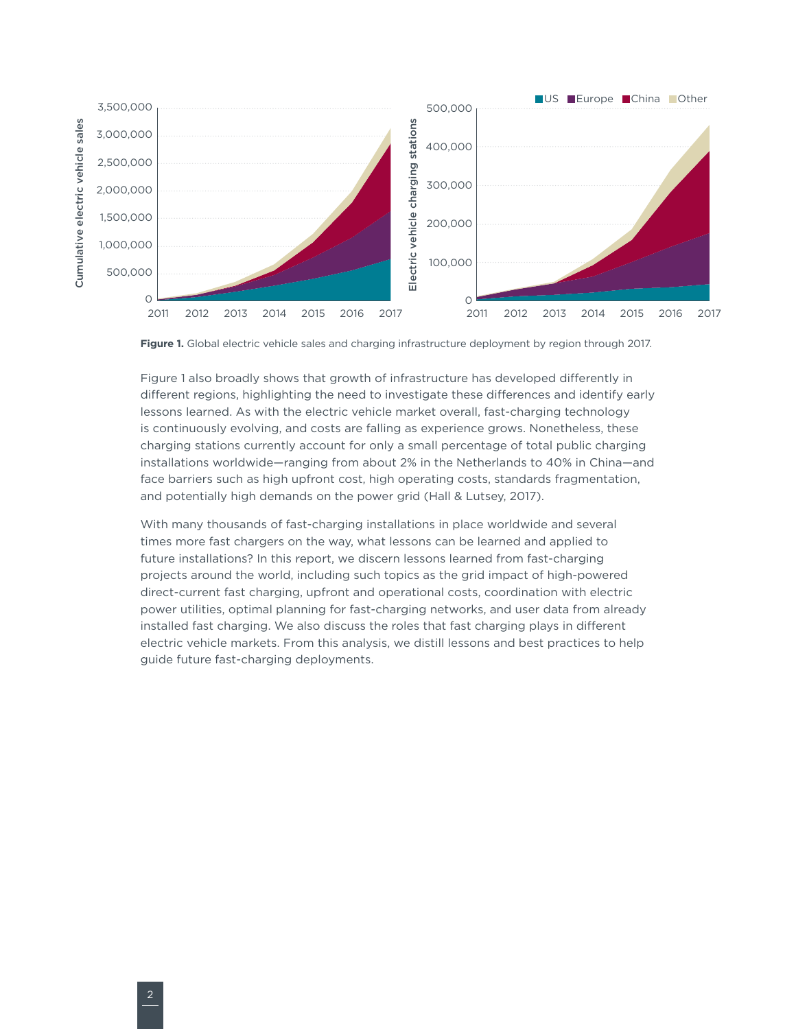<span id="page-7-0"></span>

<span id="page-7-1"></span>**Figure 1.** Global electric vehicle sales and charging infrastructure deployment by region through 2017.

[Figure](#page-7-1) 1 also broadly shows that growth of infrastructure has developed differently in different regions, highlighting the need to investigate these differences and identify early lessons learned. As with the electric vehicle market overall, fast-charging technology is continuously evolving, and costs are falling as experience grows. Nonetheless, these charging stations currently account for only a small percentage of total public charging installations worldwide—ranging from about 2% in the Netherlands to 40% in China—and face barriers such as high upfront cost, high operating costs, standards fragmentation, and potentially high demands on the power grid (Hall & Lutsey, 2017).

With many thousands of fast-charging installations in place worldwide and several times more fast chargers on the way, what lessons can be learned and applied to future installations? In this report, we discern lessons learned from fast-charging projects around the world, including such topics as the grid impact of high-powered direct-current fast charging, upfront and operational costs, coordination with electric power utilities, optimal planning for fast-charging networks, and user data from already installed fast charging. We also discuss the roles that fast charging plays in different electric vehicle markets. From this analysis, we distill lessons and best practices to help guide future fast-charging deployments.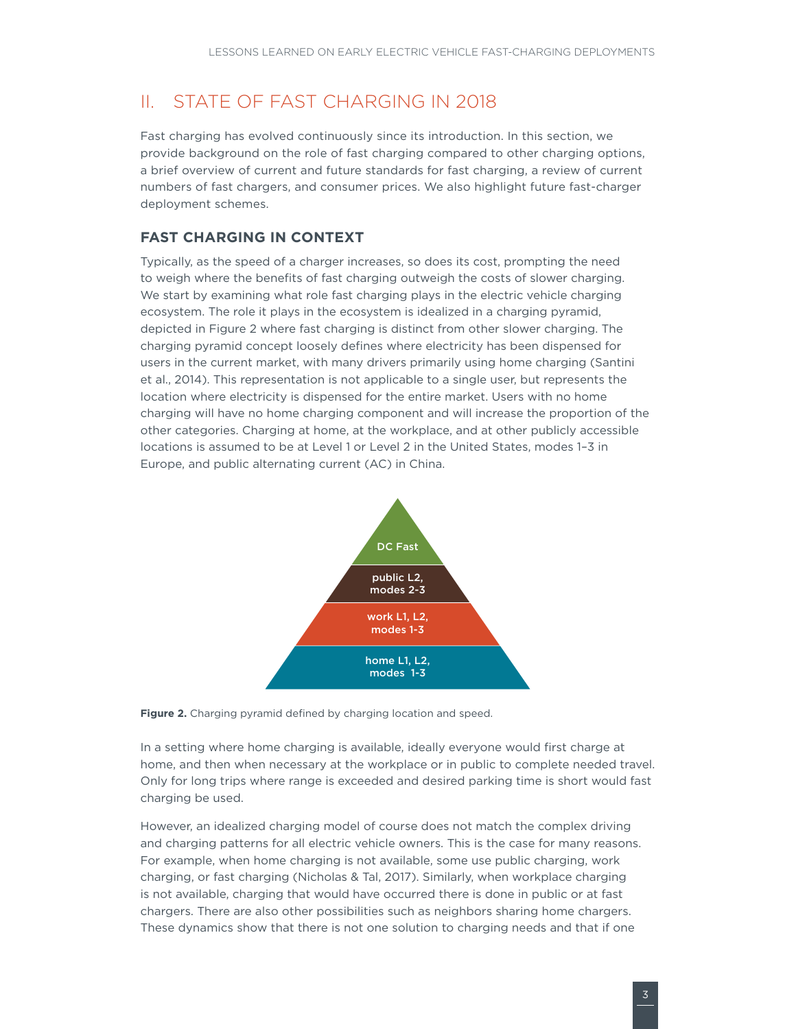### <span id="page-8-0"></span>II. STATE OF FAST CHARGING IN 2018

Fast charging has evolved continuously since its introduction. In this section, we provide background on the role of fast charging compared to other charging options, a brief overview of current and future standards for fast charging, a review of current numbers of fast chargers, and consumer prices. We also highlight future fast-charger deployment schemes.

### **FAST CHARGING IN CONTEXT**

Typically, as the speed of a charger increases, so does its cost, prompting the need to weigh where the benefits of fast charging outweigh the costs of slower charging. We start by examining what role fast charging plays in the electric vehicle charging ecosystem. The role it plays in the ecosystem is idealized in a charging pyramid, depicted in [Figure](#page-8-1) 2 where fast charging is distinct from other slower charging. The charging pyramid concept loosely defines where electricity has been dispensed for users in the current market, with many drivers primarily using home charging (Santini et al., 2014). This representation is not applicable to a single user, but represents the location where electricity is dispensed for the entire market. Users with no home charging will have no home charging component and will increase the proportion of the other categories. Charging at home, at the workplace, and at other publicly accessible locations is assumed to be at Level 1 or Level 2 in the United States, modes 1–3 in Europe, and public alternating current (AC) in China.



#### <span id="page-8-1"></span>**Figure 2.** Charging pyramid defined by charging location and speed.

In a setting where home charging is available, ideally everyone would first charge at home, and then when necessary at the workplace or in public to complete needed travel. Only for long trips where range is exceeded and desired parking time is short would fast charging be used.

However, an idealized charging model of course does not match the complex driving and charging patterns for all electric vehicle owners. This is the case for many reasons. For example, when home charging is not available, some use public charging, work charging, or fast charging (Nicholas & Tal, 2017). Similarly, when workplace charging is not available, charging that would have occurred there is done in public or at fast chargers. There are also other possibilities such as neighbors sharing home chargers. These dynamics show that there is not one solution to charging needs and that if one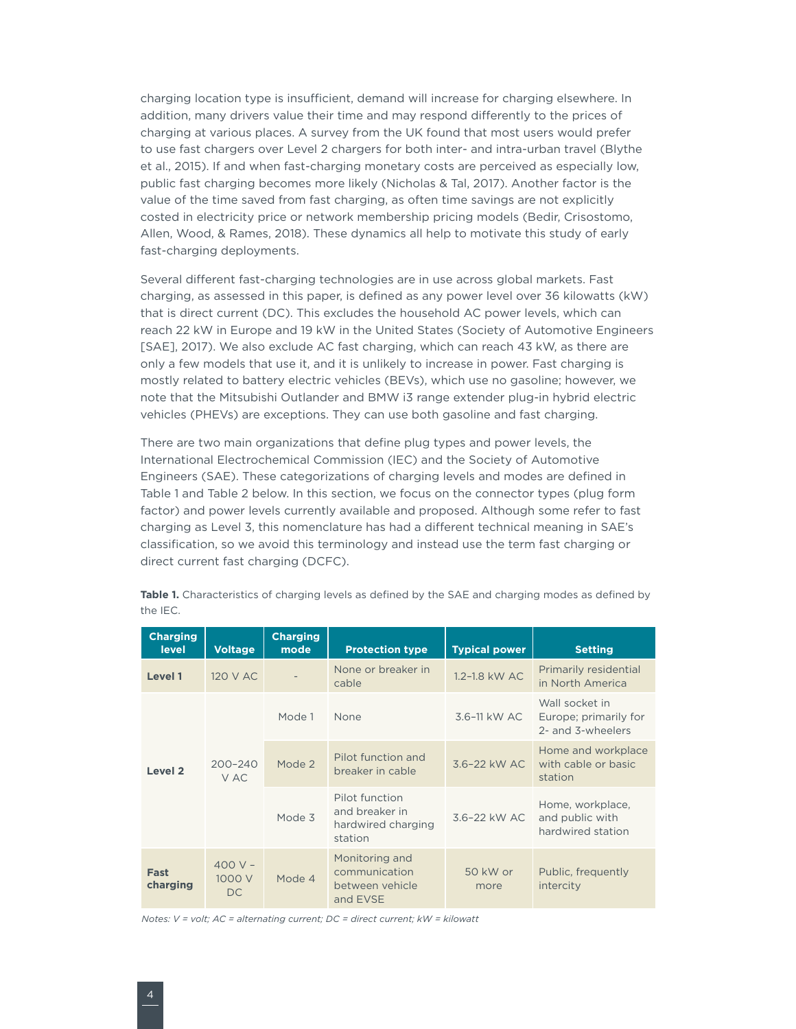<span id="page-9-0"></span>charging location type is insufficient, demand will increase for charging elsewhere. In addition, many drivers value their time and may respond differently to the prices of charging at various places. A survey from the UK found that most users would prefer to use fast chargers over Level 2 chargers for both inter- and intra-urban travel (Blythe et al., 2015). If and when fast-charging monetary costs are perceived as especially low, public fast charging becomes more likely (Nicholas & Tal, 2017). Another factor is the value of the time saved from fast charging, as often time savings are not explicitly costed in electricity price or network membership pricing models (Bedir, Crisostomo, Allen, Wood, & Rames, 2018). These dynamics all help to motivate this study of early fast-charging deployments.

Several different fast-charging technologies are in use across global markets. Fast charging, as assessed in this paper, is defined as any power level over 36 kilowatts (kW) that is direct current (DC). This excludes the household AC power levels, which can reach 22 kW in Europe and 19 kW in the United States (Society of Automotive Engineers [SAE], 2017). We also exclude AC fast charging, which can reach 43 kW, as there are only a few models that use it, and it is unlikely to increase in power. Fast charging is mostly related to battery electric vehicles (BEVs), which use no gasoline; however, we note that the Mitsubishi Outlander and BMW i3 range extender plug-in hybrid electric vehicles (PHEVs) are exceptions. They can use both gasoline and fast charging.

There are two main organizations that define plug types and power levels, the International Electrochemical Commission (IEC) and the Society of Automotive Engineers (SAE). These categorizations of charging levels and modes are defined in [Table](#page-9-1) 1 and Table 2 below. In this section, we focus on the connector types (plug form factor) and power levels currently available and proposed. Although some refer to fast charging as Level 3, this nomenclature has had a different technical meaning in SAE's classification, so we avoid this terminology and instead use the term fast charging or direct current fast charging (DCFC).

| <b>Charging</b><br><b>level</b> | <b>Voltage</b>           | <b>Charging</b><br>mode                      | <b>Protection type</b>                                         | <b>Typical power</b>                                              | <b>Setting</b>                                               |
|---------------------------------|--------------------------|----------------------------------------------|----------------------------------------------------------------|-------------------------------------------------------------------|--------------------------------------------------------------|
| Level 1                         | 120 V AC                 | None or breaker in<br>1.2-1.8 kW AC<br>cable |                                                                | Primarily residential<br>in North America                         |                                                              |
|                                 |                          | Mode 1                                       | None                                                           | 3.6-11 kW AC                                                      | Wall socket in<br>Europe; primarily for<br>2- and 3-wheelers |
| Level <sub>2</sub>              | $200 - 240$<br>V AC      | Mode 2                                       | Pilot function and<br>breaker in cable                         | 3.6-22 kW AC                                                      | Home and workplace<br>with cable or basic<br>station         |
|                                 |                          |                                              | Mode 3                                                         | Pilot function<br>and breaker in<br>hardwired charging<br>station | 3.6-22 kW AC                                                 |
| Fast<br>charging                | $400V -$<br>1000 V<br>DC | Mode 4                                       | Monitoring and<br>communication<br>between vehicle<br>and EVSE | 50 kW or<br>more                                                  | Public, frequently<br>intercity                              |

<span id="page-9-1"></span>Table 1. Characteristics of charging levels as defined by the SAE and charging modes as defined by the IEC.

*Notes: V = volt; AC = alternating current; DC = direct current; kW = kilowatt*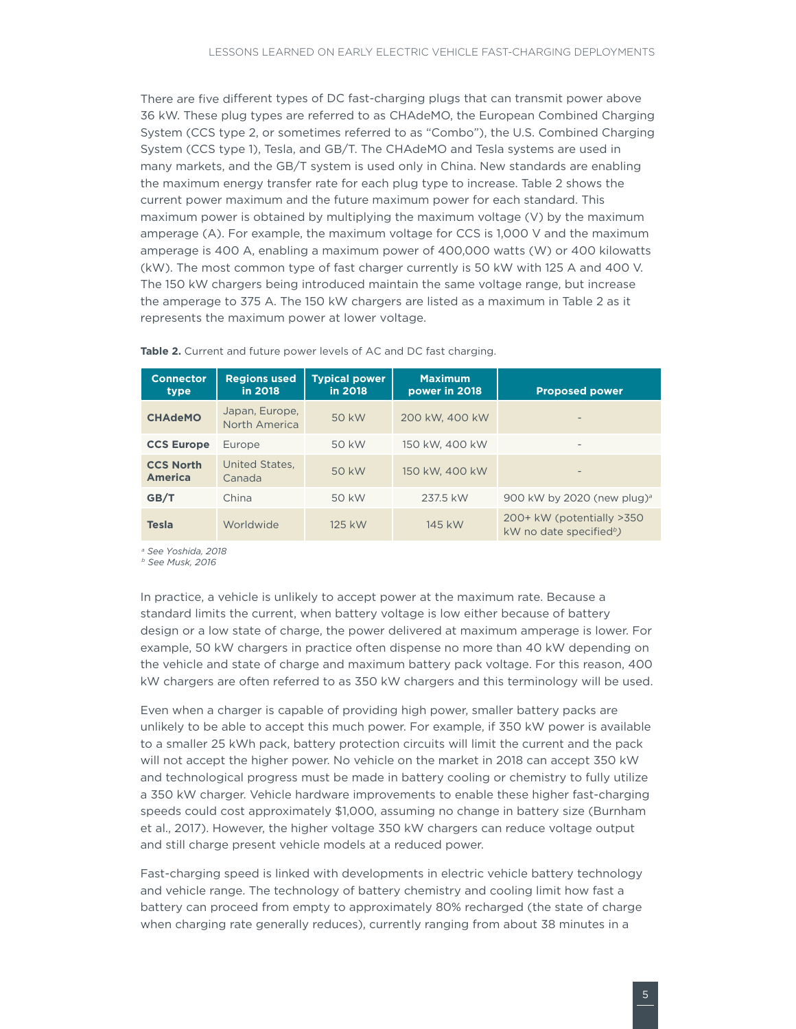<span id="page-10-0"></span>There are five different types of DC fast-charging plugs that can transmit power above 36 kW. These plug types are referred to as CHAdeMO, the European Combined Charging System (CCS type 2, or sometimes referred to as "Combo"), the U.S. Combined Charging System (CCS type 1), Tesla, and GB/T. The CHAdeMO and Tesla systems are used in many markets, and the GB/T system is used only in China. New standards are enabling the maximum energy transfer rate for each plug type to increase. [Table](#page-10-1) 2 shows the current power maximum and the future maximum power for each standard. This maximum power is obtained by multiplying the maximum voltage (V) by the maximum amperage (A). For example, the maximum voltage for CCS is 1,000 V and the maximum amperage is 400 A, enabling a maximum power of 400,000 watts (W) or 400 kilowatts (kW). The most common type of fast charger currently is 50 kW with 125 A and 400 V. The 150 kW chargers being introduced maintain the same voltage range, but increase the amperage to 375 A. The 150 kW chargers are listed as a maximum in Table 2 as it represents the maximum power at lower voltage.

| <b>Connector</b><br>type           | <b>Regions used</b><br>in 2018  | <b>Typical power</b><br>in 2018 | <b>Maximum</b><br>power in 2018 | <b>Proposed power</b>                                            |
|------------------------------------|---------------------------------|---------------------------------|---------------------------------|------------------------------------------------------------------|
| <b>CHAdeMO</b>                     | Japan, Europe,<br>North America | 50 kW                           | 200 kW, 400 kW                  | $\overline{\phantom{0}}$                                         |
| <b>CCS Europe</b>                  | Europe                          | 50 kW                           | 150 kW, 400 kW                  |                                                                  |
| <b>CCS North</b><br><b>America</b> | United States.<br>Canada        | 50 kW                           | 150 kW, 400 kW                  | $\overline{\phantom{0}}$                                         |
| GB/T                               | China                           | 50 kW                           | 237.5 kW                        | 900 kW by 2020 (new plug) <sup>a</sup>                           |
| <b>Tesla</b>                       | Worldwide                       | 125 kW                          | 145 kW                          | 200+ kW (potentially >350<br>kW no date specified <sup>b</sup> ) |

<span id="page-10-1"></span>Table 2. Current and future power levels of AC and DC fast charging.

*<sup>a</sup> See Yoshida, 2018* 

*b See Musk, 2016*

In practice, a vehicle is unlikely to accept power at the maximum rate. Because a standard limits the current, when battery voltage is low either because of battery design or a low state of charge, the power delivered at maximum amperage is lower. For example, 50 kW chargers in practice often dispense no more than 40 kW depending on the vehicle and state of charge and maximum battery pack voltage. For this reason, 400 kW chargers are often referred to as 350 kW chargers and this terminology will be used.

Even when a charger is capable of providing high power, smaller battery packs are unlikely to be able to accept this much power. For example, if 350 kW power is available to a smaller 25 kWh pack, battery protection circuits will limit the current and the pack will not accept the higher power. No vehicle on the market in 2018 can accept 350 kW and technological progress must be made in battery cooling or chemistry to fully utilize a 350 kW charger. Vehicle hardware improvements to enable these higher fast-charging speeds could cost approximately \$1,000, assuming no change in battery size (Burnham et al., 2017). However, the higher voltage 350 kW chargers can reduce voltage output and still charge present vehicle models at a reduced power.

Fast-charging speed is linked with developments in electric vehicle battery technology and vehicle range. The technology of battery chemistry and cooling limit how fast a battery can proceed from empty to approximately 80% recharged (the state of charge when charging rate generally reduces), currently ranging from about 38 minutes in a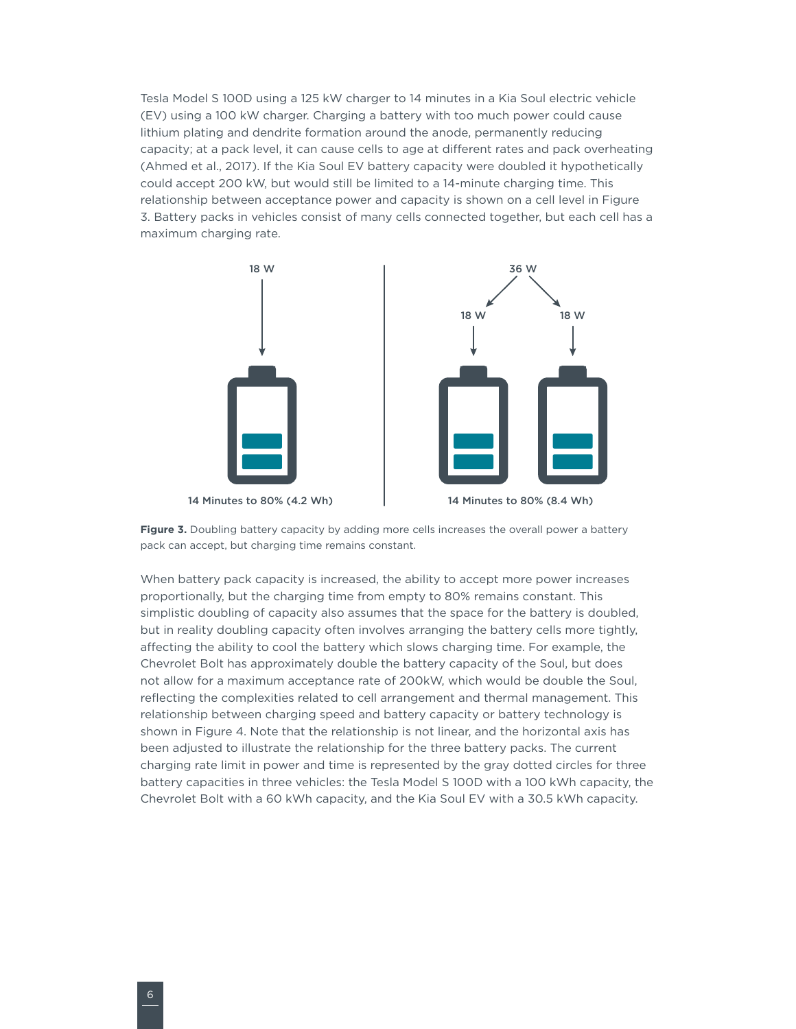<span id="page-11-0"></span>Tesla Model S 100D using a 125 kW charger to 14 minutes in a Kia Soul electric vehicle (EV) using a 100 kW charger. Charging a battery with too much power could cause lithium plating and dendrite formation around the anode, permanently reducing capacity; at a pack level, it can cause cells to age at different rates and pack overheating (Ahmed et al., 2017). If the Kia Soul EV battery capacity were doubled it hypothetically could accept 200 kW, but would still be limited to a 14-minute charging time. This relationship between acceptance power and capacity is shown on a cell level in [Figure](#page-11-1)  3. Battery packs in vehicles consist of many cells connected together, but each cell has a maximum charging rate.



14 Minutes to 80% (4.2 Wh)



<span id="page-11-1"></span>Figure 3. Doubling battery capacity by adding more cells increases the overall power a battery pack can accept, but charging time remains constant.

When battery pack capacity is increased, the ability to accept more power increases proportionally, but the charging time from empty to 80% remains constant. This simplistic doubling of capacity also assumes that the space for the battery is doubled, but in reality doubling capacity often involves arranging the battery cells more tightly, affecting the ability to cool the battery which slows charging time. For example, the Chevrolet Bolt has approximately double the battery capacity of the Soul, but does not allow for a maximum acceptance rate of 200kW, which would be double the Soul, reflecting the complexities related to cell arrangement and thermal management. This relationship between charging speed and battery capacity or battery technology is shown in [Figure](#page-12-1) 4. Note that the relationship is not linear, and the horizontal axis has been adjusted to illustrate the relationship for the three battery packs. The current charging rate limit in power and time is represented by the gray dotted circles for three battery capacities in three vehicles: the Tesla Model S 100D with a 100 kWh capacity, the Chevrolet Bolt with a 60 kWh capacity, and the Kia Soul EV with a 30.5 kWh capacity.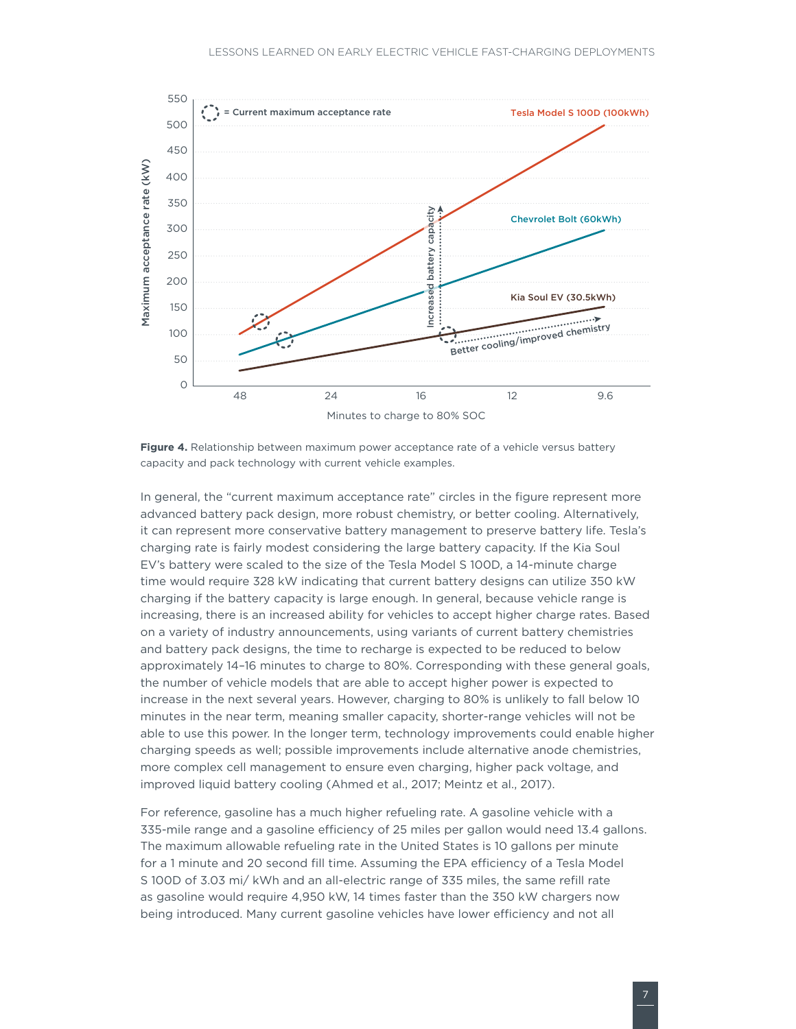<span id="page-12-0"></span>

<span id="page-12-1"></span>**Figure 4.** Relationship between maximum power acceptance rate of a vehicle versus battery capacity and pack technology with current vehicle examples.

In general, the "current maximum acceptance rate" circles in the figure represent more advanced battery pack design, more robust chemistry, or better cooling. Alternatively, it can represent more conservative battery management to preserve battery life. Tesla's charging rate is fairly modest considering the large battery capacity. If the Kia Soul EV's battery were scaled to the size of the Tesla Model S 100D, a 14-minute charge time would require 328 kW indicating that current battery designs can utilize 350 kW charging if the battery capacity is large enough. In general, because vehicle range is increasing, there is an increased ability for vehicles to accept higher charge rates. Based on a variety of industry announcements, using variants of current battery chemistries and battery pack designs, the time to recharge is expected to be reduced to below approximately 14–16 minutes to charge to 80%. Corresponding with these general goals, the number of vehicle models that are able to accept higher power is expected to increase in the next several years. However, charging to 80% is unlikely to fall below 10 minutes in the near term, meaning smaller capacity, shorter-range vehicles will not be able to use this power. In the longer term, technology improvements could enable higher charging speeds as well; possible improvements include alternative anode chemistries, more complex cell management to ensure even charging, higher pack voltage, and improved liquid battery cooling (Ahmed et al., 2017; Meintz et al., 2017).

For reference, gasoline has a much higher refueling rate. A gasoline vehicle with a 335-mile range and a gasoline efficiency of 25 miles per gallon would need 13.4 gallons. The maximum allowable refueling rate in the United States is 10 gallons per minute for a 1 minute and 20 second fill time. Assuming the EPA efficiency of a Tesla Model S 100D of 3.03 mi/ kWh and an all-electric range of 335 miles, the same refill rate as gasoline would require 4,950 kW, 14 times faster than the 350 kW chargers now being introduced. Many current gasoline vehicles have lower efficiency and not all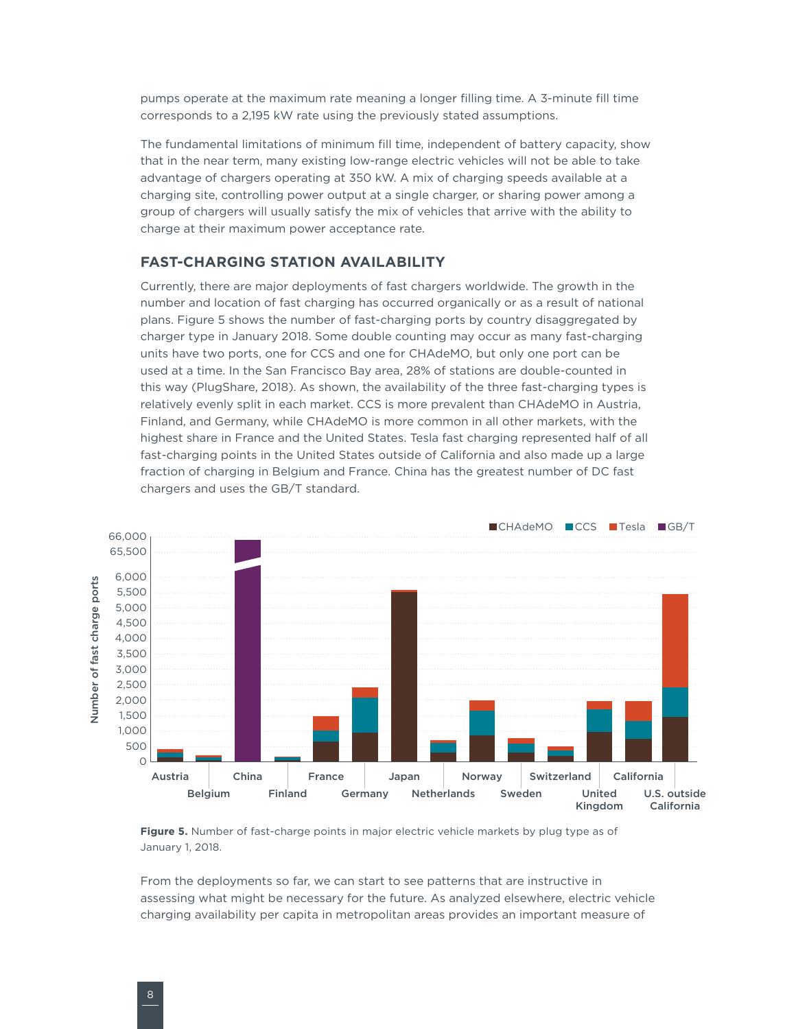<span id="page-13-0"></span>pumps operate at the maximum rate meaning a longer filling time. A 3-minute fill time corresponds to a 2,195 kW rate using the previously stated assumptions.

The fundamental limitations of minimum fill time, independent of battery capacity, show that in the near term, many existing low-range electric vehicles will not be able to take advantage of chargers operating at 350 kW. A mix of charging speeds available at a charging site, controlling power output at a single charger, or sharing power among a group of chargers will usually satisfy the mix of vehicles that arrive with the ability to charge at their maximum power acceptance rate.

### **FAST-CHARGING STATION AVAILABILITY**

Currently, there are major deployments of fast chargers worldwide. The growth in the number and location of fast charging has occurred organically or as a result of national plans. [Figure 5](#page-13-1) shows the number of fast-charging ports by country disaggregated by charger type in January 2018. Some double counting may occur as many fast-charging units have two ports, one for CCS and one for CHAdeMO, but only one port can be used at a time. In the San Francisco Bay area, 28% of stations are double-counted in this way (PlugShare, 2018). As shown, the availability of the three fast-charging types is relatively evenly split in each market. CCS is more prevalent than CHAdeMO in Austria, Finland, and Germany, while CHAdeMO is more common in all other markets, with the highest share in France and the United States. Tesla fast charging represented half of all fast-charging points in the United States outside of California and also made up a large fraction of charging in Belgium and France. China has the greatest number of DC fast chargers and uses the GB/T standard.



<span id="page-13-1"></span>**Figure 5.** Number of fast-charge points in major electric vehicle markets by plug type as of January 1, 2018.

From the deployments so far, we can start to see patterns that are instructive in assessing what might be necessary for the future. As analyzed elsewhere, electric vehicle charging availability per capita in metropolitan areas provides an important measure of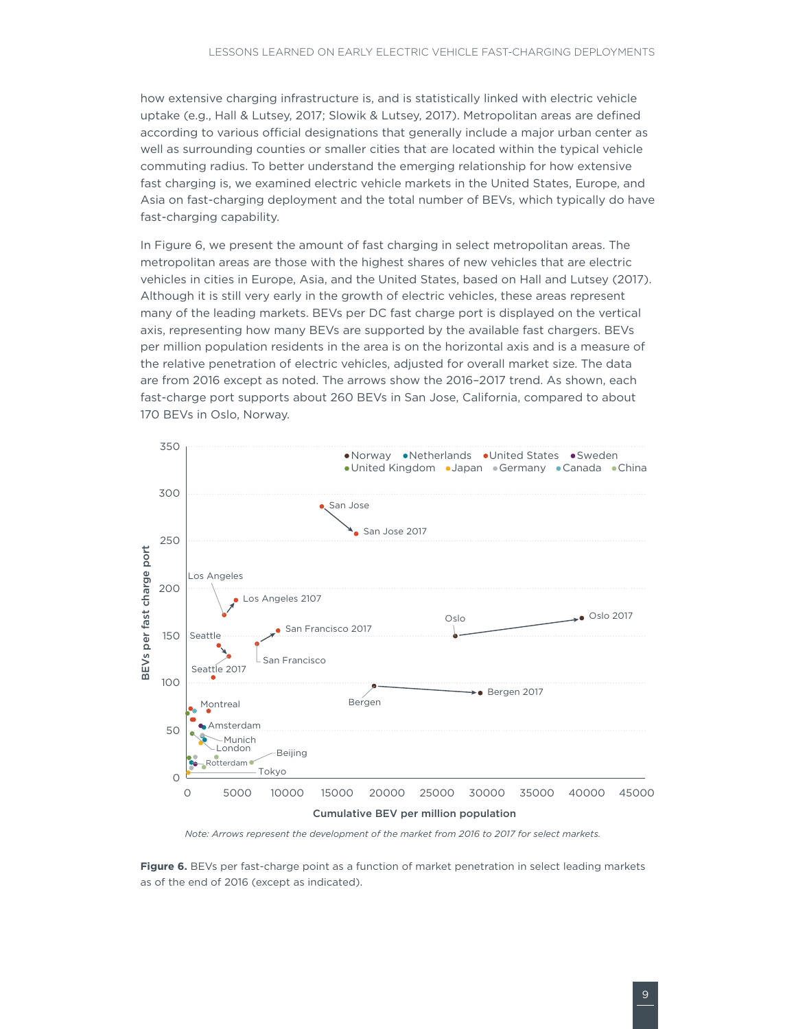<span id="page-14-0"></span>how extensive charging infrastructure is, and is statistically linked with electric vehicle uptake (e.g., Hall & Lutsey, 2017; Slowik & Lutsey, 2017). Metropolitan areas are defined according to various official designations that generally include a major urban center as well as surrounding counties or smaller cities that are located within the typical vehicle commuting radius. To better understand the emerging relationship for how extensive fast charging is, we examined electric vehicle markets in the United States, Europe, and Asia on fast-charging deployment and the total number of BEVs, which typically do have fast-charging capability.

In [Figure](#page-14-1) 6, we present the amount of fast charging in select metropolitan areas. The metropolitan areas are those with the highest shares of new vehicles that are electric vehicles in cities in Europe, Asia, and the United States, based on Hall and Lutsey (2017). Although it is still very early in the growth of electric vehicles, these areas represent many of the leading markets. BEVs per DC fast charge port is displayed on the vertical axis, representing how many BEVs are supported by the available fast chargers. BEVs per million population residents in the area is on the horizontal axis and is a measure of the relative penetration of electric vehicles, adjusted for overall market size. The data are from 2016 except as noted. The arrows show the 2016–2017 trend. As shown, each fast-charge port supports about 260 BEVs in San Jose, California, compared to about 170 BEVs in Oslo, Norway.



*Note: Arrows represent the development of the market from 2016 to 2017 for select markets.*

<span id="page-14-1"></span>**Figure 6.** BEVs per fast-charge point as a function of market penetration in select leading markets as of the end of 2016 (except as indicated).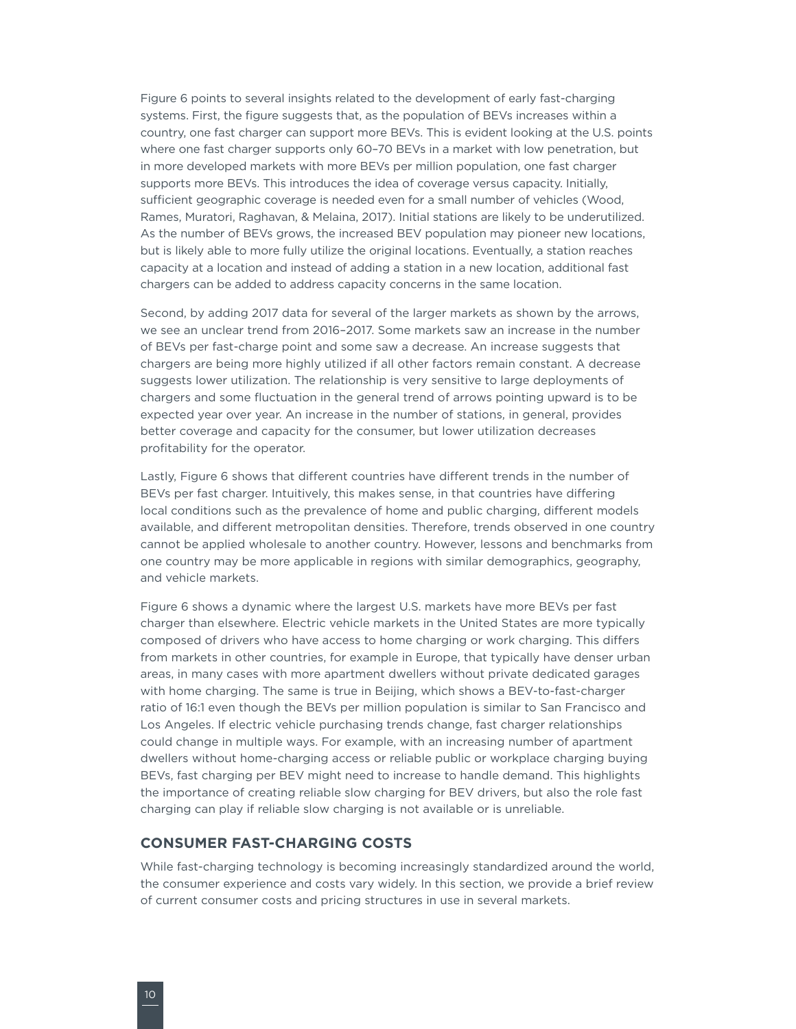<span id="page-15-0"></span>[Figure 6](#page-14-1) points to several insights related to the development of early fast-charging systems. First, the figure suggests that, as the population of BEVs increases within a country, one fast charger can support more BEVs. This is evident looking at the U.S. points where one fast charger supports only 60–70 BEVs in a market with low penetration, but in more developed markets with more BEVs per million population, one fast charger supports more BEVs. This introduces the idea of coverage versus capacity. Initially, sufficient geographic coverage is needed even for a small number of vehicles (Wood, Rames, Muratori, Raghavan, & Melaina, 2017). Initial stations are likely to be underutilized. As the number of BEVs grows, the increased BEV population may pioneer new locations, but is likely able to more fully utilize the original locations. Eventually, a station reaches capacity at a location and instead of adding a station in a new location, additional fast chargers can be added to address capacity concerns in the same location.

Second, by adding 2017 data for several of the larger markets as shown by the arrows, we see an unclear trend from 2016–2017. Some markets saw an increase in the number of BEVs per fast-charge point and some saw a decrease. An increase suggests that chargers are being more highly utilized if all other factors remain constant. A decrease suggests lower utilization. The relationship is very sensitive to large deployments of chargers and some fluctuation in the general trend of arrows pointing upward is to be expected year over year. An increase in the number of stations, in general, provides better coverage and capacity for the consumer, but lower utilization decreases profitability for the operator.

Lastly, [Figure 6](#page-14-1) shows that different countries have different trends in the number of BEVs per fast charger. Intuitively, this makes sense, in that countries have differing local conditions such as the prevalence of home and public charging, different models available, and different metropolitan densities. Therefore, trends observed in one country cannot be applied wholesale to another country. However, lessons and benchmarks from one country may be more applicable in regions with similar demographics, geography, and vehicle markets.

[Figure](#page-14-1) 6 shows a dynamic where the largest U.S. markets have more BEVs per fast charger than elsewhere. Electric vehicle markets in the United States are more typically composed of drivers who have access to home charging or work charging. This differs from markets in other countries, for example in Europe, that typically have denser urban areas, in many cases with more apartment dwellers without private dedicated garages with home charging. The same is true in Beijing, which shows a BEV-to-fast-charger ratio of 16:1 even though the BEVs per million population is similar to San Francisco and Los Angeles. If electric vehicle purchasing trends change, fast charger relationships could change in multiple ways. For example, with an increasing number of apartment dwellers without home-charging access or reliable public or workplace charging buying BEVs, fast charging per BEV might need to increase to handle demand. This highlights the importance of creating reliable slow charging for BEV drivers, but also the role fast charging can play if reliable slow charging is not available or is unreliable.

#### **CONSUMER FAST-CHARGING COSTS**

While fast-charging technology is becoming increasingly standardized around the world, the consumer experience and costs vary widely. In this section, we provide a brief review of current consumer costs and pricing structures in use in several markets.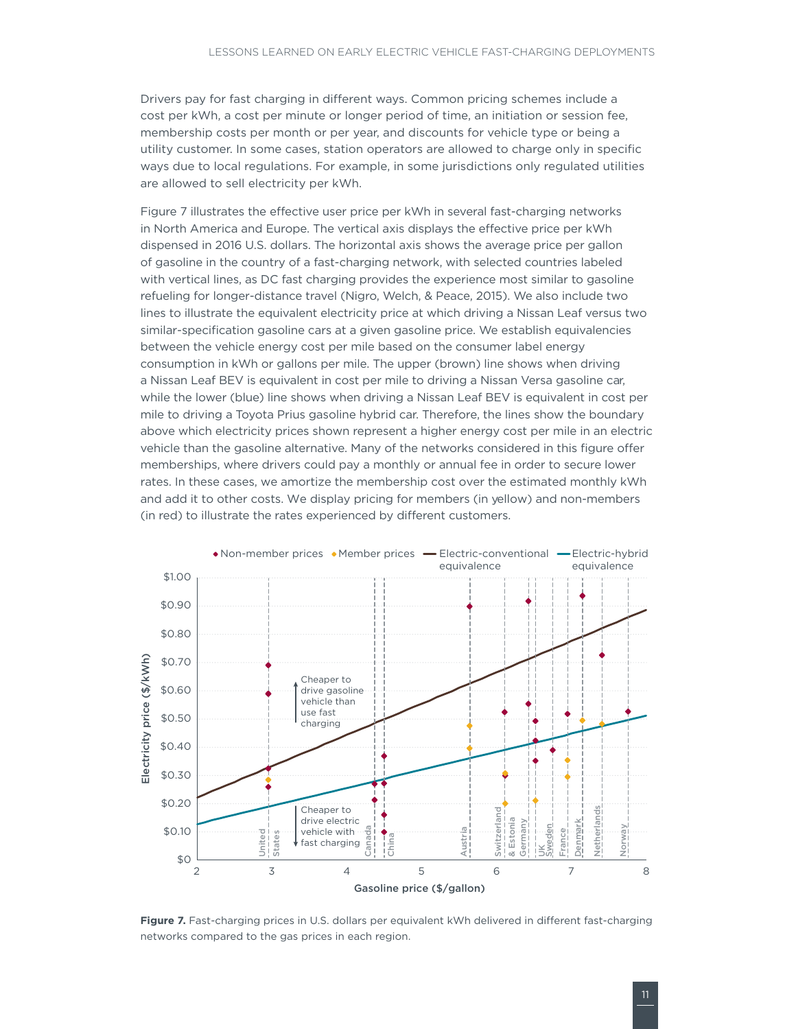<span id="page-16-0"></span>Drivers pay for fast charging in different ways. Common pricing schemes include a cost per kWh, a cost per minute or longer period of time, an initiation or session fee, membership costs per month or per year, and discounts for vehicle type or being a utility customer. In some cases, station operators are allowed to charge only in specific ways due to local regulations. For example, in some jurisdictions only regulated utilities are allowed to sell electricity per kWh.

[Figure](#page-16-1) 7 illustrates the effective user price per kWh in several fast-charging networks in North America and Europe. The vertical axis displays the effective price per kWh dispensed in 2016 U.S. dollars. The horizontal axis shows the average price per gallon of gasoline in the country of a fast-charging network, with selected countries labeled with vertical lines, as DC fast charging provides the experience most similar to gasoline refueling for longer-distance travel (Nigro, Welch, & Peace, 2015). We also include two lines to illustrate the equivalent electricity price at which driving a Nissan Leaf versus two similar-specification gasoline cars at a given gasoline price. We establish equivalencies between the vehicle energy cost per mile based on the consumer label energy consumption in kWh or gallons per mile. The upper (brown) line shows when driving a Nissan Leaf BEV is equivalent in cost per mile to driving a Nissan Versa gasoline car, while the lower (blue) line shows when driving a Nissan Leaf BEV is equivalent in cost per mile to driving a Toyota Prius gasoline hybrid car. Therefore, the lines show the boundary above which electricity prices shown represent a higher energy cost per mile in an electric vehicle than the gasoline alternative. Many of the networks considered in this figure offer memberships, where drivers could pay a monthly or annual fee in order to secure lower rates. In these cases, we amortize the membership cost over the estimated monthly kWh and add it to other costs. We display pricing for members (in yellow) and non-members (in red) to illustrate the rates experienced by different customers.



<span id="page-16-1"></span>Figure 7. Fast-charging prices in U.S. dollars per equivalent kWh delivered in different fast-charging networks compared to the gas prices in each region.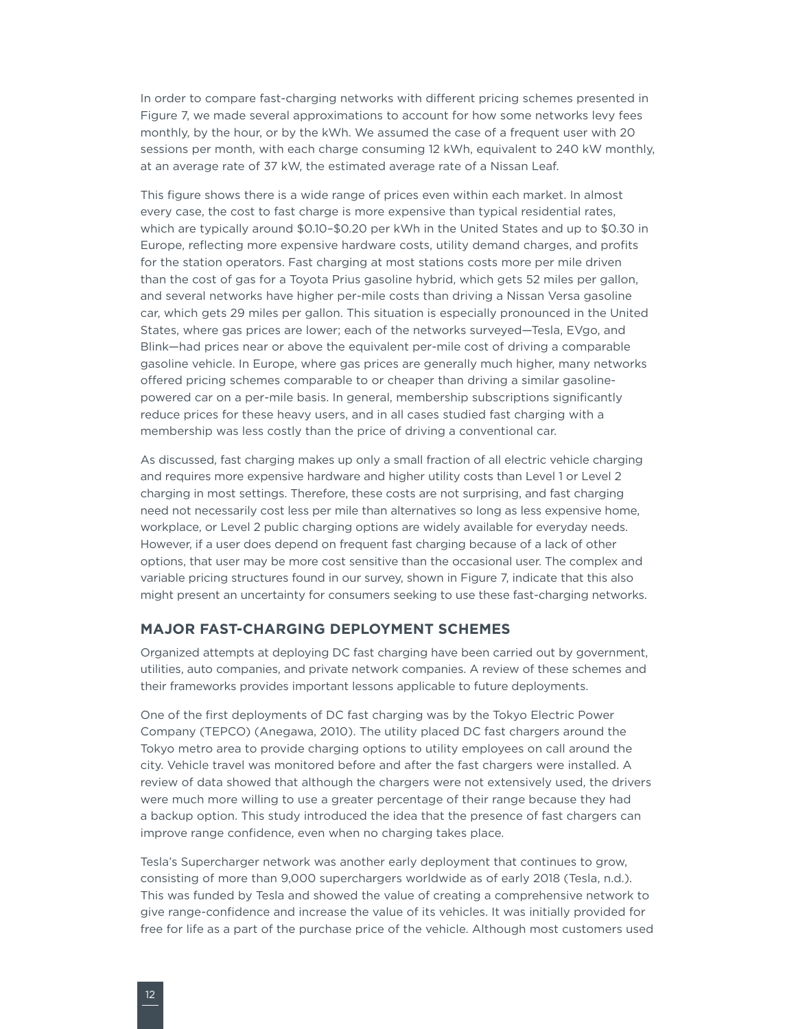<span id="page-17-0"></span>In order to compare fast-charging networks with different pricing schemes presented in [Figure](#page-16-1) 7, we made several approximations to account for how some networks levy fees monthly, by the hour, or by the kWh. We assumed the case of a frequent user with 20 sessions per month, with each charge consuming 12 kWh, equivalent to 240 kW monthly, at an average rate of 37 kW, the estimated average rate of a Nissan Leaf.

This figure shows there is a wide range of prices even within each market. In almost every case, the cost to fast charge is more expensive than typical residential rates, which are typically around \$0.10–\$0.20 per kWh in the United States and up to \$0.30 in Europe, reflecting more expensive hardware costs, utility demand charges, and profits for the station operators. Fast charging at most stations costs more per mile driven than the cost of gas for a Toyota Prius gasoline hybrid, which gets 52 miles per gallon, and several networks have higher per-mile costs than driving a Nissan Versa gasoline car, which gets 29 miles per gallon. This situation is especially pronounced in the United States, where gas prices are lower; each of the networks surveyed—Tesla, EVgo, and Blink—had prices near or above the equivalent per-mile cost of driving a comparable gasoline vehicle. In Europe, where gas prices are generally much higher, many networks offered pricing schemes comparable to or cheaper than driving a similar gasolinepowered car on a per-mile basis. In general, membership subscriptions significantly reduce prices for these heavy users, and in all cases studied fast charging with a membership was less costly than the price of driving a conventional car.

As discussed, fast charging makes up only a small fraction of all electric vehicle charging and requires more expensive hardware and higher utility costs than Level 1 or Level 2 charging in most settings. Therefore, these costs are not surprising, and fast charging need not necessarily cost less per mile than alternatives so long as less expensive home, workplace, or Level 2 public charging options are widely available for everyday needs. However, if a user does depend on frequent fast charging because of a lack of other options, that user may be more cost sensitive than the occasional user. The complex and variable pricing structures found in our survey, shown in [Figure](#page-16-1) 7, indicate that this also might present an uncertainty for consumers seeking to use these fast-charging networks.

#### **MAJOR FAST-CHARGING DEPLOYMENT SCHEMES**

Organized attempts at deploying DC fast charging have been carried out by government, utilities, auto companies, and private network companies. A review of these schemes and their frameworks provides important lessons applicable to future deployments.

One of the first deployments of DC fast charging was by the Tokyo Electric Power Company (TEPCO) (Anegawa, 2010). The utility placed DC fast chargers around the Tokyo metro area to provide charging options to utility employees on call around the city. Vehicle travel was monitored before and after the fast chargers were installed. A review of data showed that although the chargers were not extensively used, the drivers were much more willing to use a greater percentage of their range because they had a backup option. This study introduced the idea that the presence of fast chargers can improve range confidence, even when no charging takes place.

Tesla's Supercharger network was another early deployment that continues to grow, consisting of more than 9,000 superchargers worldwide as of early 2018 (Tesla, n.d.). This was funded by Tesla and showed the value of creating a comprehensive network to give range-confidence and increase the value of its vehicles. It was initially provided for free for life as a part of the purchase price of the vehicle. Although most customers used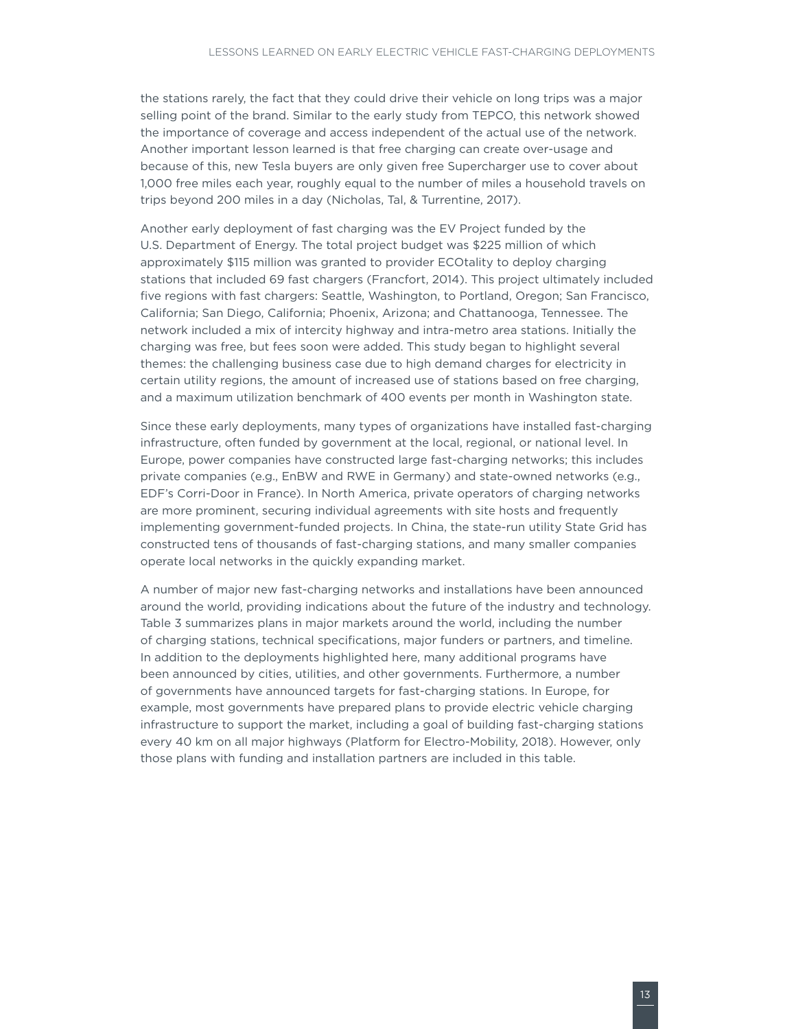the stations rarely, the fact that they could drive their vehicle on long trips was a major selling point of the brand. Similar to the early study from TEPCO, this network showed the importance of coverage and access independent of the actual use of the network. Another important lesson learned is that free charging can create over-usage and because of this, new Tesla buyers are only given free Supercharger use to cover about 1,000 free miles each year, roughly equal to the number of miles a household travels on trips beyond 200 miles in a day (Nicholas, Tal, & Turrentine, 2017).

Another early deployment of fast charging was the EV Project funded by the U.S. Department of Energy. The total project budget was \$225 million of which approximately \$115 million was granted to provider ECOtality to deploy charging stations that included 69 fast chargers (Francfort, 2014). This project ultimately included five regions with fast chargers: Seattle, Washington, to Portland, Oregon; San Francisco, California; San Diego, California; Phoenix, Arizona; and Chattanooga, Tennessee. The network included a mix of intercity highway and intra-metro area stations. Initially the charging was free, but fees soon were added. This study began to highlight several themes: the challenging business case due to high demand charges for electricity in certain utility regions, the amount of increased use of stations based on free charging, and a maximum utilization benchmark of 400 events per month in Washington state.

Since these early deployments, many types of organizations have installed fast-charging infrastructure, often funded by government at the local, regional, or national level. In Europe, power companies have constructed large fast-charging networks; this includes private companies (e.g., EnBW and RWE in Germany) and state-owned networks (e.g., EDF's Corri-Door in France). In North America, private operators of charging networks are more prominent, securing individual agreements with site hosts and frequently implementing government-funded projects. In China, the state-run utility State Grid has constructed tens of thousands of fast-charging stations, and many smaller companies operate local networks in the quickly expanding market.

A number of major new fast-charging networks and installations have been announced around the world, providing indications about the future of the industry and technology. Table 3 summarizes plans in major markets around the world, including the number of charging stations, technical specifications, major funders or partners, and timeline. In addition to the deployments highlighted here, many additional programs have been announced by cities, utilities, and other governments. Furthermore, a number of governments have announced targets for fast-charging stations. In Europe, for example, most governments have prepared plans to provide electric vehicle charging infrastructure to support the market, including a goal of building fast-charging stations every 40 km on all major highways (Platform for Electro-Mobility, 2018). However, only those plans with funding and installation partners are included in this table.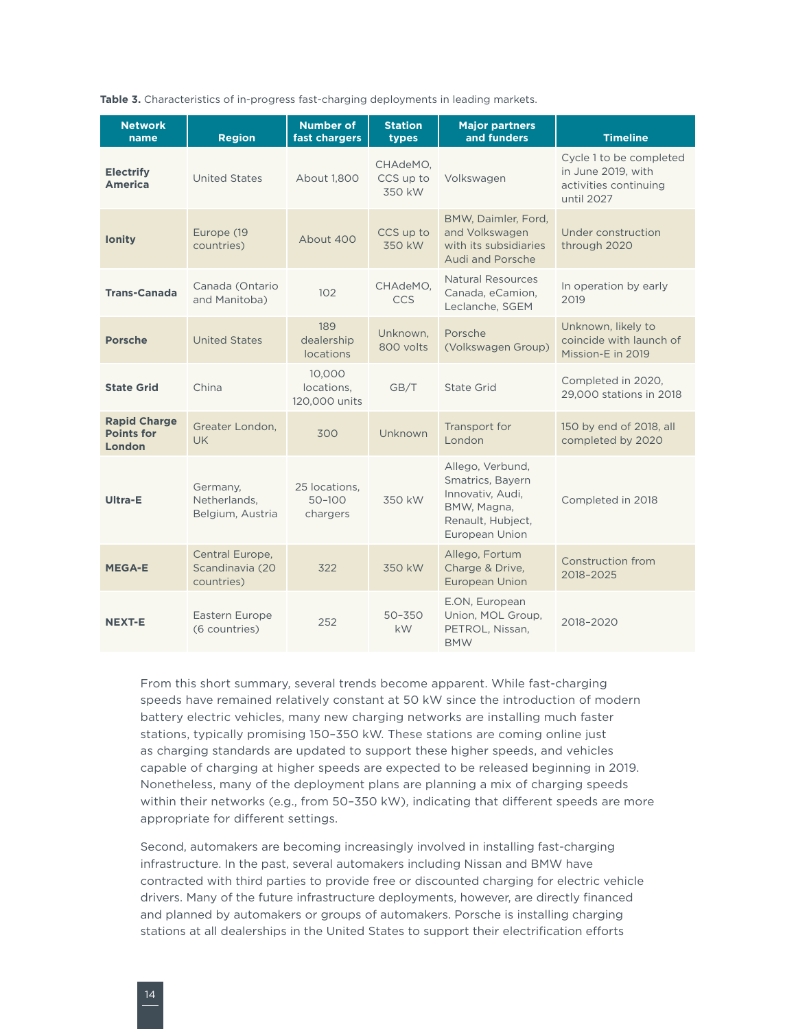<span id="page-19-0"></span>**Table 3.** Characteristics of in-progress fast-charging deployments in leading markets.

| <b>Network</b><br>name                             | <b>Region</b>                                    | <b>Number of</b><br>fast chargers       | <b>Station</b><br>types         | <b>Major partners</b><br>and funders                                                                           | <b>Timeline</b>                                                                      |
|----------------------------------------------------|--------------------------------------------------|-----------------------------------------|---------------------------------|----------------------------------------------------------------------------------------------------------------|--------------------------------------------------------------------------------------|
| <b>Electrify</b><br><b>America</b>                 | <b>United States</b>                             | About 1.800                             | CHAdeMO,<br>CCS up to<br>350 kW | Volkswagen                                                                                                     | Cycle 1 to be completed<br>in June 2019, with<br>activities continuing<br>until 2027 |
| <b>lonity</b>                                      | Europe (19<br>countries)                         | About 400                               | CCS up to<br>350 kW             | BMW, Daimler, Ford,<br>and Volkswagen<br>with its subsidiaries<br>Audi and Porsche                             | Under construction<br>through 2020                                                   |
| <b>Trans-Canada</b>                                | Canada (Ontario<br>and Manitoba)                 | 102                                     | CHAdeMO.<br><b>CCS</b>          | <b>Natural Resources</b><br>Canada, eCamion.<br>Leclanche, SGEM                                                | In operation by early<br>2019                                                        |
| <b>Porsche</b>                                     | <b>United States</b>                             | 189<br>dealership<br>locations          | Unknown.<br>800 volts           | Porsche<br>(Volkswagen Group)                                                                                  | Unknown, likely to<br>coincide with launch of<br>Mission-E in 2019                   |
| <b>State Grid</b>                                  | China                                            | 10.000<br>locations.<br>120,000 units   | GB/T                            | State Grid                                                                                                     | Completed in 2020.<br>29,000 stations in 2018                                        |
| <b>Rapid Charge</b><br><b>Points for</b><br>London | Greater London.<br>UK.                           | 300                                     | Unknown                         | Transport for<br>London                                                                                        | 150 by end of 2018, all<br>completed by 2020                                         |
| Ultra-E                                            | Germany,<br>Netherlands,<br>Belgium, Austria     | 25 locations.<br>$50 - 100$<br>chargers | 350 kW                          | Allego, Verbund,<br>Smatrics, Bayern<br>Innovativ, Audi,<br>BMW, Magna,<br>Renault, Hubject,<br>European Union | Completed in 2018                                                                    |
| <b>MEGA-E</b>                                      | Central Europe,<br>Scandinavia (20<br>countries) | 322                                     | 350 kW                          | Allego, Fortum<br>Charge & Drive,<br><b>European Union</b>                                                     | Construction from<br>2018-2025                                                       |
| <b>NEXT-E</b>                                      | Eastern Europe<br>(6 countries)                  | 252                                     | $50 - 350$<br>kW                | E.ON, European<br>Union, MOL Group,<br>PETROL, Nissan,<br><b>BMW</b>                                           | 2018-2020                                                                            |

From this short summary, several trends become apparent. While fast-charging speeds have remained relatively constant at 50 kW since the introduction of modern battery electric vehicles, many new charging networks are installing much faster stations, typically promising 150–350 kW. These stations are coming online just as charging standards are updated to support these higher speeds, and vehicles capable of charging at higher speeds are expected to be released beginning in 2019. Nonetheless, many of the deployment plans are planning a mix of charging speeds within their networks (e.g., from 50–350 kW), indicating that different speeds are more appropriate for different settings.

Second, automakers are becoming increasingly involved in installing fast-charging infrastructure. In the past, several automakers including Nissan and BMW have contracted with third parties to provide free or discounted charging for electric vehicle drivers. Many of the future infrastructure deployments, however, are directly financed and planned by automakers or groups of automakers. Porsche is installing charging stations at all dealerships in the United States to support their electrification efforts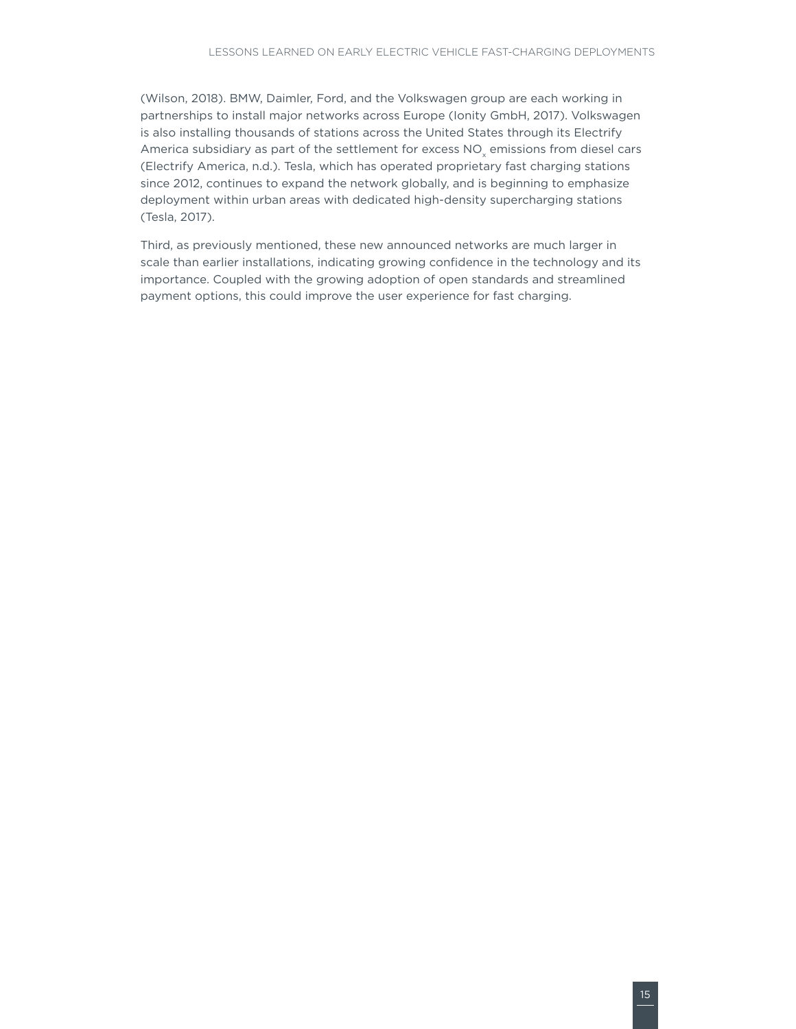(Wilson, 2018). BMW, Daimler, Ford, and the Volkswagen group are each working in partnerships to install major networks across Europe (Ionity GmbH, 2017). Volkswagen is also installing thousands of stations across the United States through its Electrify America subsidiary as part of the settlement for excess NO<sub>v</sub> emissions from diesel cars (Electrify America, n.d.). Tesla, which has operated proprietary fast charging stations since 2012, continues to expand the network globally, and is beginning to emphasize deployment within urban areas with dedicated high-density supercharging stations (Tesla, 2017).

Third, as previously mentioned, these new announced networks are much larger in scale than earlier installations, indicating growing confidence in the technology and its importance. Coupled with the growing adoption of open standards and streamlined payment options, this could improve the user experience for fast charging.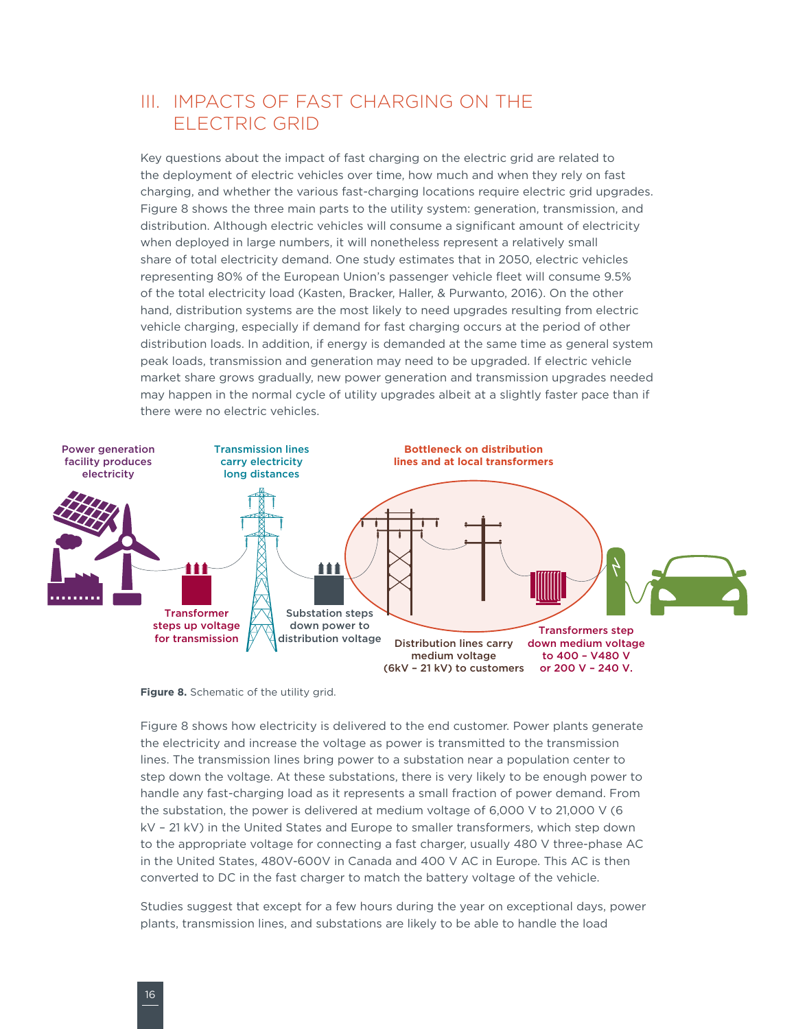### <span id="page-21-0"></span>III. IMPACTS OF FAST CHARGING ON THE ELECTRIC GRID

Key questions about the impact of fast charging on the electric grid are related to the deployment of electric vehicles over time, how much and when they rely on fast charging, and whether the various fast-charging locations require electric grid upgrades. [Figure](#page-21-1) 8 shows the three main parts to the utility system: generation, transmission, and distribution. Although electric vehicles will consume a significant amount of electricity when deployed in large numbers, it will nonetheless represent a relatively small share of total electricity demand. One study estimates that in 2050, electric vehicles representing 80% of the European Union's passenger vehicle fleet will consume 9.5% of the total electricity load (Kasten, Bracker, Haller, & Purwanto, 2016). On the other hand, distribution systems are the most likely to need upgrades resulting from electric vehicle charging, especially if demand for fast charging occurs at the period of other distribution loads. In addition, if energy is demanded at the same time as general system peak loads, transmission and generation may need to be upgraded. If electric vehicle market share grows gradually, new power generation and transmission upgrades needed may happen in the normal cycle of utility upgrades albeit at a slightly faster pace than if there were no electric vehicles.



<span id="page-21-1"></span>**Figure 8.** Schematic of the utility grid.

[Figure](#page-21-1) 8 shows how electricity is delivered to the end customer. Power plants generate the electricity and increase the voltage as power is transmitted to the transmission lines. The transmission lines bring power to a substation near a population center to step down the voltage. At these substations, there is very likely to be enough power to handle any fast-charging load as it represents a small fraction of power demand. From the substation, the power is delivered at medium voltage of 6,000 V to 21,000 V (6 kV – 21 kV) in the United States and Europe to smaller transformers, which step down to the appropriate voltage for connecting a fast charger, usually 480 V three-phase AC in the United States, 480V-600V in Canada and 400 V AC in Europe. This AC is then converted to DC in the fast charger to match the battery voltage of the vehicle.

Studies suggest that except for a few hours during the year on exceptional days, power plants, transmission lines, and substations are likely to be able to handle the load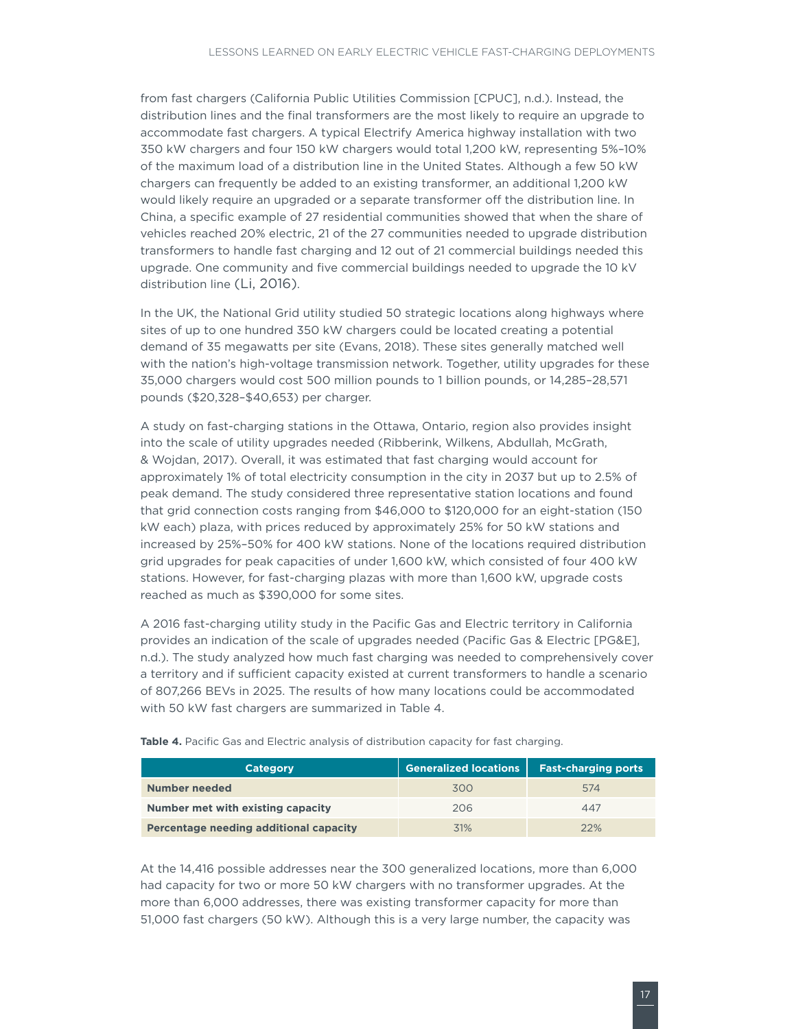<span id="page-22-0"></span>from fast chargers (California Public Utilities Commission [CPUC], n.d.). Instead, the distribution lines and the final transformers are the most likely to require an upgrade to accommodate fast chargers. A typical Electrify America highway installation with two 350 kW chargers and four 150 kW chargers would total 1,200 kW, representing 5%–10% of the maximum load of a distribution line in the United States. Although a few 50 kW chargers can frequently be added to an existing transformer, an additional 1,200 kW would likely require an upgraded or a separate transformer off the distribution line. In China, a specific example of 27 residential communities showed that when the share of vehicles reached 20% electric, 21 of the 27 communities needed to upgrade distribution transformers to handle fast charging and 12 out of 21 commercial buildings needed this upgrade. One community and five commercial buildings needed to upgrade the 10 kV distribution line (Li, 2016).

In the UK, the National Grid utility studied 50 strategic locations along highways where sites of up to one hundred 350 kW chargers could be located creating a potential demand of 35 megawatts per site (Evans, 2018). These sites generally matched well with the nation's high-voltage transmission network. Together, utility upgrades for these 35,000 chargers would cost 500 million pounds to 1 billion pounds, or 14,285–28,571 pounds (\$20,328–\$40,653) per charger.

A study on fast-charging stations in the Ottawa, Ontario, region also provides insight into the scale of utility upgrades needed (Ribberink, Wilkens, Abdullah, McGrath, & Wojdan, 2017). Overall, it was estimated that fast charging would account for approximately 1% of total electricity consumption in the city in 2037 but up to 2.5% of peak demand. The study considered three representative station locations and found that grid connection costs ranging from \$46,000 to \$120,000 for an eight-station (150 kW each) plaza, with prices reduced by approximately 25% for 50 kW stations and increased by 25%–50% for 400 kW stations. None of the locations required distribution grid upgrades for peak capacities of under 1,600 kW, which consisted of four 400 kW stations. However, for fast-charging plazas with more than 1,600 kW, upgrade costs reached as much as \$390,000 for some sites.

A 2016 fast-charging utility study in the Pacific Gas and Electric territory in California provides an indication of the scale of upgrades needed (Pacific Gas & Electric [PG&E], n.d.). The study analyzed how much fast charging was needed to comprehensively cover a territory and if sufficient capacity existed at current transformers to handle a scenario of 807,266 BEVs in 2025. The results of how many locations could be accommodated with 50 kW fast chargers are summarized in [Table 4](#page-22-1).

| <b>Category</b>                        | <b>Generalized locations</b> | <b>Fast-charging ports</b> |
|----------------------------------------|------------------------------|----------------------------|
| <b>Number needed</b>                   | 300                          | 574                        |
| Number met with existing capacity      | 206                          | 447                        |
| Percentage needing additional capacity | 31%                          | 22%                        |

<span id="page-22-1"></span>Table 4. Pacific Gas and Electric analysis of distribution capacity for fast charging.

At the 14,416 possible addresses near the 300 generalized locations, more than 6,000 had capacity for two or more 50 kW chargers with no transformer upgrades. At the more than 6,000 addresses, there was existing transformer capacity for more than 51,000 fast chargers (50 kW). Although this is a very large number, the capacity was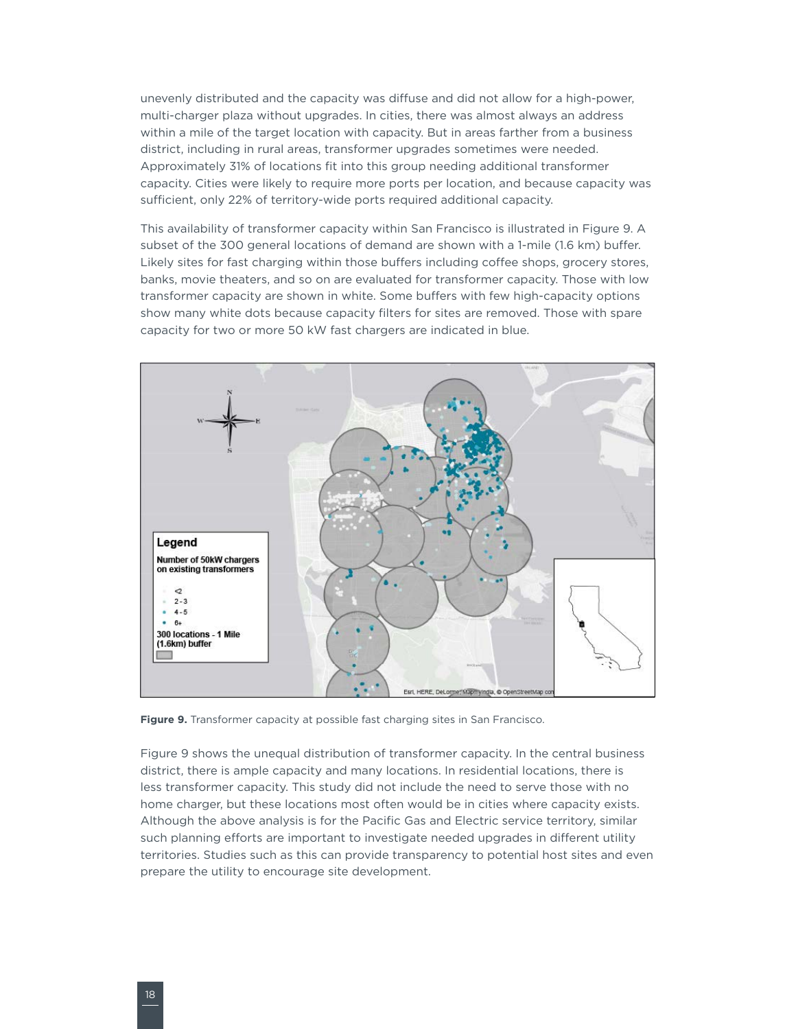<span id="page-23-0"></span>unevenly distributed and the capacity was diffuse and did not allow for a high-power, multi-charger plaza without upgrades. In cities, there was almost always an address within a mile of the target location with capacity. But in areas farther from a business district, including in rural areas, transformer upgrades sometimes were needed. Approximately 31% of locations fit into this group needing additional transformer capacity. Cities were likely to require more ports per location, and because capacity was sufficient, only 22% of territory-wide ports required additional capacity.

This availability of transformer capacity within San Francisco is illustrated in [Figure](#page-23-1) 9. A subset of the 300 general locations of demand are shown with a 1-mile (1.6 km) buffer. Likely sites for fast charging within those buffers including coffee shops, grocery stores, banks, movie theaters, and so on are evaluated for transformer capacity. Those with low transformer capacity are shown in white. Some buffers with few high-capacity options show many white dots because capacity filters for sites are removed. Those with spare capacity for two or more 50 kW fast chargers are indicated in blue.



<span id="page-23-1"></span>**Figure 9.** Transformer capacity at possible fast charging sites in San Francisco.

[Figure](#page-23-1) 9 shows the unequal distribution of transformer capacity. In the central business district, there is ample capacity and many locations. In residential locations, there is less transformer capacity. This study did not include the need to serve those with no home charger, but these locations most often would be in cities where capacity exists. Although the above analysis is for the Pacific Gas and Electric service territory, similar such planning efforts are important to investigate needed upgrades in different utility territories. Studies such as this can provide transparency to potential host sites and even prepare the utility to encourage site development.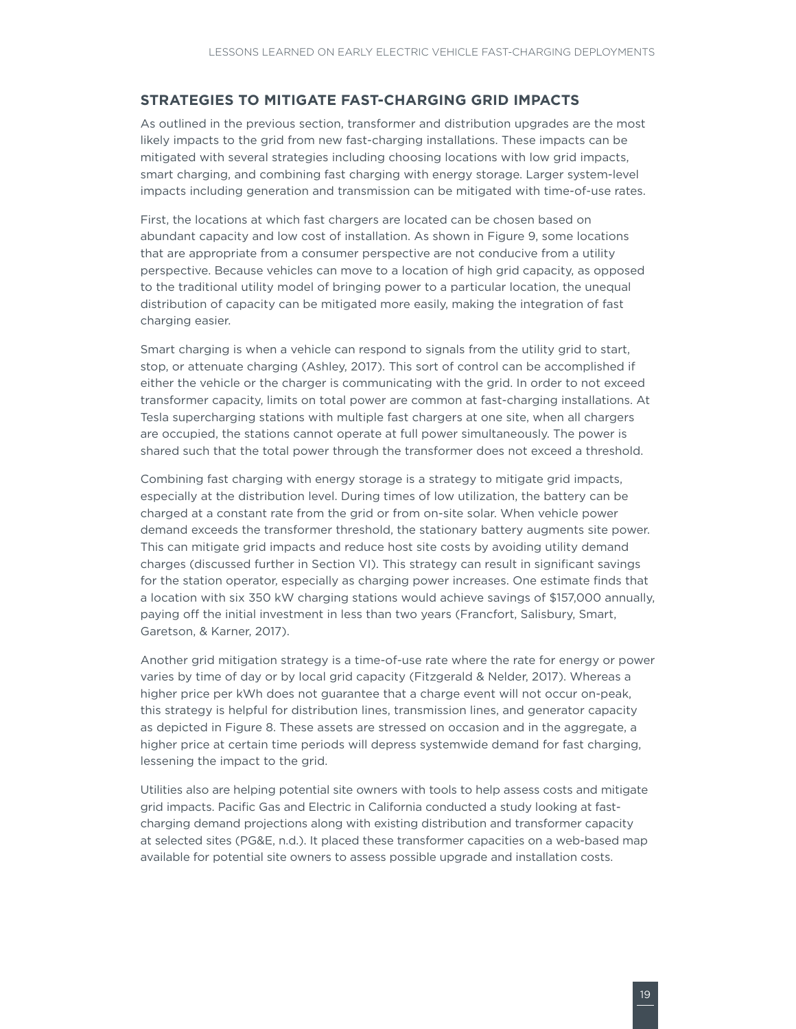### <span id="page-24-0"></span>**STRATEGIES TO MITIGATE FAST-CHARGING GRID IMPACTS**

As outlined in the previous section, transformer and distribution upgrades are the most likely impacts to the grid from new fast-charging installations. These impacts can be mitigated with several strategies including choosing locations with low grid impacts, smart charging, and combining fast charging with energy storage. Larger system-level impacts including generation and transmission can be mitigated with time-of-use rates.

First, the locations at which fast chargers are located can be chosen based on abundant capacity and low cost of installation. As shown in [Figure](#page-23-1) 9, some locations that are appropriate from a consumer perspective are not conducive from a utility perspective. Because vehicles can move to a location of high grid capacity, as opposed to the traditional utility model of bringing power to a particular location, the unequal distribution of capacity can be mitigated more easily, making the integration of fast charging easier.

Smart charging is when a vehicle can respond to signals from the utility grid to start, stop, or attenuate charging (Ashley, 2017). This sort of control can be accomplished if either the vehicle or the charger is communicating with the grid. In order to not exceed transformer capacity, limits on total power are common at fast-charging installations. At Tesla supercharging stations with multiple fast chargers at one site, when all chargers are occupied, the stations cannot operate at full power simultaneously. The power is shared such that the total power through the transformer does not exceed a threshold.

Combining fast charging with energy storage is a strategy to mitigate grid impacts, especially at the distribution level. During times of low utilization, the battery can be charged at a constant rate from the grid or from on-site solar. When vehicle power demand exceeds the transformer threshold, the stationary battery augments site power. This can mitigate grid impacts and reduce host site costs by avoiding utility demand charges (discussed further in Section VI). This strategy can result in significant savings for the station operator, especially as charging power increases. One estimate finds that a location with six 350 kW charging stations would achieve savings of \$157,000 annually, paying off the initial investment in less than two years (Francfort, Salisbury, Smart, Garetson, & Karner, 2017).

Another grid mitigation strategy is a time-of-use rate where the rate for energy or power varies by time of day or by local grid capacity (Fitzgerald & Nelder, 2017). Whereas a higher price per kWh does not guarantee that a charge event will not occur on-peak, this strategy is helpful for distribution lines, transmission lines, and generator capacity as depicted in [Figure 8](#page-21-1). These assets are stressed on occasion and in the aggregate, a higher price at certain time periods will depress systemwide demand for fast charging, lessening the impact to the grid.

Utilities also are helping potential site owners with tools to help assess costs and mitigate grid impacts. Pacific Gas and Electric in California conducted a study looking at fastcharging demand projections along with existing distribution and transformer capacity at selected sites (PG&E, n.d.). It placed these transformer capacities on a web-based map available for potential site owners to assess possible upgrade and installation costs.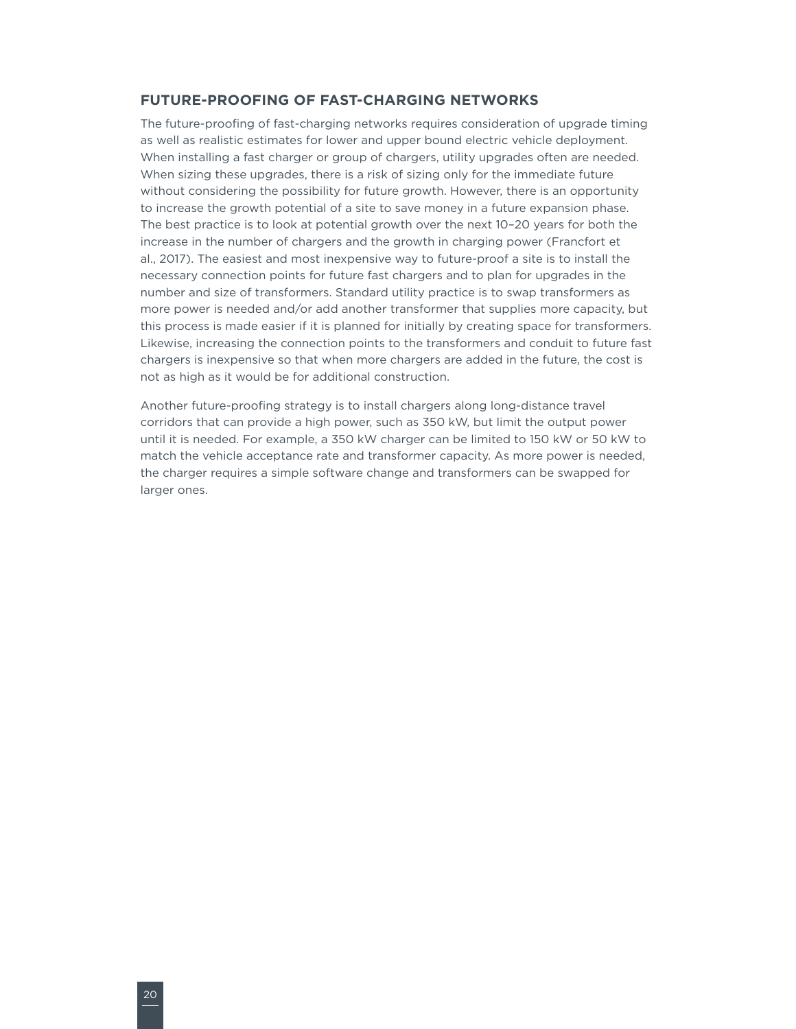#### <span id="page-25-0"></span>**FUTURE-PROOFING OF FAST-CHARGING NETWORKS**

The future-proofing of fast-charging networks requires consideration of upgrade timing as well as realistic estimates for lower and upper bound electric vehicle deployment. When installing a fast charger or group of chargers, utility upgrades often are needed. When sizing these upgrades, there is a risk of sizing only for the immediate future without considering the possibility for future growth. However, there is an opportunity to increase the growth potential of a site to save money in a future expansion phase. The best practice is to look at potential growth over the next 10–20 years for both the increase in the number of chargers and the growth in charging power (Francfort et al., 2017). The easiest and most inexpensive way to future-proof a site is to install the necessary connection points for future fast chargers and to plan for upgrades in the number and size of transformers. Standard utility practice is to swap transformers as more power is needed and/or add another transformer that supplies more capacity, but this process is made easier if it is planned for initially by creating space for transformers. Likewise, increasing the connection points to the transformers and conduit to future fast chargers is inexpensive so that when more chargers are added in the future, the cost is not as high as it would be for additional construction.

Another future-proofing strategy is to install chargers along long-distance travel corridors that can provide a high power, such as 350 kW, but limit the output power until it is needed. For example, a 350 kW charger can be limited to 150 kW or 50 kW to match the vehicle acceptance rate and transformer capacity. As more power is needed, the charger requires a simple software change and transformers can be swapped for larger ones.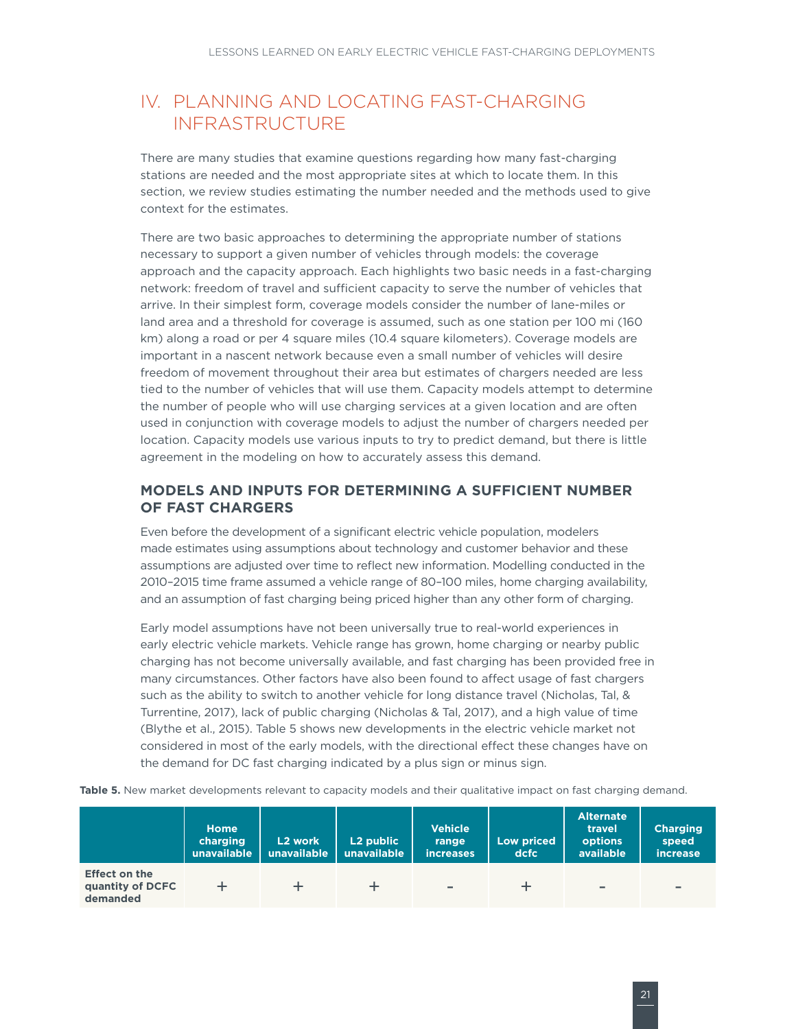### <span id="page-26-0"></span>IV. PLANNING AND LOCATING FAST-CHARGING INFRASTRUCTURE

There are many studies that examine questions regarding how many fast-charging stations are needed and the most appropriate sites at which to locate them. In this section, we review studies estimating the number needed and the methods used to give context for the estimates.

There are two basic approaches to determining the appropriate number of stations necessary to support a given number of vehicles through models: the coverage approach and the capacity approach. Each highlights two basic needs in a fast-charging network: freedom of travel and sufficient capacity to serve the number of vehicles that arrive. In their simplest form, coverage models consider the number of lane-miles or land area and a threshold for coverage is assumed, such as one station per 100 mi (160 km) along a road or per 4 square miles (10.4 square kilometers). Coverage models are important in a nascent network because even a small number of vehicles will desire freedom of movement throughout their area but estimates of chargers needed are less tied to the number of vehicles that will use them. Capacity models attempt to determine the number of people who will use charging services at a given location and are often used in conjunction with coverage models to adjust the number of chargers needed per location. Capacity models use various inputs to try to predict demand, but there is little agreement in the modeling on how to accurately assess this demand.

### **MODELS AND INPUTS FOR DETERMINING A SUFFICIENT NUMBER OF FAST CHARGERS**

Even before the development of a significant electric vehicle population, modelers made estimates using assumptions about technology and customer behavior and these assumptions are adjusted over time to reflect new information. Modelling conducted in the 2010–2015 time frame assumed a vehicle range of 80–100 miles, home charging availability, and an assumption of fast charging being priced higher than any other form of charging.

Early model assumptions have not been universally true to real-world experiences in early electric vehicle markets. Vehicle range has grown, home charging or nearby public charging has not become universally available, and fast charging has been provided free in many circumstances. Other factors have also been found to affect usage of fast chargers such as the ability to switch to another vehicle for long distance travel (Nicholas, Tal, & Turrentine, 2017), lack of public charging (Nicholas & Tal, 2017), and a high value of time (Blythe et al., 2015). Table 5 shows new developments in the electric vehicle market not considered in most of the early models, with the directional effect these changes have on the demand for DC fast charging indicated by a plus sign or minus sign.

**Home charging unavailable L2 work unavailable L2 public unavailable Vehicle range increases Low priced dcfc Alternate travel options available Charging speed increase**

+ + + - + - -

**Table 5.** New market developments relevant to capacity models and their qualitative impact on fast charging demand.

**Effect on the quantity of DCFC demanded**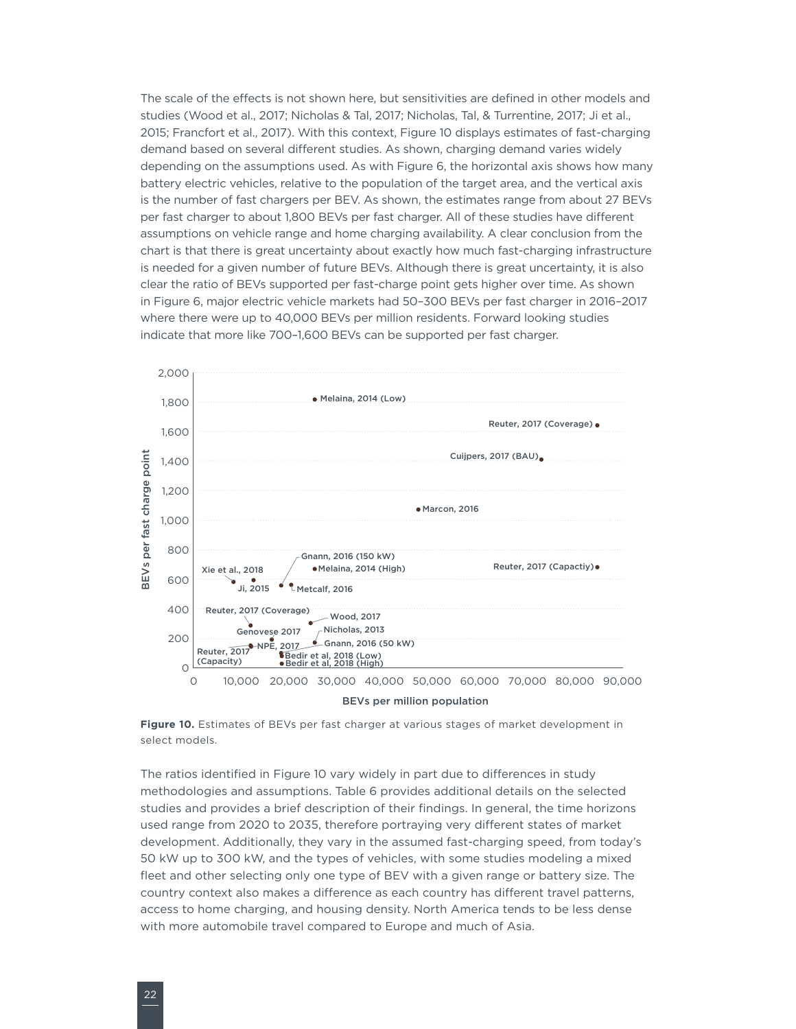<span id="page-27-0"></span>The scale of the effects is not shown here, but sensitivities are defined in other models and studies (Wood et al., 2017; Nicholas & Tal, 2017; Nicholas, Tal, & Turrentine, 2017; Ji et al., 2015; Francfort et al., 2017). With this context, [Figure](#page-27-1) 10 displays estimates of fast-charging demand based on several different studies. As shown, charging demand varies widely depending on the assumptions used. As with [Figure 6](#page-14-1), the horizontal axis shows how many battery electric vehicles, relative to the population of the target area, and the vertical axis is the number of fast chargers per BEV. As shown, the estimates range from about 27 BEVs per fast charger to about 1,800 BEVs per fast charger. All of these studies have different assumptions on vehicle range and home charging availability. A clear conclusion from the chart is that there is great uncertainty about exactly how much fast-charging infrastructure is needed for a given number of future BEVs. Although there is great uncertainty, it is also clear the ratio of BEVs supported per fast-charge point gets higher over time. As shown in [Figure 6](#page-14-1), major electric vehicle markets had 50–300 BEVs per fast charger in 2016–2017 where there were up to 40,000 BEVs per million residents. Forward looking studies indicate that more like 700–1,600 BEVs can be supported per fast charger.



<span id="page-27-1"></span>**Figure 10.** Estimates of BEVs per fast charger at various stages of market development in select models.

The ratios identified in [Figure 1](#page-27-1)0 vary widely in part due to differences in study methodologies and assumptions. Table 6 provides additional details on the selected studies and provides a brief description of their findings. In general, the time horizons used range from 2020 to 2035, therefore portraying very different states of market development. Additionally, they vary in the assumed fast-charging speed, from today's 50 kW up to 300 kW, and the types of vehicles, with some studies modeling a mixed fleet and other selecting only one type of BEV with a given range or battery size. The country context also makes a difference as each country has different travel patterns, access to home charging, and housing density. North America tends to be less dense with more automobile travel compared to Europe and much of Asia.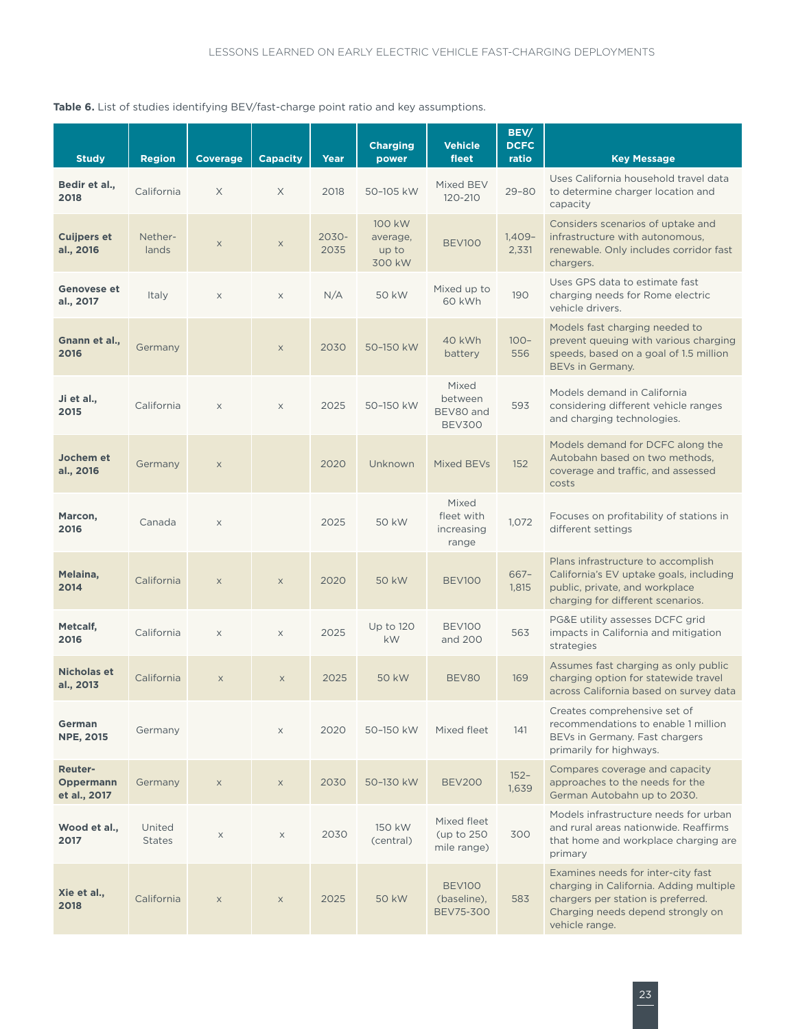<span id="page-28-0"></span>Table 6. List of studies identifying BEV/fast-charge point ratio and key assumptions.

| <b>Study</b>                                | <b>Region</b>           | <b>Coverage</b> | <b>Capacity</b> | Year          | <b>Charging</b><br>power              | <b>Vehicle</b><br>fleet                          | BEV/<br><b>DCFC</b><br>ratio | <b>Key Message</b>                                                                                                                                                         |
|---------------------------------------------|-------------------------|-----------------|-----------------|---------------|---------------------------------------|--------------------------------------------------|------------------------------|----------------------------------------------------------------------------------------------------------------------------------------------------------------------------|
| Bedir et al.,<br>2018                       | California              | X               | $\times$        | 2018          | 50-105 kW                             | Mixed BEV<br>120-210                             | $29 - 80$                    | Uses California household travel data<br>to determine charger location and<br>capacity                                                                                     |
| <b>Cuijpers et</b><br>al., 2016             | Nether-<br>lands        | X               | $\mathsf X$     | 2030-<br>2035 | 100 kW<br>average,<br>up to<br>300 kW | <b>BEV100</b>                                    | $1,409-$<br>2,331            | Considers scenarios of uptake and<br>infrastructure with autonomous,<br>renewable. Only includes corridor fast<br>chargers.                                                |
| <b>Genovese et</b><br>al., 2017             | Italy                   | $\mathsf X$     | $\mathsf X$     | N/A           | 50 kW                                 | Mixed up to<br>60 kWh                            | 190                          | Uses GPS data to estimate fast<br>charging needs for Rome electric<br>vehicle drivers.                                                                                     |
| Gnann et al.,<br>2016                       | Germany                 |                 | $\mathsf X$     | 2030          | 50-150 kW                             | 40 kWh<br>battery                                | $100 -$<br>556               | Models fast charging needed to<br>prevent queuing with various charging<br>speeds, based on a goal of 1.5 million<br>BEVs in Germany.                                      |
| Ji et al.,<br>2015                          | California              | $\mathsf X$     | $\mathsf X$     | 2025          | 50-150 kW                             | Mixed<br>between<br>BEV80 and<br><b>BEV300</b>   | 593                          | Models demand in California<br>considering different vehicle ranges<br>and charging technologies.                                                                          |
| Jochem et<br>al., 2016                      | Germany                 | $\mathsf X$     |                 | 2020          | Unknown                               | Mixed BEVs                                       | 152                          | Models demand for DCFC along the<br>Autobahn based on two methods.<br>coverage and traffic, and assessed<br>costs                                                          |
| Marcon,<br>2016                             | Canada                  | $\mathsf X$     |                 | 2025          | 50 kW                                 | Mixed<br>fleet with<br>increasing<br>range       | 1,072                        | Focuses on profitability of stations in<br>different settings                                                                                                              |
| Melaina,<br>2014                            | California              | $\mathsf X$     | $\mathsf X$     | 2020          | 50 kW                                 | BEV <sub>100</sub>                               | $667 -$<br>1,815             | Plans infrastructure to accomplish<br>California's EV uptake goals, including<br>public, private, and workplace<br>charging for different scenarios.                       |
| Metcalf,<br>2016                            | California              | $\times$        | $\times$        | 2025          | Up to 120<br><b>kW</b>                | BEV100<br>and 200                                | 563                          | PG&E utility assesses DCFC grid<br>impacts in California and mitigation<br>strategies                                                                                      |
| <b>Nicholas et</b><br>al., 2013             | California              | $\mathsf X$     | $\mathsf X$     | 2025          | 50 kW                                 | BEV80                                            | 169                          | Assumes fast charging as only public<br>charging option for statewide travel<br>across California based on survey data                                                     |
| German<br><b>NPE, 2015</b>                  | Germany                 |                 | $\mathsf X$     | 2020          | 50-150 kW                             | Mixed fleet                                      | 141                          | Creates comprehensive set of<br>recommendations to enable 1 million<br>BEVs in Germany. Fast chargers<br>primarily for highways.                                           |
| <b>Reuter-</b><br>Oppermann<br>et al., 2017 | Germany                 | $\mathsf X$     | $\mathsf X$     | 2030          | 50-130 kW                             | <b>BEV200</b>                                    | $152 -$<br>1,639             | Compares coverage and capacity<br>approaches to the needs for the<br>German Autobahn up to 2030.                                                                           |
| Wood et al.,<br>2017                        | United<br><b>States</b> | $\mathsf X$     | $\times$        | 2030          | 150 kW<br>(central)                   | Mixed fleet<br>(up to 250)<br>mile range)        | 300                          | Models infrastructure needs for urban<br>and rural areas nationwide. Reaffirms<br>that home and workplace charging are<br>primary                                          |
| Xie et al.,<br>2018                         | California              | $\mathsf X$     | $\mathsf X$     | 2025          | 50 kW                                 | <b>BEV100</b><br>(baseline),<br><b>BEV75-300</b> | 583                          | Examines needs for inter-city fast<br>charging in California. Adding multiple<br>chargers per station is preferred.<br>Charging needs depend strongly on<br>vehicle range. |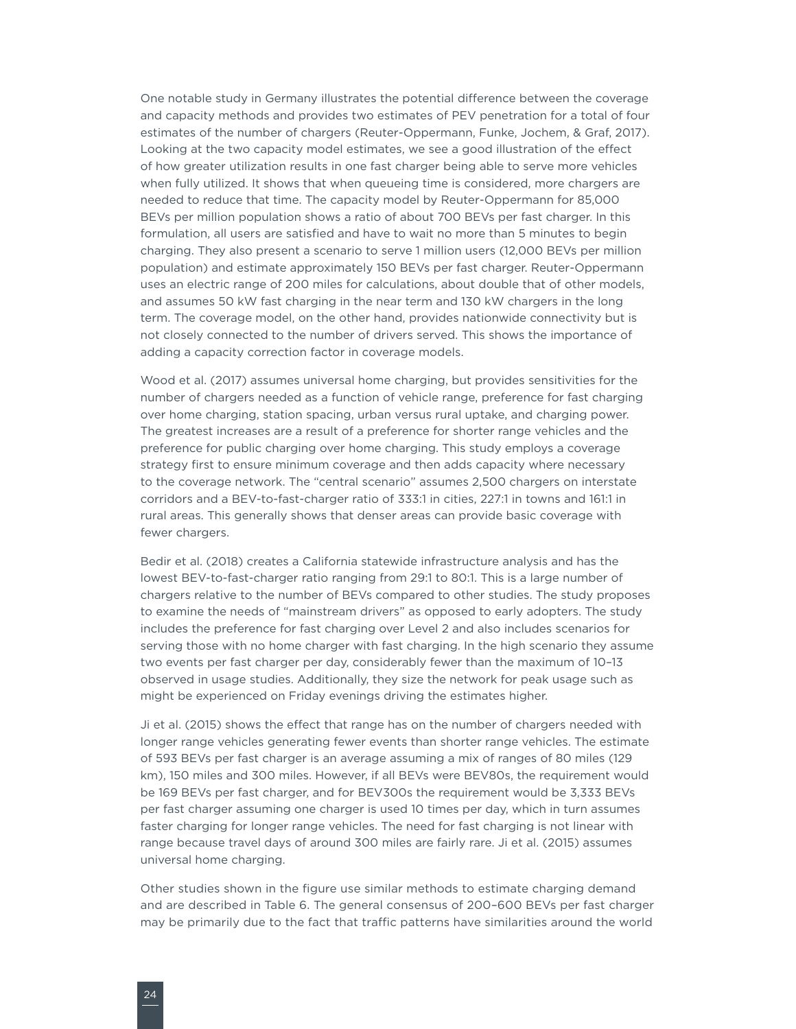One notable study in Germany illustrates the potential difference between the coverage and capacity methods and provides two estimates of PEV penetration for a total of four estimates of the number of chargers (Reuter-Oppermann, Funke, Jochem, & Graf, 2017). Looking at the two capacity model estimates, we see a good illustration of the effect of how greater utilization results in one fast charger being able to serve more vehicles when fully utilized. It shows that when queueing time is considered, more chargers are needed to reduce that time. The capacity model by Reuter-Oppermann for 85,000 BEVs per million population shows a ratio of about 700 BEVs per fast charger. In this formulation, all users are satisfied and have to wait no more than 5 minutes to begin charging. They also present a scenario to serve 1 million users (12,000 BEVs per million population) and estimate approximately 150 BEVs per fast charger. Reuter-Oppermann uses an electric range of 200 miles for calculations, about double that of other models, and assumes 50 kW fast charging in the near term and 130 kW chargers in the long term. The coverage model, on the other hand, provides nationwide connectivity but is not closely connected to the number of drivers served. This shows the importance of adding a capacity correction factor in coverage models.

Wood et al. (2017) assumes universal home charging, but provides sensitivities for the number of chargers needed as a function of vehicle range, preference for fast charging over home charging, station spacing, urban versus rural uptake, and charging power. The greatest increases are a result of a preference for shorter range vehicles and the preference for public charging over home charging. This study employs a coverage strategy first to ensure minimum coverage and then adds capacity where necessary to the coverage network. The "central scenario" assumes 2,500 chargers on interstate corridors and a BEV-to-fast-charger ratio of 333:1 in cities, 227:1 in towns and 161:1 in rural areas. This generally shows that denser areas can provide basic coverage with fewer chargers.

Bedir et al. (2018) creates a California statewide infrastructure analysis and has the lowest BEV-to-fast-charger ratio ranging from 29:1 to 80:1. This is a large number of chargers relative to the number of BEVs compared to other studies. The study proposes to examine the needs of "mainstream drivers" as opposed to early adopters. The study includes the preference for fast charging over Level 2 and also includes scenarios for serving those with no home charger with fast charging. In the high scenario they assume two events per fast charger per day, considerably fewer than the maximum of 10–13 observed in usage studies. Additionally, they size the network for peak usage such as might be experienced on Friday evenings driving the estimates higher.

Ji et al. (2015) shows the effect that range has on the number of chargers needed with longer range vehicles generating fewer events than shorter range vehicles. The estimate of 593 BEVs per fast charger is an average assuming a mix of ranges of 80 miles (129 km), 150 miles and 300 miles. However, if all BEVs were BEV80s, the requirement would be 169 BEVs per fast charger, and for BEV300s the requirement would be 3,333 BEVs per fast charger assuming one charger is used 10 times per day, which in turn assumes faster charging for longer range vehicles. The need for fast charging is not linear with range because travel days of around 300 miles are fairly rare. Ji et al. (2015) assumes universal home charging.

Other studies shown in the figure use similar methods to estimate charging demand and are described in Table 6. The general consensus of 200–600 BEVs per fast charger may be primarily due to the fact that traffic patterns have similarities around the world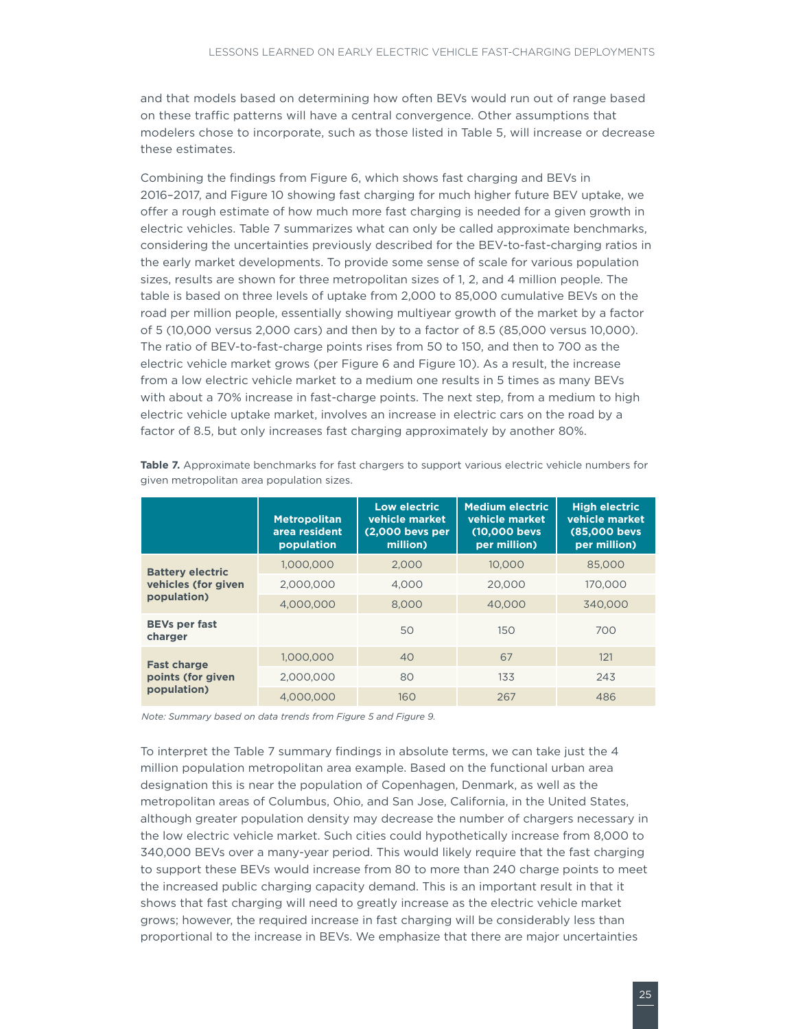<span id="page-30-0"></span>and that models based on determining how often BEVs would run out of range based on these traffic patterns will have a central convergence. Other assumptions that modelers chose to incorporate, such as those listed in Table 5, will increase or decrease these estimates.

Combining the findings from [Figure 6](#page-14-1), which shows fast charging and BEVs in 2016–2017, and [Figure 1](#page-27-1)0 showing fast charging for much higher future BEV uptake, we offer a rough estimate of how much more fast charging is needed for a given growth in electric vehicles. Table 7 summarizes what can only be called approximate benchmarks, considering the uncertainties previously described for the BEV-to-fast-charging ratios in the early market developments. To provide some sense of scale for various population sizes, results are shown for three metropolitan sizes of 1, 2, and 4 million people. The table is based on three levels of uptake from 2,000 to 85,000 cumulative BEVs on the road per million people, essentially showing multiyear growth of the market by a factor of 5 (10,000 versus 2,000 cars) and then by to a factor of 8.5 (85,000 versus 10,000). The ratio of BEV-to-fast-charge points rises from 50 to 150, and then to 700 as the electric vehicle market grows (per [Figure](#page-14-1) 6 and [Figure](#page-27-1) 10). As a result, the increase from a low electric vehicle market to a medium one results in 5 times as many BEVs with about a 70% increase in fast-charge points. The next step, from a medium to high electric vehicle uptake market, involves an increase in electric cars on the road by a factor of 8.5, but only increases fast charging approximately by another 80%.

|                                 | <b>Metropolitan</b><br>area resident<br>population | Low electric<br>vehicle market<br>(2.000 bevs per<br>million) | <b>Medium electric</b><br>vehicle market<br>(10,000 bevs)<br>per million) | <b>High electric</b><br>vehicle market<br>(85,000 bevs)<br>per million) |
|---------------------------------|----------------------------------------------------|---------------------------------------------------------------|---------------------------------------------------------------------------|-------------------------------------------------------------------------|
| <b>Battery electric</b>         | 1,000,000                                          | 2.000                                                         | 10.000                                                                    | 85,000                                                                  |
| vehicles (for given             | 2.000.000                                          | 4.000                                                         | 20,000                                                                    | 170,000                                                                 |
| population)                     | 4,000,000                                          | 8,000                                                         | 40,000                                                                    | 340,000                                                                 |
| <b>BEVs per fast</b><br>charger |                                                    | 50                                                            | 150                                                                       | 700                                                                     |
| <b>Fast charge</b>              | 1,000,000                                          | 40                                                            | 67                                                                        | 121                                                                     |
| points (for given               | 2,000,000                                          | 80                                                            | 133                                                                       | 243                                                                     |
| population)                     | 4.000.000                                          | 160                                                           | 267                                                                       | 486                                                                     |

Table 7. Approximate benchmarks for fast chargers to support various electric vehicle numbers for given metropolitan area population sizes.

*Note: Summary based on data trends from Figure 5 and Figure 9.* 

To interpret the Table 7 summary findings in absolute terms, we can take just the 4 million population metropolitan area example. Based on the functional urban area designation this is near the population of Copenhagen, Denmark, as well as the metropolitan areas of Columbus, Ohio, and San Jose, California, in the United States, although greater population density may decrease the number of chargers necessary in the low electric vehicle market. Such cities could hypothetically increase from 8,000 to 340,000 BEVs over a many-year period. This would likely require that the fast charging to support these BEVs would increase from 80 to more than 240 charge points to meet the increased public charging capacity demand. This is an important result in that it shows that fast charging will need to greatly increase as the electric vehicle market grows; however, the required increase in fast charging will be considerably less than proportional to the increase in BEVs. We emphasize that there are major uncertainties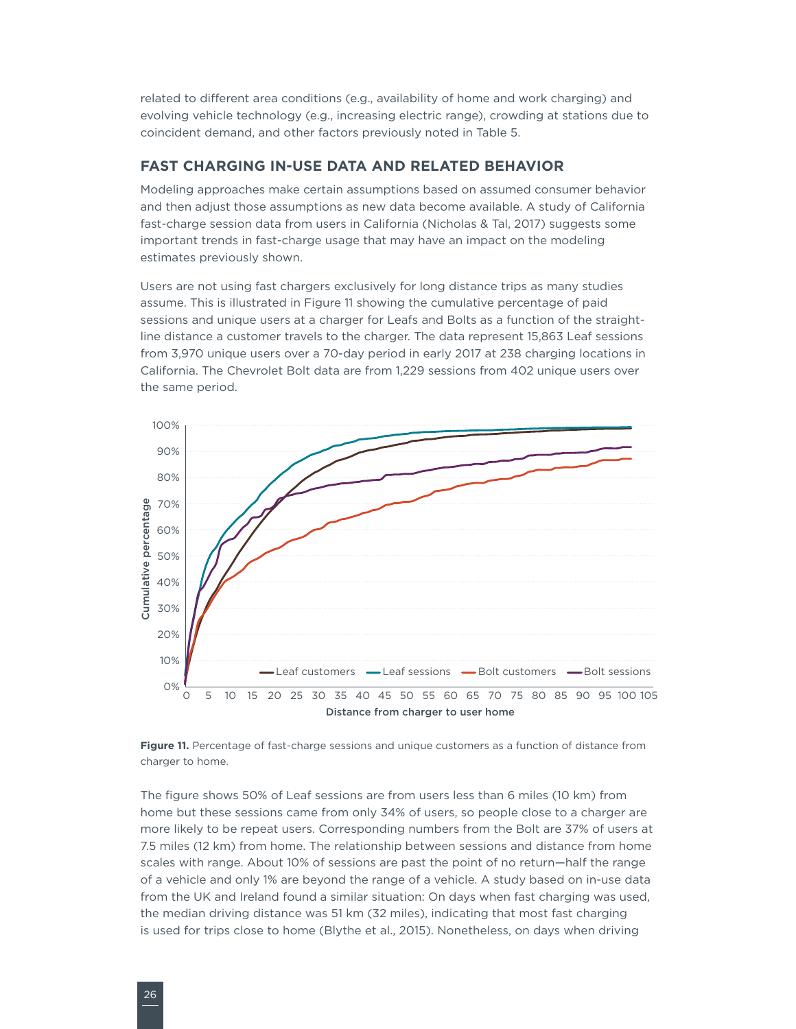<span id="page-31-0"></span>related to different area conditions (e.g., availability of home and work charging) and evolving vehicle technology (e.g., increasing electric range), crowding at stations due to coincident demand, and other factors previously noted in Table 5.

#### **FAST CHARGING IN-USE DATA AND RELATED BEHAVIOR**

Modeling approaches make certain assumptions based on assumed consumer behavior and then adjust those assumptions as new data become available. A study of California fast-charge session data from users in California (Nicholas & Tal, 2017) suggests some important trends in fast-charge usage that may have an impact on the modeling estimates previously shown.

Users are not using fast chargers exclusively for long distance trips as many studies assume. This is illustrated in [Figure](#page-31-1) 11 showing the cumulative percentage of paid sessions and unique users at a charger for Leafs and Bolts as a function of the straightline distance a customer travels to the charger. The data represent 15,863 Leaf sessions from 3,970 unique users over a 70-day period in early 2017 at 238 charging locations in California. The Chevrolet Bolt data are from 1,229 sessions from 402 unique users over the same period.



<span id="page-31-1"></span>

The figure shows 50% of Leaf sessions are from users less than 6 miles (10 km) from home but these sessions came from only 34% of users, so people close to a charger are more likely to be repeat users. Corresponding numbers from the Bolt are 37% of users at 7.5 miles (12 km) from home. The relationship between sessions and distance from home scales with range. About 10% of sessions are past the point of no return—half the range of a vehicle and only 1% are beyond the range of a vehicle. A study based on in-use data from the UK and Ireland found a similar situation: On days when fast charging was used, the median driving distance was 51 km (32 miles), indicating that most fast charging is used for trips close to home (Blythe et al., 2015). Nonetheless, on days when driving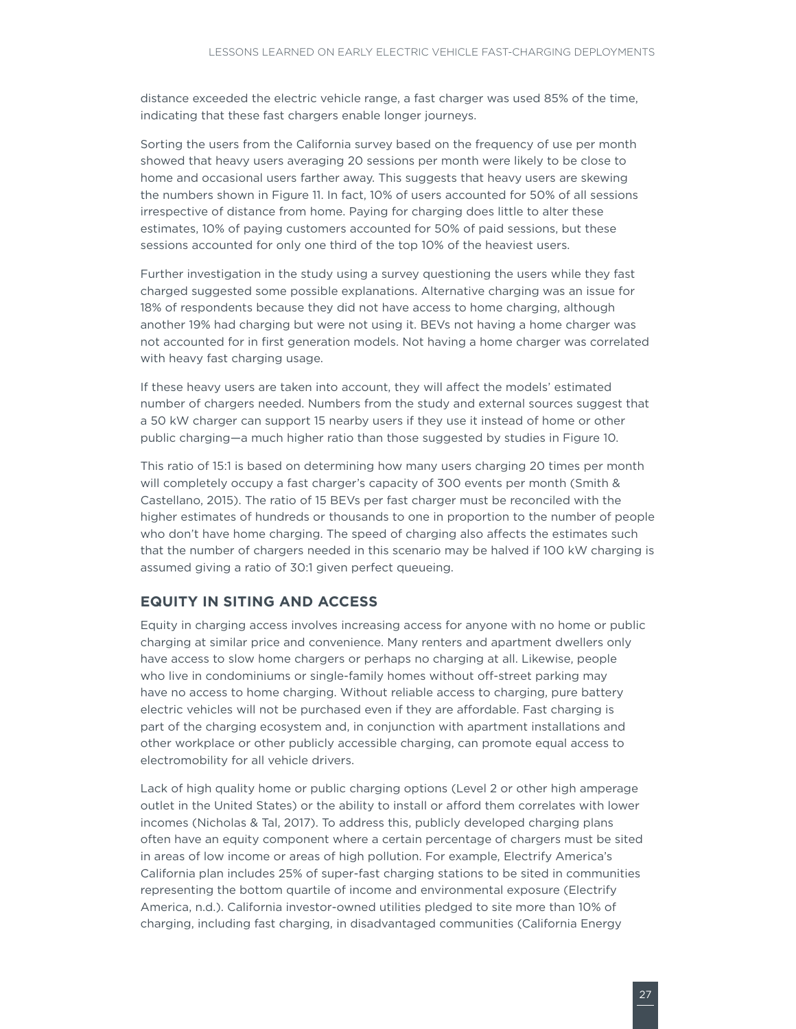<span id="page-32-0"></span>distance exceeded the electric vehicle range, a fast charger was used 85% of the time, indicating that these fast chargers enable longer journeys.

Sorting the users from the California survey based on the frequency of use per month showed that heavy users averaging 20 sessions per month were likely to be close to home and occasional users farther away. This suggests that heavy users are skewing the numbers shown in [Figure](#page-31-1) 11. In fact, 10% of users accounted for 50% of all sessions irrespective of distance from home. Paying for charging does little to alter these estimates, 10% of paying customers accounted for 50% of paid sessions, but these sessions accounted for only one third of the top 10% of the heaviest users.

Further investigation in the study using a survey questioning the users while they fast charged suggested some possible explanations. Alternative charging was an issue for 18% of respondents because they did not have access to home charging, although another 19% had charging but were not using it. BEVs not having a home charger was not accounted for in first generation models. Not having a home charger was correlated with heavy fast charging usage.

If these heavy users are taken into account, they will affect the models' estimated number of chargers needed. Numbers from the study and external sources suggest that a 50 kW charger can support 15 nearby users if they use it instead of home or other public charging—a much higher ratio than those suggested by studies in [Figure](#page-27-1) 10.

This ratio of 15:1 is based on determining how many users charging 20 times per month will completely occupy a fast charger's capacity of 300 events per month (Smith & Castellano, 2015). The ratio of 15 BEVs per fast charger must be reconciled with the higher estimates of hundreds or thousands to one in proportion to the number of people who don't have home charging. The speed of charging also affects the estimates such that the number of chargers needed in this scenario may be halved if 100 kW charging is assumed giving a ratio of 30:1 given perfect queueing.

#### **EQUITY IN SITING AND ACCESS**

Equity in charging access involves increasing access for anyone with no home or public charging at similar price and convenience. Many renters and apartment dwellers only have access to slow home chargers or perhaps no charging at all. Likewise, people who live in condominiums or single-family homes without off-street parking may have no access to home charging. Without reliable access to charging, pure battery electric vehicles will not be purchased even if they are affordable. Fast charging is part of the charging ecosystem and, in conjunction with apartment installations and other workplace or other publicly accessible charging, can promote equal access to electromobility for all vehicle drivers.

Lack of high quality home or public charging options (Level 2 or other high amperage outlet in the United States) or the ability to install or afford them correlates with lower incomes (Nicholas & Tal, 2017). To address this, publicly developed charging plans often have an equity component where a certain percentage of chargers must be sited in areas of low income or areas of high pollution. For example, Electrify America's California plan includes 25% of super-fast charging stations to be sited in communities representing the bottom quartile of income and environmental exposure (Electrify America, n.d.). California investor-owned utilities pledged to site more than 10% of charging, including fast charging, in disadvantaged communities (California Energy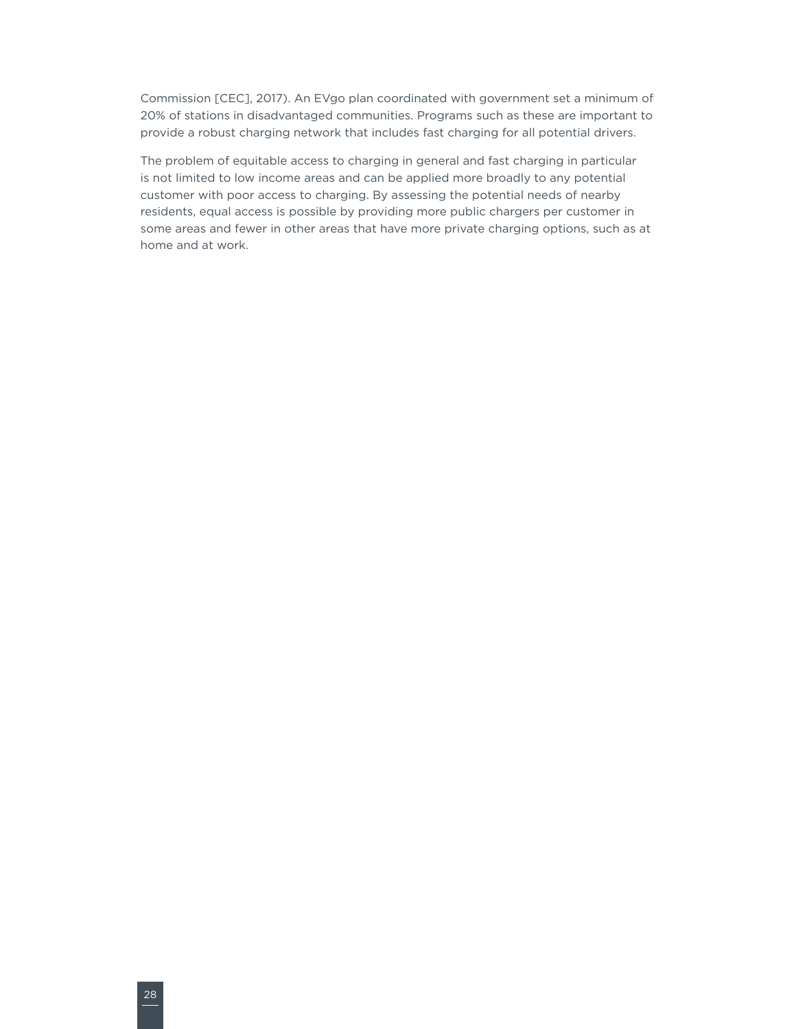Commission [CEC], 2017). An EVgo plan coordinated with government set a minimum of 20% of stations in disadvantaged communities. Programs such as these are important to provide a robust charging network that includes fast charging for all potential drivers.

The problem of equitable access to charging in general and fast charging in particular is not limited to low income areas and can be applied more broadly to any potential customer with poor access to charging. By assessing the potential needs of nearby residents, equal access is possible by providing more public chargers per customer in some areas and fewer in other areas that have more private charging options, such as at home and at work.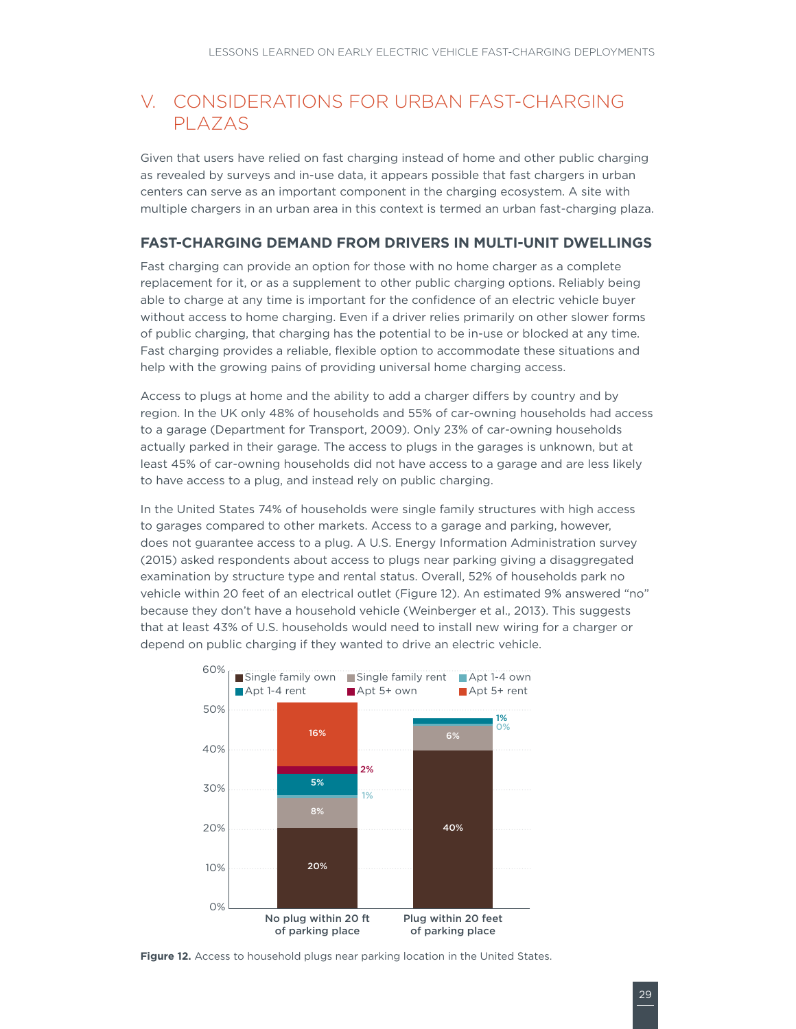### <span id="page-34-0"></span>V. CONSIDERATIONS FOR URBAN FAST-CHARGING PLAZAS

Given that users have relied on fast charging instead of home and other public charging as revealed by surveys and in-use data, it appears possible that fast chargers in urban centers can serve as an important component in the charging ecosystem. A site with multiple chargers in an urban area in this context is termed an urban fast-charging plaza.

#### **FAST-CHARGING DEMAND FROM DRIVERS IN MULTI-UNIT DWELLINGS**

Fast charging can provide an option for those with no home charger as a complete replacement for it, or as a supplement to other public charging options. Reliably being able to charge at any time is important for the confidence of an electric vehicle buyer without access to home charging. Even if a driver relies primarily on other slower forms of public charging, that charging has the potential to be in-use or blocked at any time. Fast charging provides a reliable, flexible option to accommodate these situations and help with the growing pains of providing universal home charging access.

Access to plugs at home and the ability to add a charger differs by country and by region. In the UK only 48% of households and 55% of car-owning households had access to a garage (Department for Transport, 2009). Only 23% of car-owning households actually parked in their garage. The access to plugs in the garages is unknown, but at least 45% of car-owning households did not have access to a garage and are less likely to have access to a plug, and instead rely on public charging.

In the United States 74% of households were single family structures with high access to garages compared to other markets. Access to a garage and parking, however, does not guarantee access to a plug. A U.S. Energy Information Administration survey (2015) asked respondents about access to plugs near parking giving a disaggregated examination by structure type and rental status. Overall, 52% of households park no vehicle within 20 feet of an electrical outlet ([Figure](#page-34-1) 12). An estimated 9% answered "no" because they don't have a household vehicle (Weinberger et al., 2013). This suggests that at least 43% of U.S. households would need to install new wiring for a charger or depend on public charging if they wanted to drive an electric vehicle.



<span id="page-34-1"></span>**Figure 12.** Access to household plugs near parking location in the United States.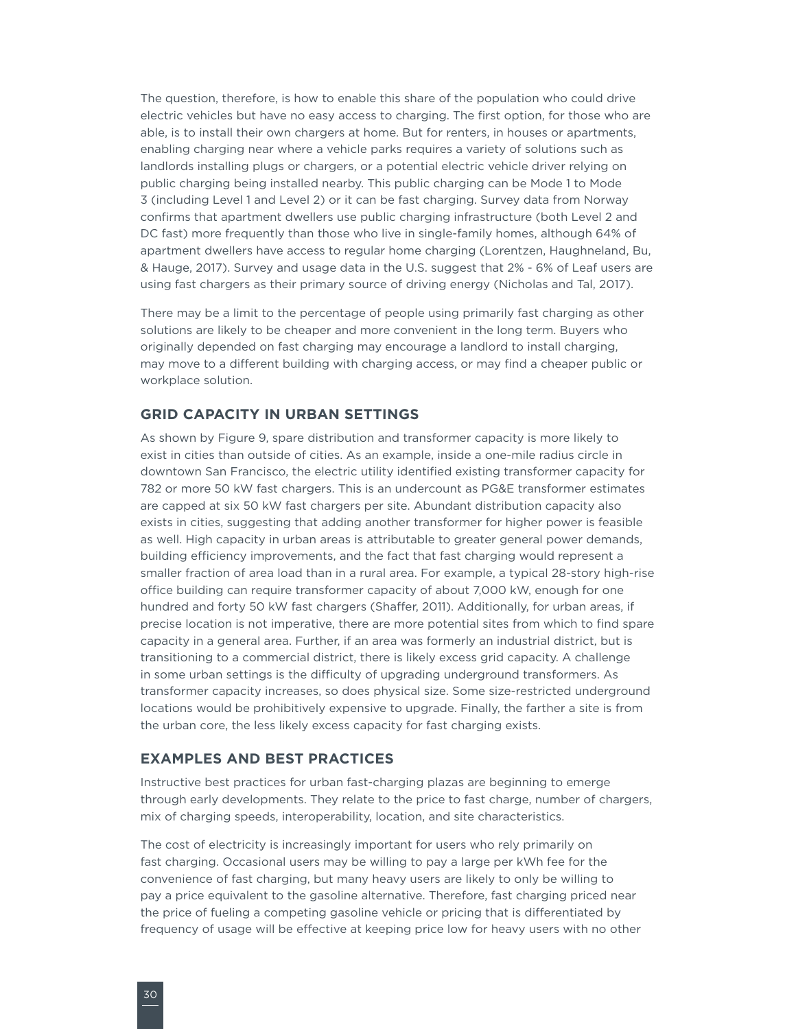<span id="page-35-0"></span>The question, therefore, is how to enable this share of the population who could drive electric vehicles but have no easy access to charging. The first option, for those who are able, is to install their own chargers at home. But for renters, in houses or apartments, enabling charging near where a vehicle parks requires a variety of solutions such as landlords installing plugs or chargers, or a potential electric vehicle driver relying on public charging being installed nearby. This public charging can be Mode 1 to Mode 3 (including Level 1 and Level 2) or it can be fast charging. Survey data from Norway confirms that apartment dwellers use public charging infrastructure (both Level 2 and DC fast) more frequently than those who live in single-family homes, although 64% of apartment dwellers have access to regular home charging (Lorentzen, Haughneland, Bu, & Hauge, 2017). Survey and usage data in the U.S. suggest that 2% - 6% of Leaf users are using fast chargers as their primary source of driving energy (Nicholas and Tal, 2017).

There may be a limit to the percentage of people using primarily fast charging as other solutions are likely to be cheaper and more convenient in the long term. Buyers who originally depended on fast charging may encourage a landlord to install charging, may move to a different building with charging access, or may find a cheaper public or workplace solution.

#### **GRID CAPACITY IN URBAN SETTINGS**

As shown by [Figure 9](#page-23-1), spare distribution and transformer capacity is more likely to exist in cities than outside of cities. As an example, inside a one-mile radius circle in downtown San Francisco, the electric utility identified existing transformer capacity for 782 or more 50 kW fast chargers. This is an undercount as PG&E transformer estimates are capped at six 50 kW fast chargers per site. Abundant distribution capacity also exists in cities, suggesting that adding another transformer for higher power is feasible as well. High capacity in urban areas is attributable to greater general power demands, building efficiency improvements, and the fact that fast charging would represent a smaller fraction of area load than in a rural area. For example, a typical 28-story high-rise office building can require transformer capacity of about 7,000 kW, enough for one hundred and forty 50 kW fast chargers (Shaffer, 2011). Additionally, for urban areas, if precise location is not imperative, there are more potential sites from which to find spare capacity in a general area. Further, if an area was formerly an industrial district, but is transitioning to a commercial district, there is likely excess grid capacity. A challenge in some urban settings is the difficulty of upgrading underground transformers. As transformer capacity increases, so does physical size. Some size-restricted underground locations would be prohibitively expensive to upgrade. Finally, the farther a site is from the urban core, the less likely excess capacity for fast charging exists.

#### **EXAMPLES AND BEST PRACTICES**

Instructive best practices for urban fast-charging plazas are beginning to emerge through early developments. They relate to the price to fast charge, number of chargers, mix of charging speeds, interoperability, location, and site characteristics.

The cost of electricity is increasingly important for users who rely primarily on fast charging. Occasional users may be willing to pay a large per kWh fee for the convenience of fast charging, but many heavy users are likely to only be willing to pay a price equivalent to the gasoline alternative. Therefore, fast charging priced near the price of fueling a competing gasoline vehicle or pricing that is differentiated by frequency of usage will be effective at keeping price low for heavy users with no other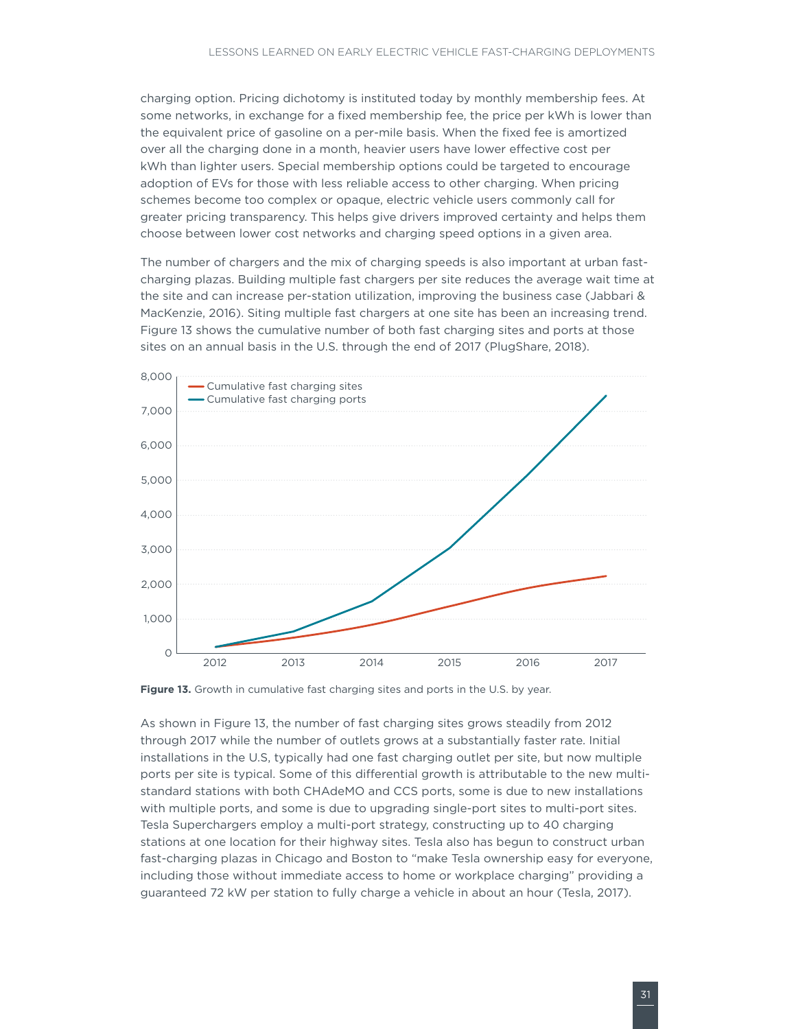<span id="page-36-0"></span>charging option. Pricing dichotomy is instituted today by monthly membership fees. At some networks, in exchange for a fixed membership fee, the price per kWh is lower than the equivalent price of gasoline on a per-mile basis. When the fixed fee is amortized over all the charging done in a month, heavier users have lower effective cost per kWh than lighter users. Special membership options could be targeted to encourage adoption of EVs for those with less reliable access to other charging. When pricing schemes become too complex or opaque, electric vehicle users commonly call for greater pricing transparency. This helps give drivers improved certainty and helps them choose between lower cost networks and charging speed options in a given area.

The number of chargers and the mix of charging speeds is also important at urban fastcharging plazas. Building multiple fast chargers per site reduces the average wait time at the site and can increase per-station utilization, improving the business case (Jabbari & MacKenzie, 2016). Siting multiple fast chargers at one site has been an increasing trend. [Figure](#page-36-1) 13 shows the cumulative number of both fast charging sites and ports at those sites on an annual basis in the U.S. through the end of 2017 (PlugShare, 2018).



<span id="page-36-1"></span>**Figure 13.** Growth in cumulative fast charging sites and ports in the U.S. by year.

As shown in [Figure 1](#page-36-1)3, the number of fast charging sites grows steadily from 2012 through 2017 while the number of outlets grows at a substantially faster rate. Initial installations in the U.S, typically had one fast charging outlet per site, but now multiple ports per site is typical. Some of this differential growth is attributable to the new multistandard stations with both CHAdeMO and CCS ports, some is due to new installations with multiple ports, and some is due to upgrading single-port sites to multi-port sites. Tesla Superchargers employ a multi-port strategy, constructing up to 40 charging stations at one location for their highway sites. Tesla also has begun to construct urban fast-charging plazas in Chicago and Boston to "make Tesla ownership easy for everyone, including those without immediate access to home or workplace charging" providing a guaranteed 72 kW per station to fully charge a vehicle in about an hour (Tesla, 2017).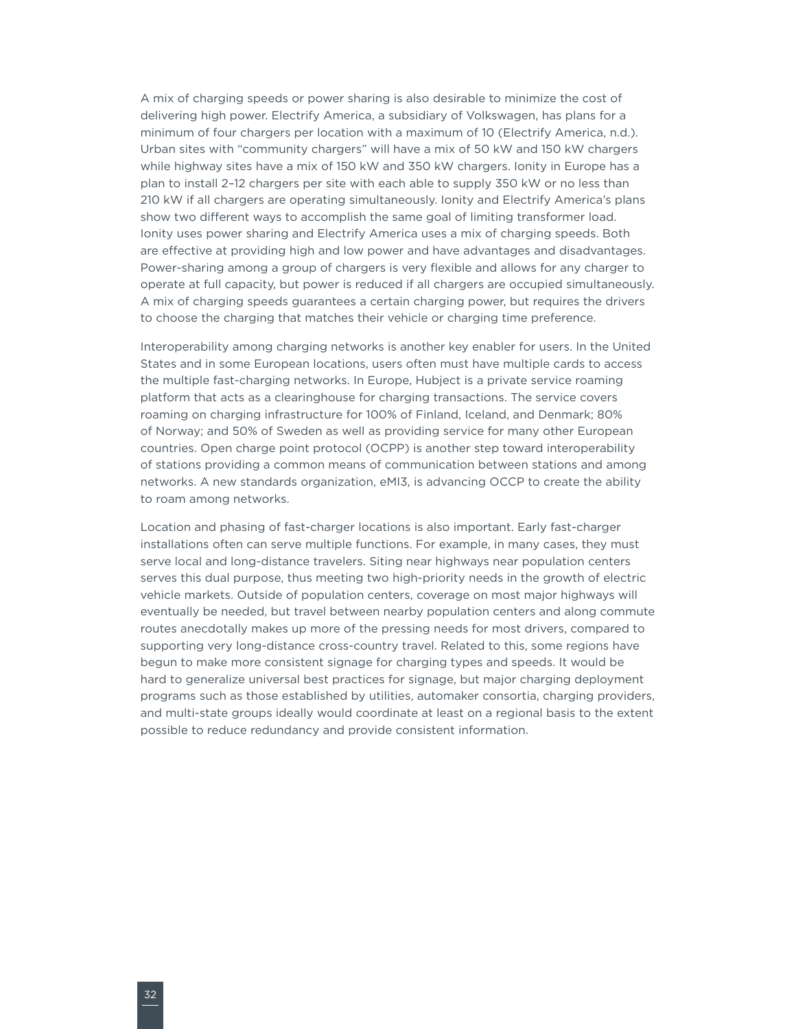A mix of charging speeds or power sharing is also desirable to minimize the cost of delivering high power. Electrify America, a subsidiary of Volkswagen, has plans for a minimum of four chargers per location with a maximum of 10 (Electrify America, n.d.). Urban sites with "community chargers" will have a mix of 50 kW and 150 kW chargers while highway sites have a mix of 150 kW and 350 kW chargers. Ionity in Europe has a plan to install 2–12 chargers per site with each able to supply 350 kW or no less than 210 kW if all chargers are operating simultaneously. Ionity and Electrify America's plans show two different ways to accomplish the same goal of limiting transformer load. Ionity uses power sharing and Electrify America uses a mix of charging speeds. Both are effective at providing high and low power and have advantages and disadvantages. Power-sharing among a group of chargers is very flexible and allows for any charger to operate at full capacity, but power is reduced if all chargers are occupied simultaneously. A mix of charging speeds guarantees a certain charging power, but requires the drivers to choose the charging that matches their vehicle or charging time preference.

Interoperability among charging networks is another key enabler for users. In the United States and in some European locations, users often must have multiple cards to access the multiple fast-charging networks. In Europe, Hubject is a private service roaming platform that acts as a clearinghouse for charging transactions. The service covers roaming on charging infrastructure for 100% of Finland, Iceland, and Denmark; 80% of Norway; and 50% of Sweden as well as providing service for many other European countries. Open charge point protocol (OCPP) is another step toward interoperability of stations providing a common means of communication between stations and among networks. A new standards organization, eMI3, is advancing OCCP to create the ability to roam among networks.

Location and phasing of fast-charger locations is also important. Early fast-charger installations often can serve multiple functions. For example, in many cases, they must serve local and long-distance travelers. Siting near highways near population centers serves this dual purpose, thus meeting two high-priority needs in the growth of electric vehicle markets. Outside of population centers, coverage on most major highways will eventually be needed, but travel between nearby population centers and along commute routes anecdotally makes up more of the pressing needs for most drivers, compared to supporting very long-distance cross-country travel. Related to this, some regions have begun to make more consistent signage for charging types and speeds. It would be hard to generalize universal best practices for signage, but major charging deployment programs such as those established by utilities, automaker consortia, charging providers, and multi-state groups ideally would coordinate at least on a regional basis to the extent possible to reduce redundancy and provide consistent information.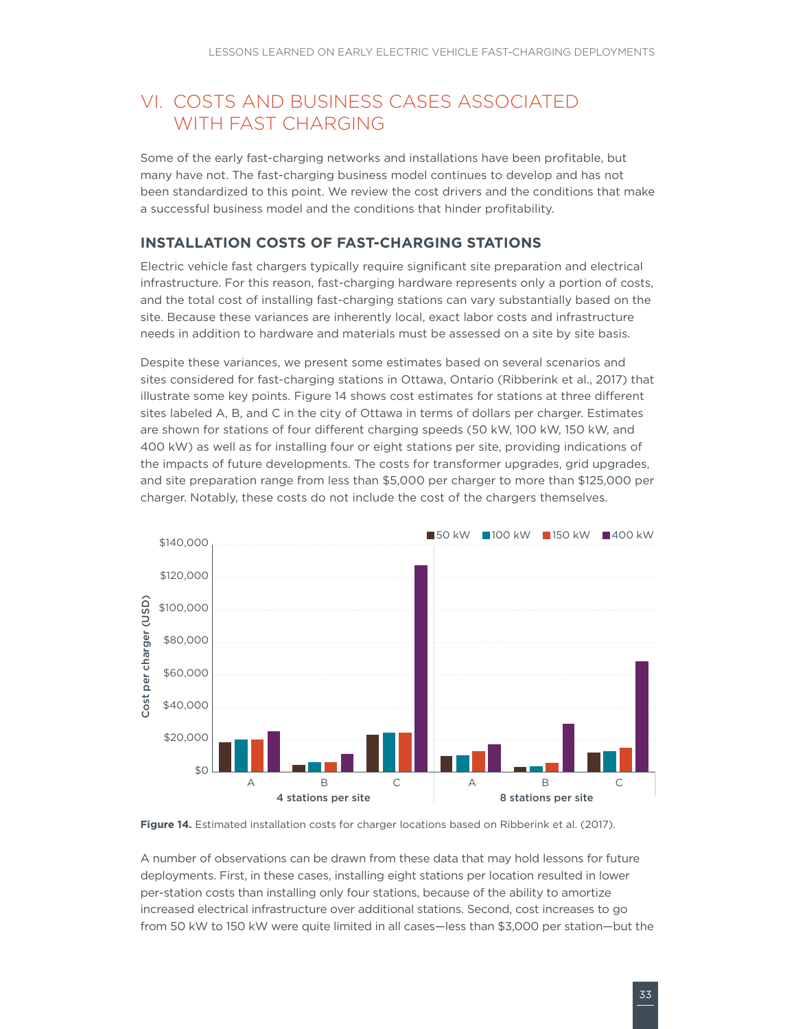### <span id="page-38-0"></span>VI. COSTS AND BUSINESS CASES ASSOCIATED WITH FAST CHARGING

Some of the early fast-charging networks and installations have been profitable, but many have not. The fast-charging business model continues to develop and has not been standardized to this point. We review the cost drivers and the conditions that make a successful business model and the conditions that hinder profitability.

#### **INSTALLATION COSTS OF FAST-CHARGING STATIONS**

Electric vehicle fast chargers typically require significant site preparation and electrical infrastructure. For this reason, fast-charging hardware represents only a portion of costs, and the total cost of installing fast-charging stations can vary substantially based on the site. Because these variances are inherently local, exact labor costs and infrastructure needs in addition to hardware and materials must be assessed on a site by site basis.

Despite these variances, we present some estimates based on several scenarios and sites considered for fast-charging stations in Ottawa, Ontario (Ribberink et al., 2017) that illustrate some key points. [Figure 1](#page-38-1)4 shows cost estimates for stations at three different sites labeled A, B, and C in the city of Ottawa in terms of dollars per charger. Estimates are shown for stations of four different charging speeds (50 kW, 100 kW, 150 kW, and 400 kW) as well as for installing four or eight stations per site, providing indications of the impacts of future developments. The costs for transformer upgrades, grid upgrades, and site preparation range from less than \$5,000 per charger to more than \$125,000 per charger. Notably, these costs do not include the cost of the chargers themselves.



<span id="page-38-1"></span>**Figure 14.** Estimated installation costs for charger locations based on Ribberink et al. (2017).

A number of observations can be drawn from these data that may hold lessons for future deployments. First, in these cases, installing eight stations per location resulted in lower per-station costs than installing only four stations, because of the ability to amortize increased electrical infrastructure over additional stations. Second, cost increases to go from 50 kW to 150 kW were quite limited in all cases—less than \$3,000 per station—but the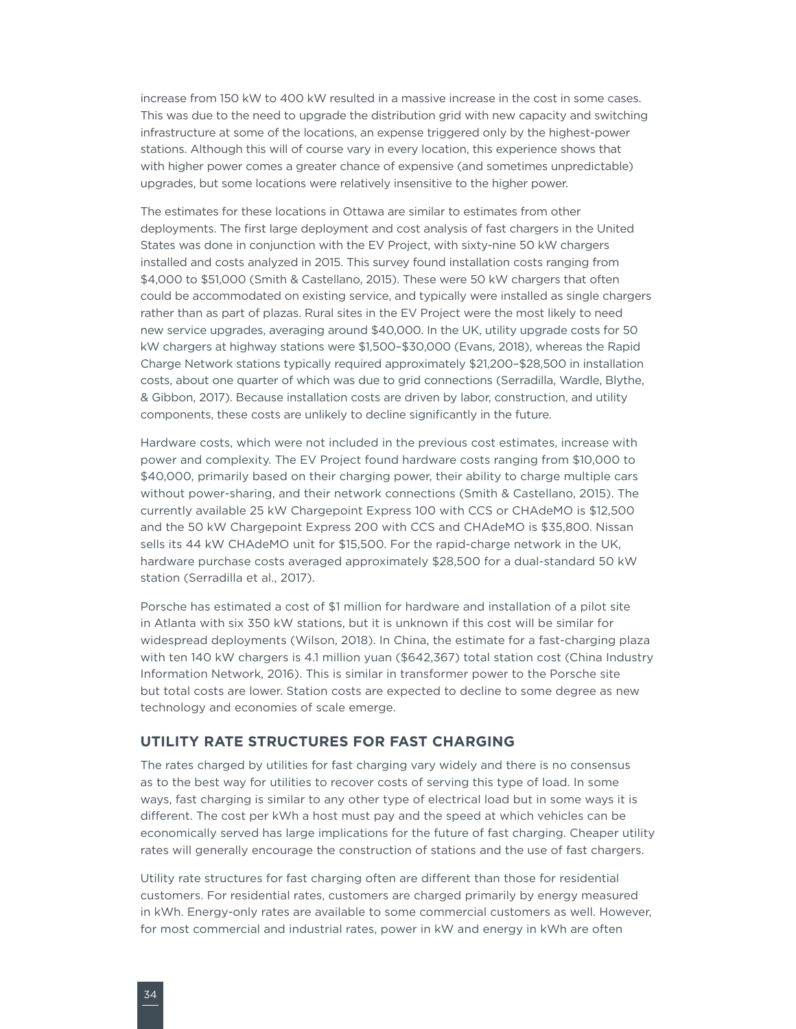<span id="page-39-0"></span>increase from 150 kW to 400 kW resulted in a massive increase in the cost in some cases. This was due to the need to upgrade the distribution grid with new capacity and switching infrastructure at some of the locations, an expense triggered only by the highest-power stations. Although this will of course vary in every location, this experience shows that with higher power comes a greater chance of expensive (and sometimes unpredictable) upgrades, but some locations were relatively insensitive to the higher power.

The estimates for these locations in Ottawa are similar to estimates from other deployments. The first large deployment and cost analysis of fast chargers in the United States was done in conjunction with the EV Project, with sixty-nine 50 kW chargers installed and costs analyzed in 2015. This survey found installation costs ranging from \$4,000 to \$51,000 (Smith & Castellano, 2015). These were 50 kW chargers that often could be accommodated on existing service, and typically were installed as single chargers rather than as part of plazas. Rural sites in the EV Project were the most likely to need new service upgrades, averaging around \$40,000. In the UK, utility upgrade costs for 50 kW chargers at highway stations were \$1,500–\$30,000 (Evans, 2018), whereas the Rapid Charge Network stations typically required approximately \$21,200–\$28,500 in installation costs, about one quarter of which was due to grid connections (Serradilla, Wardle, Blythe, & Gibbon, 2017). Because installation costs are driven by labor, construction, and utility components, these costs are unlikely to decline significantly in the future.

Hardware costs, which were not included in the previous cost estimates, increase with power and complexity. The EV Project found hardware costs ranging from \$10,000 to \$40,000, primarily based on their charging power, their ability to charge multiple cars without power-sharing, and their network connections (Smith & Castellano, 2015). The currently available 25 kW Chargepoint Express 100 with CCS or CHAdeMO is \$12,500 and the 50 kW Chargepoint Express 200 with CCS and CHAdeMO is \$35,800. Nissan sells its 44 kW CHAdeMO unit for \$15,500. For the rapid-charge network in the UK, hardware purchase costs averaged approximately \$28,500 for a dual-standard 50 kW station (Serradilla et al., 2017).

Porsche has estimated a cost of \$1 million for hardware and installation of a pilot site in Atlanta with six 350 kW stations, but it is unknown if this cost will be similar for widespread deployments (Wilson, 2018). In China, the estimate for a fast-charging plaza with ten 140 kW chargers is 4.1 million yuan (\$642,367) total station cost (China Industry Information Network, 2016). This is similar in transformer power to the Porsche site but total costs are lower. Station costs are expected to decline to some degree as new technology and economies of scale emerge.

#### **UTILITY RATE STRUCTURES FOR FAST CHARGING**

The rates charged by utilities for fast charging vary widely and there is no consensus as to the best way for utilities to recover costs of serving this type of load. In some ways, fast charging is similar to any other type of electrical load but in some ways it is different. The cost per kWh a host must pay and the speed at which vehicles can be economically served has large implications for the future of fast charging. Cheaper utility rates will generally encourage the construction of stations and the use of fast chargers.

Utility rate structures for fast charging often are different than those for residential customers. For residential rates, customers are charged primarily by energy measured in kWh. Energy-only rates are available to some commercial customers as well. However, for most commercial and industrial rates, power in kW and energy in kWh are often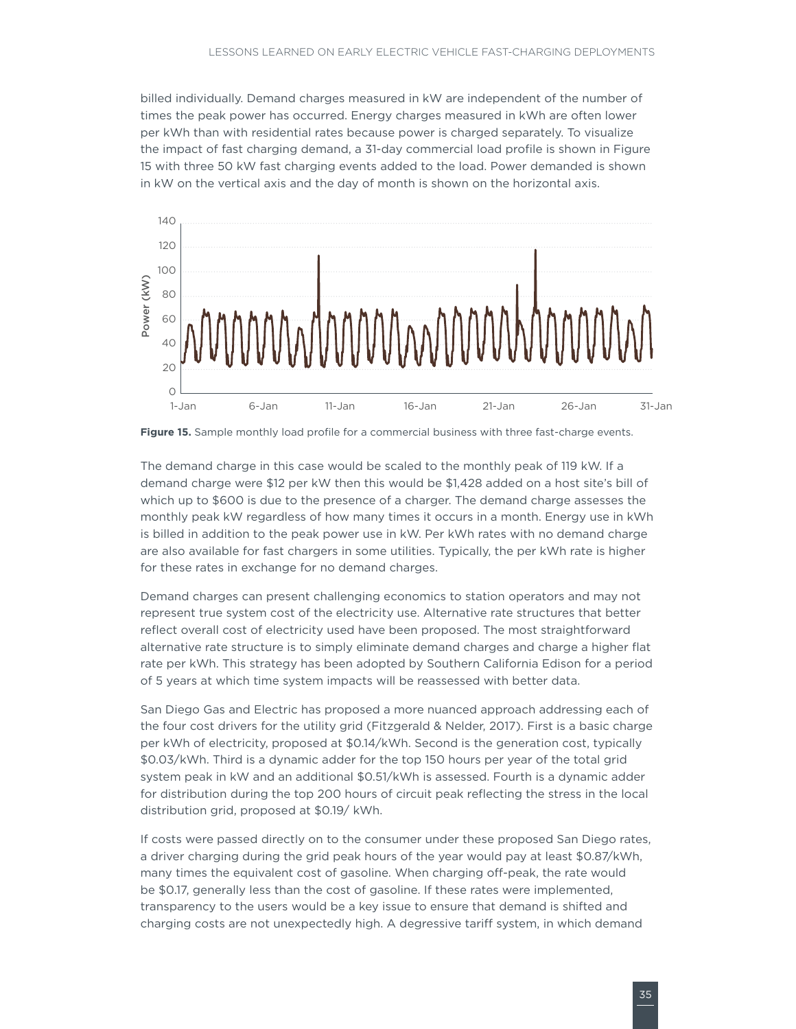<span id="page-40-0"></span>billed individually. Demand charges measured in kW are independent of the number of times the peak power has occurred. Energy charges measured in kWh are often lower per kWh than with residential rates because power is charged separately. To visualize the impact of fast charging demand, a 31-day commercial load profile is shown in [Figure](#page-40-1)  15 with three 50 kW fast charging events added to the load. Power demanded is shown in kW on the vertical axis and the day of month is shown on the horizontal axis.



<span id="page-40-1"></span>**Figure 15.** Sample monthly load profile for a commercial business with three fast-charge events.

The demand charge in this case would be scaled to the monthly peak of 119 kW. If a demand charge were \$12 per kW then this would be \$1,428 added on a host site's bill of which up to \$600 is due to the presence of a charger. The demand charge assesses the monthly peak kW regardless of how many times it occurs in a month. Energy use in kWh is billed in addition to the peak power use in kW. Per kWh rates with no demand charge are also available for fast chargers in some utilities. Typically, the per kWh rate is higher for these rates in exchange for no demand charges.

Demand charges can present challenging economics to station operators and may not represent true system cost of the electricity use. Alternative rate structures that better reflect overall cost of electricity used have been proposed. The most straightforward alternative rate structure is to simply eliminate demand charges and charge a higher flat rate per kWh. This strategy has been adopted by Southern California Edison for a period of 5 years at which time system impacts will be reassessed with better data.

San Diego Gas and Electric has proposed a more nuanced approach addressing each of the four cost drivers for the utility grid (Fitzgerald & Nelder, 2017). First is a basic charge per kWh of electricity, proposed at \$0.14/kWh. Second is the generation cost, typically \$0.03/kWh. Third is a dynamic adder for the top 150 hours per year of the total grid system peak in kW and an additional \$0.51/kWh is assessed. Fourth is a dynamic adder for distribution during the top 200 hours of circuit peak reflecting the stress in the local distribution grid, proposed at \$0.19/ kWh.

If costs were passed directly on to the consumer under these proposed San Diego rates, a driver charging during the grid peak hours of the year would pay at least \$0.87/kWh, many times the equivalent cost of gasoline. When charging off-peak, the rate would be \$0.17, generally less than the cost of gasoline. If these rates were implemented, transparency to the users would be a key issue to ensure that demand is shifted and charging costs are not unexpectedly high. A degressive tariff system, in which demand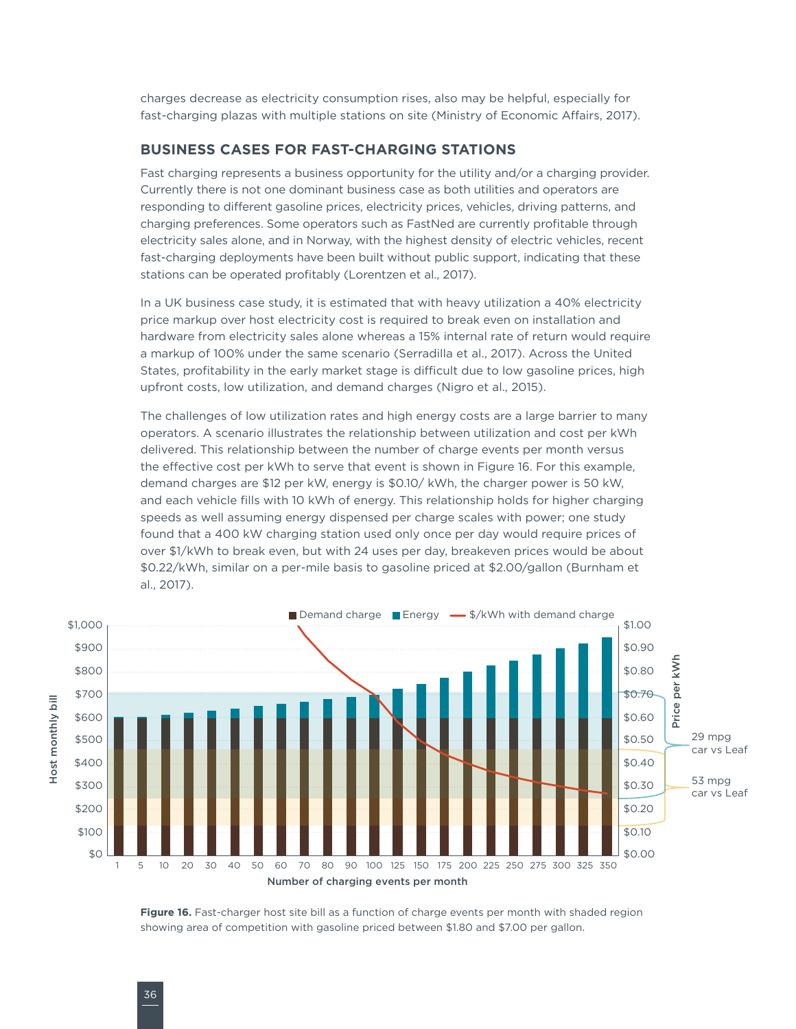<span id="page-41-0"></span>charges decrease as electricity consumption rises, also may be helpful, especially for fast-charging plazas with multiple stations on site (Ministry of Economic Affairs, 2017).

#### **BUSINESS CASES FOR FAST-CHARGING STATIONS**

Fast charging represents a business opportunity for the utility and/or a charging provider. Currently there is not one dominant business case as both utilities and operators are responding to different gasoline prices, electricity prices, vehicles, driving patterns, and charging preferences. Some operators such as FastNed are currently profitable through electricity sales alone, and in Norway, with the highest density of electric vehicles, recent fast-charging deployments have been built without public support, indicating that these stations can be operated profitably (Lorentzen et al., 2017).

In a UK business case study, it is estimated that with heavy utilization a 40% electricity price markup over host electricity cost is required to break even on installation and hardware from electricity sales alone whereas a 15% internal rate of return would require a markup of 100% under the same scenario (Serradilla et al., 2017). Across the United States, profitability in the early market stage is difficult due to low gasoline prices, high upfront costs, low utilization, and demand charges (Nigro et al., 2015).

The challenges of low utilization rates and high energy costs are a large barrier to many operators. A scenario illustrates the relationship between utilization and cost per kWh delivered. This relationship between the number of charge events per month versus the effective cost per kWh to serve that event is shown in [Figure 1](#page-41-1)6. For this example, demand charges are \$12 per kW, energy is \$0.10/ kWh, the charger power is 50 kW, and each vehicle fills with 10 kWh of energy. This relationship holds for higher charging speeds as well assuming energy dispensed per charge scales with power; one study found that a 400 kW charging station used only once per day would require prices of over \$1/kWh to break even, but with 24 uses per day, breakeven prices would be about \$0.22/kWh, similar on a per-mile basis to gasoline priced at \$2.00/gallon (Burnham et al., 2017).



<span id="page-41-1"></span>Figure 16. Fast-charger host site bill as a function of charge events per month with shaded region showing area of competition with gasoline priced between \$1.80 and \$7.00 per gallon.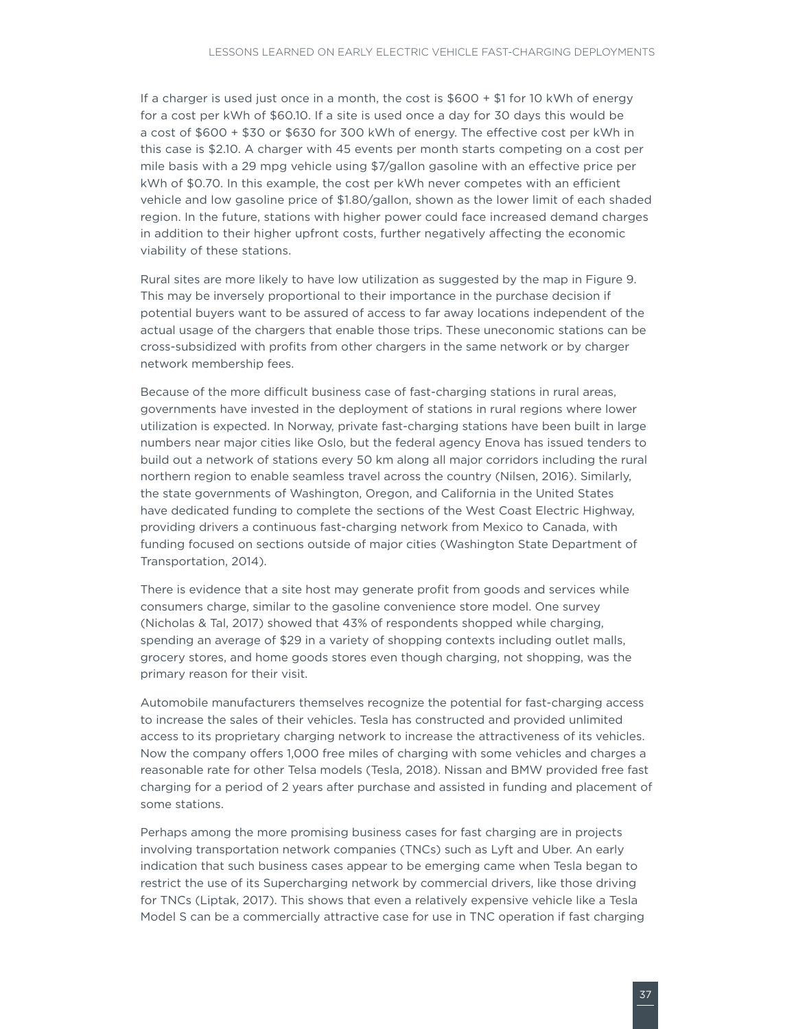If a charger is used just once in a month, the cost is \$600 + \$1 for 10 kWh of energy for a cost per kWh of \$60.10. If a site is used once a day for 30 days this would be a cost of \$600 + \$30 or \$630 for 300 kWh of energy. The effective cost per kWh in this case is \$2.10. A charger with 45 events per month starts competing on a cost per mile basis with a 29 mpg vehicle using \$7/gallon gasoline with an effective price per kWh of \$0.70. In this example, the cost per kWh never competes with an efficient vehicle and low gasoline price of \$1.80/gallon, shown as the lower limit of each shaded region. In the future, stations with higher power could face increased demand charges in addition to their higher upfront costs, further negatively affecting the economic viability of these stations.

Rural sites are more likely to have low utilization as suggested by the map in [Figure](#page-23-1) 9. This may be inversely proportional to their importance in the purchase decision if potential buyers want to be assured of access to far away locations independent of the actual usage of the chargers that enable those trips. These uneconomic stations can be cross-subsidized with profits from other chargers in the same network or by charger network membership fees.

Because of the more difficult business case of fast-charging stations in rural areas, governments have invested in the deployment of stations in rural regions where lower utilization is expected. In Norway, private fast-charging stations have been built in large numbers near major cities like Oslo, but the federal agency Enova has issued tenders to build out a network of stations every 50 km along all major corridors including the rural northern region to enable seamless travel across the country (Nilsen, 2016). Similarly, the state governments of Washington, Oregon, and California in the United States have dedicated funding to complete the sections of the West Coast Electric Highway, providing drivers a continuous fast-charging network from Mexico to Canada, with funding focused on sections outside of major cities (Washington State Department of Transportation, 2014).

There is evidence that a site host may generate profit from goods and services while consumers charge, similar to the gasoline convenience store model. One survey (Nicholas & Tal, 2017) showed that 43% of respondents shopped while charging, spending an average of \$29 in a variety of shopping contexts including outlet malls, grocery stores, and home goods stores even though charging, not shopping, was the primary reason for their visit.

Automobile manufacturers themselves recognize the potential for fast-charging access to increase the sales of their vehicles. Tesla has constructed and provided unlimited access to its proprietary charging network to increase the attractiveness of its vehicles. Now the company offers 1,000 free miles of charging with some vehicles and charges a reasonable rate for other Telsa models (Tesla, 2018). Nissan and BMW provided free fast charging for a period of 2 years after purchase and assisted in funding and placement of some stations.

Perhaps among the more promising business cases for fast charging are in projects involving transportation network companies (TNCs) such as Lyft and Uber. An early indication that such business cases appear to be emerging came when Tesla began to restrict the use of its Supercharging network by commercial drivers, like those driving for TNCs (Liptak, 2017). This shows that even a relatively expensive vehicle like a Tesla Model S can be a commercially attractive case for use in TNC operation if fast charging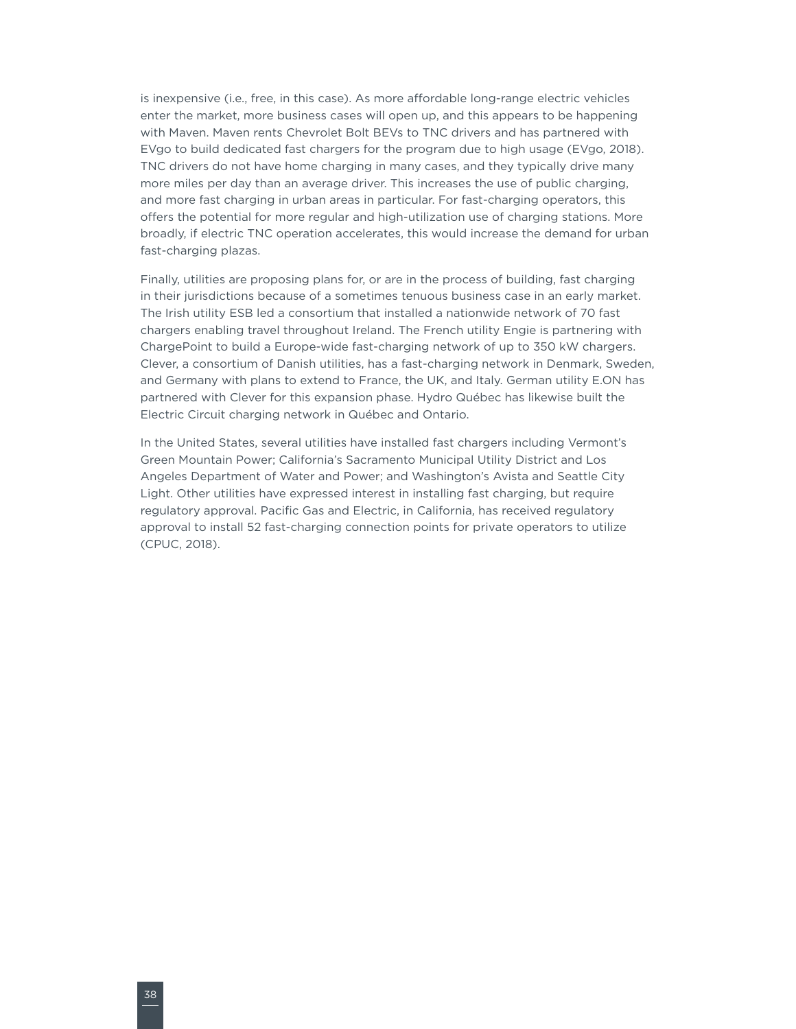is inexpensive (i.e., free, in this case). As more affordable long-range electric vehicles enter the market, more business cases will open up, and this appears to be happening with Maven. Maven rents Chevrolet Bolt BEVs to TNC drivers and has partnered with EVgo to build dedicated fast chargers for the program due to high usage (EVgo, 2018). TNC drivers do not have home charging in many cases, and they typically drive many more miles per day than an average driver. This increases the use of public charging, and more fast charging in urban areas in particular. For fast-charging operators, this offers the potential for more regular and high-utilization use of charging stations. More broadly, if electric TNC operation accelerates, this would increase the demand for urban fast-charging plazas.

Finally, utilities are proposing plans for, or are in the process of building, fast charging in their jurisdictions because of a sometimes tenuous business case in an early market. The Irish utility ESB led a consortium that installed a nationwide network of 70 fast chargers enabling travel throughout Ireland. The French utility Engie is partnering with ChargePoint to build a Europe-wide fast-charging network of up to 350 kW chargers. Clever, a consortium of Danish utilities, has a fast-charging network in Denmark, Sweden, and Germany with plans to extend to France, the UK, and Italy. German utility E.ON has partnered with Clever for this expansion phase. Hydro Québec has likewise built the Electric Circuit charging network in Québec and Ontario.

In the United States, several utilities have installed fast chargers including Vermont's Green Mountain Power; California's Sacramento Municipal Utility District and Los Angeles Department of Water and Power; and Washington's Avista and Seattle City Light. Other utilities have expressed interest in installing fast charging, but require regulatory approval. Pacific Gas and Electric, in California, has received regulatory approval to install 52 fast-charging connection points for private operators to utilize (CPUC, 2018).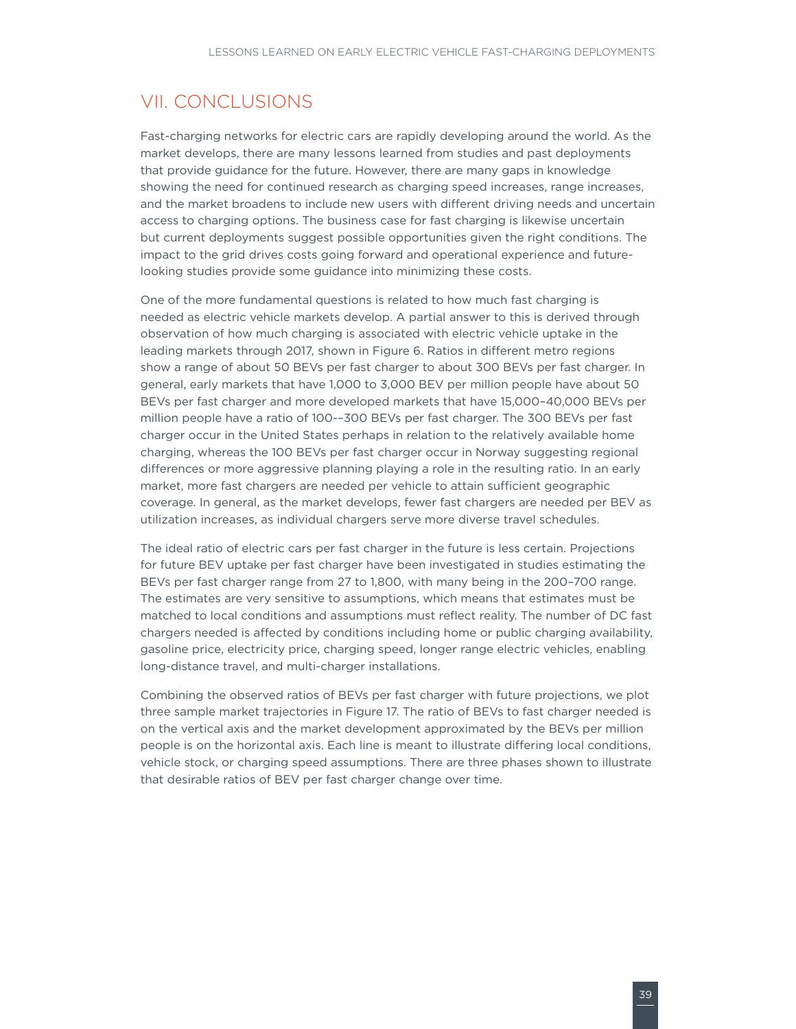### <span id="page-44-0"></span>VII. CONCLUSIONS

Fast-charging networks for electric cars are rapidly developing around the world. As the market develops, there are many lessons learned from studies and past deployments that provide guidance for the future. However, there are many gaps in knowledge showing the need for continued research as charging speed increases, range increases, and the market broadens to include new users with different driving needs and uncertain access to charging options. The business case for fast charging is likewise uncertain but current deployments suggest possible opportunities given the right conditions. The impact to the grid drives costs going forward and operational experience and futurelooking studies provide some guidance into minimizing these costs.

One of the more fundamental questions is related to how much fast charging is needed as electric vehicle markets develop. A partial answer to this is derived through observation of how much charging is associated with electric vehicle uptake in the leading markets through 2017, shown in [Figure 6](#page-14-1). Ratios in different metro regions show a range of about 50 BEVs per fast charger to about 300 BEVs per fast charger. In general, early markets that have 1,000 to 3,000 BEV per million people have about 50 BEVs per fast charger and more developed markets that have 15,000–40,000 BEVs per million people have a ratio of 100-–300 BEVs per fast charger. The 300 BEVs per fast charger occur in the United States perhaps in relation to the relatively available home charging, whereas the 100 BEVs per fast charger occur in Norway suggesting regional differences or more aggressive planning playing a role in the resulting ratio. In an early market, more fast chargers are needed per vehicle to attain sufficient geographic coverage. In general, as the market develops, fewer fast chargers are needed per BEV as utilization increases, as individual chargers serve more diverse travel schedules.

The ideal ratio of electric cars per fast charger in the future is less certain. Projections for future BEV uptake per fast charger have been investigated in studies estimating the BEVs per fast charger range from 27 to 1,800, with many being in the 200–700 range. The estimates are very sensitive to assumptions, which means that estimates must be matched to local conditions and assumptions must reflect reality. The number of DC fast chargers needed is affected by conditions including home or public charging availability, gasoline price, electricity price, charging speed, longer range electric vehicles, enabling long-distance travel, and multi-charger installations.

Combining the observed ratios of BEVs per fast charger with future projections, we plot three sample market trajectories in Figure 17. The ratio of BEVs to fast charger needed is on the vertical axis and the market development approximated by the BEVs per million people is on the horizontal axis. Each line is meant to illustrate differing local conditions, vehicle stock, or charging speed assumptions. There are three phases shown to illustrate that desirable ratios of BEV per fast charger change over time.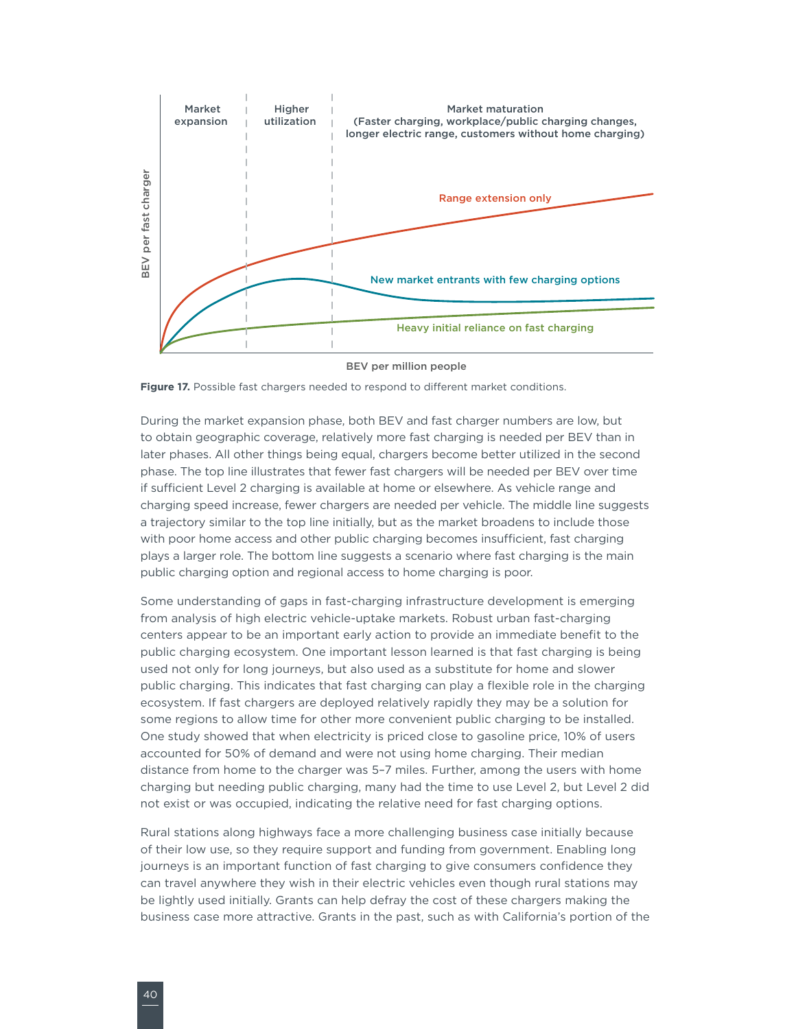<span id="page-45-0"></span>

BEV per million people

**Figure 17.** Possible fast chargers needed to respond to different market conditions.

During the market expansion phase, both BEV and fast charger numbers are low, but to obtain geographic coverage, relatively more fast charging is needed per BEV than in later phases. All other things being equal, chargers become better utilized in the second phase. The top line illustrates that fewer fast chargers will be needed per BEV over time if sufficient Level 2 charging is available at home or elsewhere. As vehicle range and charging speed increase, fewer chargers are needed per vehicle. The middle line suggests a trajectory similar to the top line initially, but as the market broadens to include those with poor home access and other public charging becomes insufficient, fast charging plays a larger role. The bottom line suggests a scenario where fast charging is the main public charging option and regional access to home charging is poor.

مادة المعالج المعالج المعالج المعالج المعالج المعالج المعالج المعالج المعالج المعالج المعالج المعالج المعالج ال<br>المعالج المعالج المعالج المعالج المعالج المعالج المعالج المعالج المعالج المعالج المعالج المعالج المعالج المعا Some understanding of gaps in fast-charging infrastructure development is emerging from analysis of high electric vehicle-uptake markets. Robust urban fast-charging centers appear to be an important early action to provide an immediate benefit to the public charging ecosystem. One important lesson learned is that fast charging is being used not only for long journeys, but also used as a substitute for home and slower public charging. This indicates that fast charging can play a flexible role in the charging ecosystem. If fast chargers are deployed relatively rapidly they may be a solution for some regions to allow time for other more convenient public charging to be installed. One study showed that when electricity is priced close to gasoline price, 10% of users accounted for 50% of demand and were not using home charging. Their median distance from home to the charger was 5–7 miles. Further, among the users with home charging but needing public charging, many had the time to use Level 2, but Level 2 did not exist or was occupied, indicating the relative need for fast charging options.

Rural stations along highways face a more challenging business case initially because of their low use, so they require support and funding from government. Enabling long journeys is an important function of fast charging to give consumers confidence they can travel anywhere they wish in their electric vehicles even though rural stations may be lightly used initially. Grants can help defray the cost of these chargers making the business case more attractive. Grants in the past, such as with California's portion of the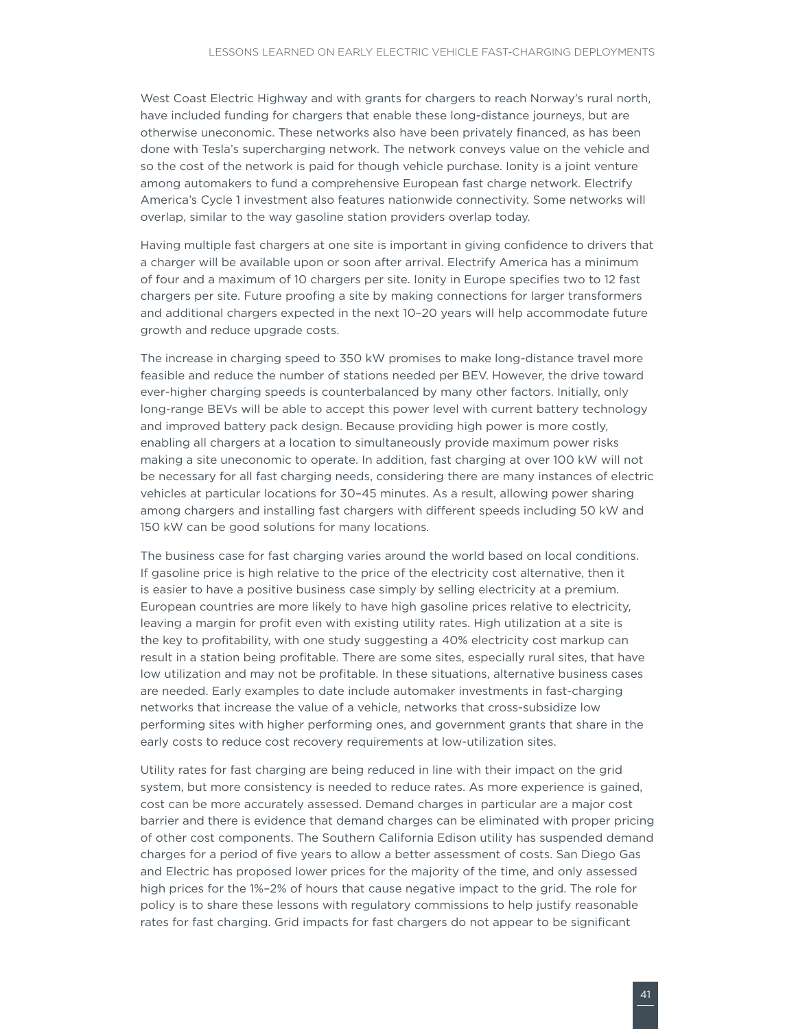West Coast Electric Highway and with grants for chargers to reach Norway's rural north, have included funding for chargers that enable these long-distance journeys, but are otherwise uneconomic. These networks also have been privately financed, as has been done with Tesla's supercharging network. The network conveys value on the vehicle and so the cost of the network is paid for though vehicle purchase. Ionity is a joint venture among automakers to fund a comprehensive European fast charge network. Electrify America's Cycle 1 investment also features nationwide connectivity. Some networks will overlap, similar to the way gasoline station providers overlap today.

Having multiple fast chargers at one site is important in giving confidence to drivers that a charger will be available upon or soon after arrival. Electrify America has a minimum of four and a maximum of 10 chargers per site. Ionity in Europe specifies two to 12 fast chargers per site. Future proofing a site by making connections for larger transformers and additional chargers expected in the next 10–20 years will help accommodate future growth and reduce upgrade costs.

The increase in charging speed to 350 kW promises to make long-distance travel more feasible and reduce the number of stations needed per BEV. However, the drive toward ever-higher charging speeds is counterbalanced by many other factors. Initially, only long-range BEVs will be able to accept this power level with current battery technology and improved battery pack design. Because providing high power is more costly, enabling all chargers at a location to simultaneously provide maximum power risks making a site uneconomic to operate. In addition, fast charging at over 100 kW will not be necessary for all fast charging needs, considering there are many instances of electric vehicles at particular locations for 30–45 minutes. As a result, allowing power sharing among chargers and installing fast chargers with different speeds including 50 kW and 150 kW can be good solutions for many locations.

The business case for fast charging varies around the world based on local conditions. If gasoline price is high relative to the price of the electricity cost alternative, then it is easier to have a positive business case simply by selling electricity at a premium. European countries are more likely to have high gasoline prices relative to electricity, leaving a margin for profit even with existing utility rates. High utilization at a site is the key to profitability, with one study suggesting a 40% electricity cost markup can result in a station being profitable. There are some sites, especially rural sites, that have low utilization and may not be profitable. In these situations, alternative business cases are needed. Early examples to date include automaker investments in fast-charging networks that increase the value of a vehicle, networks that cross-subsidize low performing sites with higher performing ones, and government grants that share in the early costs to reduce cost recovery requirements at low-utilization sites.

Utility rates for fast charging are being reduced in line with their impact on the grid system, but more consistency is needed to reduce rates. As more experience is gained, cost can be more accurately assessed. Demand charges in particular are a major cost barrier and there is evidence that demand charges can be eliminated with proper pricing of other cost components. The Southern California Edison utility has suspended demand charges for a period of five years to allow a better assessment of costs. San Diego Gas and Electric has proposed lower prices for the majority of the time, and only assessed high prices for the 1%–2% of hours that cause negative impact to the grid. The role for policy is to share these lessons with regulatory commissions to help justify reasonable rates for fast charging. Grid impacts for fast chargers do not appear to be significant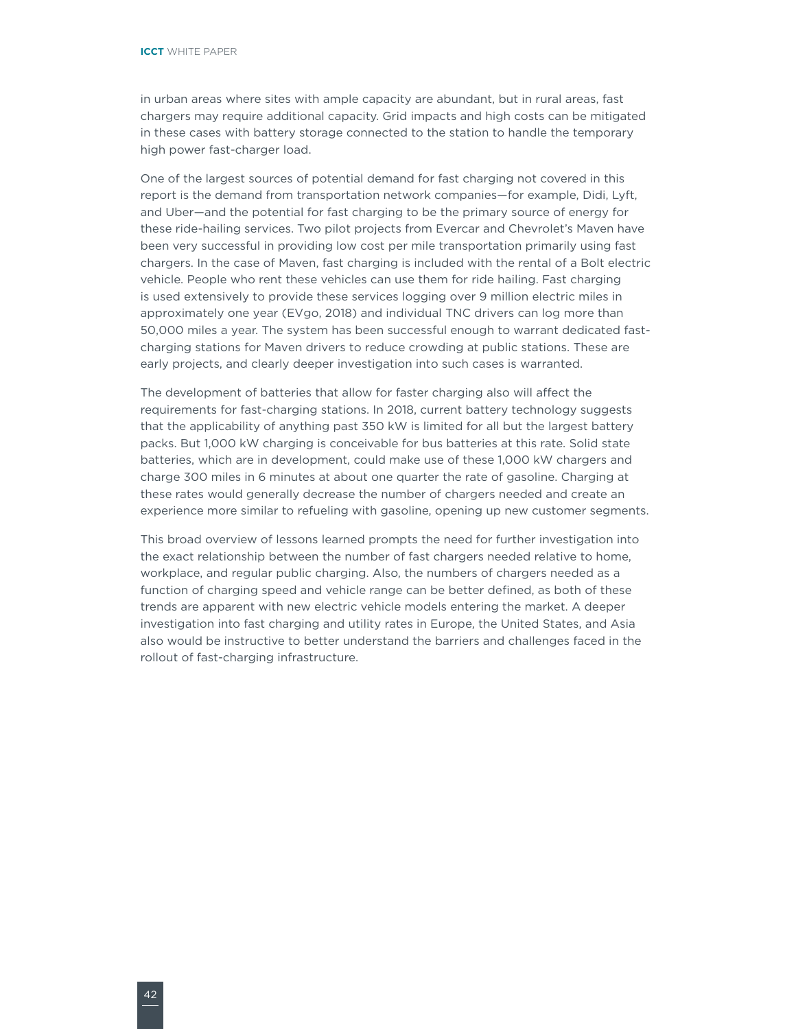in urban areas where sites with ample capacity are abundant, but in rural areas, fast chargers may require additional capacity. Grid impacts and high costs can be mitigated in these cases with battery storage connected to the station to handle the temporary high power fast-charger load.

One of the largest sources of potential demand for fast charging not covered in this report is the demand from transportation network companies—for example, Didi, Lyft, and Uber—and the potential for fast charging to be the primary source of energy for these ride-hailing services. Two pilot projects from Evercar and Chevrolet's Maven have been very successful in providing low cost per mile transportation primarily using fast chargers. In the case of Maven, fast charging is included with the rental of a Bolt electric vehicle. People who rent these vehicles can use them for ride hailing. Fast charging is used extensively to provide these services logging over 9 million electric miles in approximately one year (EVgo, 2018) and individual TNC drivers can log more than 50,000 miles a year. The system has been successful enough to warrant dedicated fastcharging stations for Maven drivers to reduce crowding at public stations. These are early projects, and clearly deeper investigation into such cases is warranted.

The development of batteries that allow for faster charging also will affect the requirements for fast-charging stations. In 2018, current battery technology suggests that the applicability of anything past 350 kW is limited for all but the largest battery packs. But 1,000 kW charging is conceivable for bus batteries at this rate. Solid state batteries, which are in development, could make use of these 1,000 kW chargers and charge 300 miles in 6 minutes at about one quarter the rate of gasoline. Charging at these rates would generally decrease the number of chargers needed and create an experience more similar to refueling with gasoline, opening up new customer segments.

This broad overview of lessons learned prompts the need for further investigation into the exact relationship between the number of fast chargers needed relative to home, workplace, and regular public charging. Also, the numbers of chargers needed as a function of charging speed and vehicle range can be better defined, as both of these trends are apparent with new electric vehicle models entering the market. A deeper investigation into fast charging and utility rates in Europe, the United States, and Asia also would be instructive to better understand the barriers and challenges faced in the rollout of fast-charging infrastructure.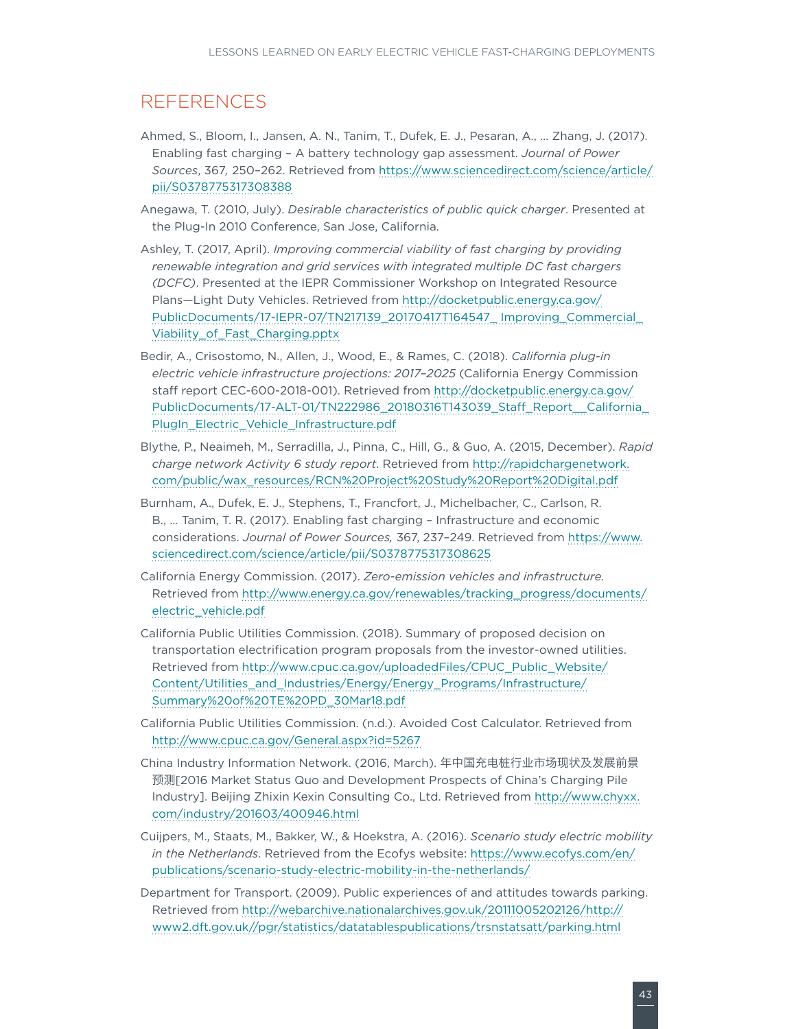### <span id="page-48-0"></span>**REFERENCES**

- Ahmed, S., Bloom, I., Jansen, A. N., Tanim, T., Dufek, E. J., Pesaran, A., … Zhang, J. (2017). Enabling fast charging – A battery technology gap assessment. *Journal of Power Sources*, 367*,* 250–262. Retrieved from [https://www.sciencedirect.com/science/article/](https://www.sciencedirect.com/science/article/pii/S0378775317308388) [pii/S0378775317308388](https://www.sciencedirect.com/science/article/pii/S0378775317308388)
- Anegawa, T. (2010, July). *Desirable characteristics of public quick charger*. Presented at the Plug-In 2010 Conference, San Jose, California.
- Ashley, T. (2017, April). *Improving commercial viability of fast charging by providing renewable integration and grid services with integrated multiple DC fast chargers (DCFC)*. Presented at the IEPR Commissioner Workshop on Integrated Resource Plans—Light Duty Vehicles. Retrieved from [http://docketpublic.energy.ca.gov/](http://docketpublic.energy.ca.gov/PublicDocuments/17-IEPR-07/TN217139_20170417T164547_ Improving_Commercial_Viability_of_Fast_Charging.pptx) [PublicDocuments/17-IEPR-07/TN217139\\_20170417T164547\\_ Improving\\_Commercial\\_](http://docketpublic.energy.ca.gov/PublicDocuments/17-IEPR-07/TN217139_20170417T164547_ Improving_Commercial_Viability_of_Fast_Charging.pptx) [Viability\\_of\\_Fast\\_Charging.pptx](http://docketpublic.energy.ca.gov/PublicDocuments/17-IEPR-07/TN217139_20170417T164547_ Improving_Commercial_Viability_of_Fast_Charging.pptx)
- Bedir, A., Crisostomo, N., Allen, J., Wood, E., & Rames, C. (2018). *California plug-in electric vehicle infrastructure projections: 2017–2025* (California Energy Commission staff report CEC-600-2018-001). Retrieved from [http://docketpublic.energy.ca.gov/](http://docketpublic.energy.ca.gov/PublicDocuments/17-ALT-01/TN222986_20180316T143039_Staff_Report__California_PlugIn_Electric_Vehicle_Infrastructure.pdf) [PublicDocuments/17-ALT-01/TN222986\\_20180316T143039\\_Staff\\_Report\\_\\_California\\_](http://docketpublic.energy.ca.gov/PublicDocuments/17-ALT-01/TN222986_20180316T143039_Staff_Report__California_PlugIn_Electric_Vehicle_Infrastructure.pdf) [PlugIn\\_Electric\\_Vehicle\\_Infrastructure.pdf](http://docketpublic.energy.ca.gov/PublicDocuments/17-ALT-01/TN222986_20180316T143039_Staff_Report__California_PlugIn_Electric_Vehicle_Infrastructure.pdf)
- Blythe, P., Neaimeh, M., Serradilla, J., Pinna, C., Hill, G., & Guo, A. (2015, December). *Rapid charge network Activity 6 study report*. Retrieved from [http://rapidchargenetwork.](http://rapidchargenetwork.com/public/wax_resources/RCN Project Study Report Digital.pdf) [com/public/wax\\_resources/RCN%20Project%20Study%20Report%20Digital.pdf](http://rapidchargenetwork.com/public/wax_resources/RCN Project Study Report Digital.pdf)
- Burnham, A., Dufek, E. J., Stephens, T., Francfort, J., Michelbacher, C., Carlson, R. B., … Tanim, T. R. (2017). Enabling fast charging – Infrastructure and economic considerations. *Journal of Power Sources,* 367, 237–249. Retrieved from [https://www.](https://www.sciencedirect.com/science/article/pii/S0378775317308625) [sciencedirect.com/science/article/pii/S0378775317308625](https://www.sciencedirect.com/science/article/pii/S0378775317308625)
- California Energy Commission. (2017). *Zero-emission vehicles and infrastructure.* Retrieved from [http://www.energy.ca.gov/renewables/tracking\\_progress/documents/](http://www.energy.ca.gov/renewables/tracking_progress/documents/electric_vehicle.pdf) [electric\\_vehicle.pdf](http://www.energy.ca.gov/renewables/tracking_progress/documents/electric_vehicle.pdf)
- California Public Utilities Commission. (2018). Summary of proposed decision on transportation electrification program proposals from the investor-owned utilities. Retrieved from [http://www.cpuc.ca.gov/uploadedFiles/CPUC\\_Public\\_Website/](http://www.cpuc.ca.gov/uploadedFiles/CPUC_Public_Website/Content/Utilities_and_Industries/Energy/Energy_Programs/Infrastructure/Summary of TE PD_30Mar18.pdf) [Content/Utilities\\_and\\_Industries/Energy/Energy\\_Programs/Infrastructure/](http://www.cpuc.ca.gov/uploadedFiles/CPUC_Public_Website/Content/Utilities_and_Industries/Energy/Energy_Programs/Infrastructure/Summary of TE PD_30Mar18.pdf) [Summary%20of%20TE%20PD\\_30Mar18.pdf](http://www.cpuc.ca.gov/uploadedFiles/CPUC_Public_Website/Content/Utilities_and_Industries/Energy/Energy_Programs/Infrastructure/Summary of TE PD_30Mar18.pdf)
- California Public Utilities Commission. (n.d.). Avoided Cost Calculator. Retrieved from <http://www.cpuc.ca.gov/General.aspx?id=5267>
- China Industry Information Network. (2016, March). 年中国充电桩行业市场现状及发展前景 预测[2016 Market Status Quo and Development Prospects of China's Charging Pile Industry]. Beijing Zhixin Kexin Consulting Co., Ltd. Retrieved from [http://www.chyxx.](http://www.chyxx.com/industry/201603/400946.html) [com/industry/201603/400946.html](http://www.chyxx.com/industry/201603/400946.html)
- Cuijpers, M., Staats, M., Bakker, W., & Hoekstra, A. (2016). *Scenario study electric mobility in the Netherlands*. Retrieved from the Ecofys website: [https://www.ecofys.com/en/](https://www.ecofys.com/en/publications/scenario-study-electric-mobility-in-the-netherlands/) [publications/scenario-study-electric-mobility-in-the-netherlands/](https://www.ecofys.com/en/publications/scenario-study-electric-mobility-in-the-netherlands/)
- Department for Transport. (2009). Public experiences of and attitudes towards parking. Retrieved from [http://webarchive.nationalarchives.gov.uk/20111005202126/http://](http://webarchive.nationalarchives.gov.uk/20111005202126/http://www2.dft.gov.uk//pgr/statistics/datatablespublications/trsnstatsatt/parking.html) [www2.dft.gov.uk//pgr/statistics/datatablespublications/trsnstatsatt/parking.html](http://webarchive.nationalarchives.gov.uk/20111005202126/http://www2.dft.gov.uk//pgr/statistics/datatablespublications/trsnstatsatt/parking.html)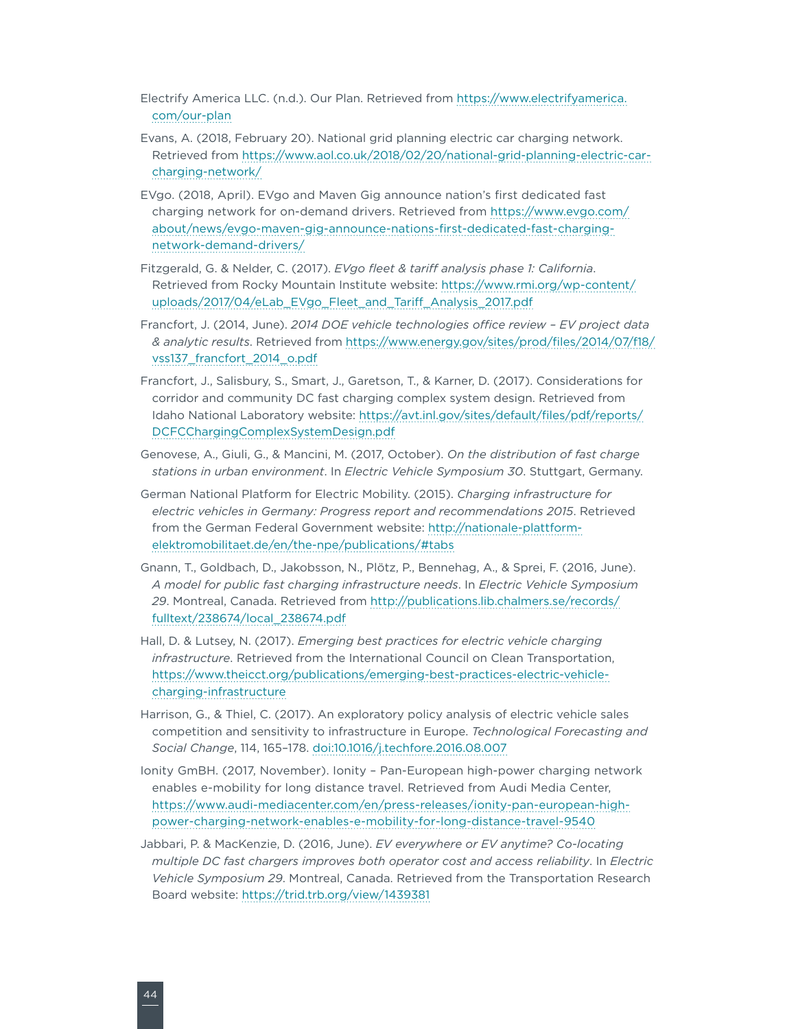Electrify America LLC. (n.d.). Our Plan. Retrieved from [https://www.electrifyamerica.](https://www.electrifyamerica.com/our-plan) [com/our-plan](https://www.electrifyamerica.com/our-plan)

- Evans, A. (2018, February 20). National grid planning electric car charging network. Retrieved from [https://www.aol.co.uk/2018/02/20/national-grid-planning-electric-car](https://www.aol.co.uk/2018/02/20/national-grid-planning-electric-car-charging-network/)[charging-network/](https://www.aol.co.uk/2018/02/20/national-grid-planning-electric-car-charging-network/)
- EVgo. (2018, April). EVgo and Maven Gig announce nation's first dedicated fast charging network for on-demand drivers. Retrieved from [https://www.evgo.com/](https://www.evgo.com/about/news/evgo-maven-gig-announce-nations-first-dedicated-fast-charging-network-demand-drivers/) [about/news/evgo-maven-gig-announce-nations-first-dedicated-fast-charging](https://www.evgo.com/about/news/evgo-maven-gig-announce-nations-first-dedicated-fast-charging-network-demand-drivers/)[network-demand-drivers/](https://www.evgo.com/about/news/evgo-maven-gig-announce-nations-first-dedicated-fast-charging-network-demand-drivers/)
- Fitzgerald, G. & Nelder, C. (2017). *EVgo fleet & tariff analysis phase 1: California*. Retrieved from Rocky Mountain Institute website: [https://www.rmi.org/wp-content/](https://www.rmi.org/wp-content/uploads/2017/04/eLab_EVgo_Fleet_and_Tariff_Analysis_2017.pdf) [uploads/2017/04/eLab\\_EVgo\\_Fleet\\_and\\_Tariff\\_Analysis\\_2017.pdf](https://www.rmi.org/wp-content/uploads/2017/04/eLab_EVgo_Fleet_and_Tariff_Analysis_2017.pdf)
- Francfort, J. (2014, June). *2014 DOE vehicle technologies office review EV project data & analytic results*. Retrieved from [https://www.energy.gov/sites/prod/files/2014/07/f18/](https://www.energy.gov/sites/prod/files/2014/07/f18/vss137_francfort_2014_o.pdf) [vss137\\_francfort\\_2014\\_o.pdf](https://www.energy.gov/sites/prod/files/2014/07/f18/vss137_francfort_2014_o.pdf)
- Francfort, J., Salisbury, S., Smart, J., Garetson, T., & Karner, D. (2017). Considerations for corridor and community DC fast charging complex system design. Retrieved from Idaho National Laboratory website: [https://avt.inl.gov/sites/default/files/pdf/reports/](https://avt.inl.gov/sites/default/files/pdf/reports/DCFCChargingComplexSystemDesign.pdf) [DCFCChargingComplexSystemDesign.pdf](https://avt.inl.gov/sites/default/files/pdf/reports/DCFCChargingComplexSystemDesign.pdf)
- Genovese, A., Giuli, G., & Mancini, M. (2017, October). *On the distribution of fast charge stations in urban environment*. In *Electric Vehicle Symposium 30*. Stuttgart, Germany.
- German National Platform for Electric Mobility. (2015). *Charging infrastructure for electric vehicles in Germany: Progress report and recommendations 2015*. Retrieved from the German Federal Government website: [http://nationale-plattform](http://nationale-plattform-elektromobilitaet.de/en/the-npe/publications/#tabs)[elektromobilitaet.de/en/the-npe/publications/#tabs](http://nationale-plattform-elektromobilitaet.de/en/the-npe/publications/#tabs)
- Gnann, T., Goldbach, D., Jakobsson, N., Plötz, P., Bennehag, A., & Sprei, F. (2016, June). *A model for public fast charging infrastructure needs*. In *Electric Vehicle Symposium 29*. Montreal, Canada. Retrieved from [http://publications.lib.chalmers.se/records/](http://publications.lib.chalmers.se/records/fulltext/238674/local_238674.pdf) [fulltext/238674/local\\_238674.pdf](http://publications.lib.chalmers.se/records/fulltext/238674/local_238674.pdf)
- Hall, D. & Lutsey, N. (2017). *Emerging best practices for electric vehicle charging infrastructure*. Retrieved from the International Council on Clean Transportation, [https://www.theicct.org/publications/emerging-best-practices-electric-vehicle](https://www.theicct.org/publications/emerging-best-practices-electric-vehicle-charging-infrastructure)[charging-infrastructure](https://www.theicct.org/publications/emerging-best-practices-electric-vehicle-charging-infrastructure)
- Harrison, G., & Thiel, C. (2017). An exploratory policy analysis of electric vehicle sales competition and sensitivity to infrastructure in Europe. *Technological Forecasting and Social Change*, 114, 165–178. [doi:10.1016/j.techfore.2016.08.007](https://doi.org/10.1016/j.techfore.2016.08.007)
- Ionity GmBH. (2017, November). Ionity Pan-European high-power charging network enables e-mobility for long distance travel. Retrieved from Audi Media Center, [https://www.audi-mediacenter.com/en/press-releases/ionity-pan-european-high](https://www.audi-mediacenter.com/en/press-releases/ionity-pan-european-high-power-charging-network-enables-e-mobility-for-long-distance-travel-9540)[power-charging-network-enables-e-mobility-for-long-distance-travel-9540](https://www.audi-mediacenter.com/en/press-releases/ionity-pan-european-high-power-charging-network-enables-e-mobility-for-long-distance-travel-9540)
- Jabbari, P. & MacKenzie, D. (2016, June). *EV everywhere or EV anytime? Co-locating multiple DC fast chargers improves both operator cost and access reliability*. In *Electric Vehicle Symposium 29*. Montreal, Canada. Retrieved from the Transportation Research Board website:<https://trid.trb.org/view/1439381>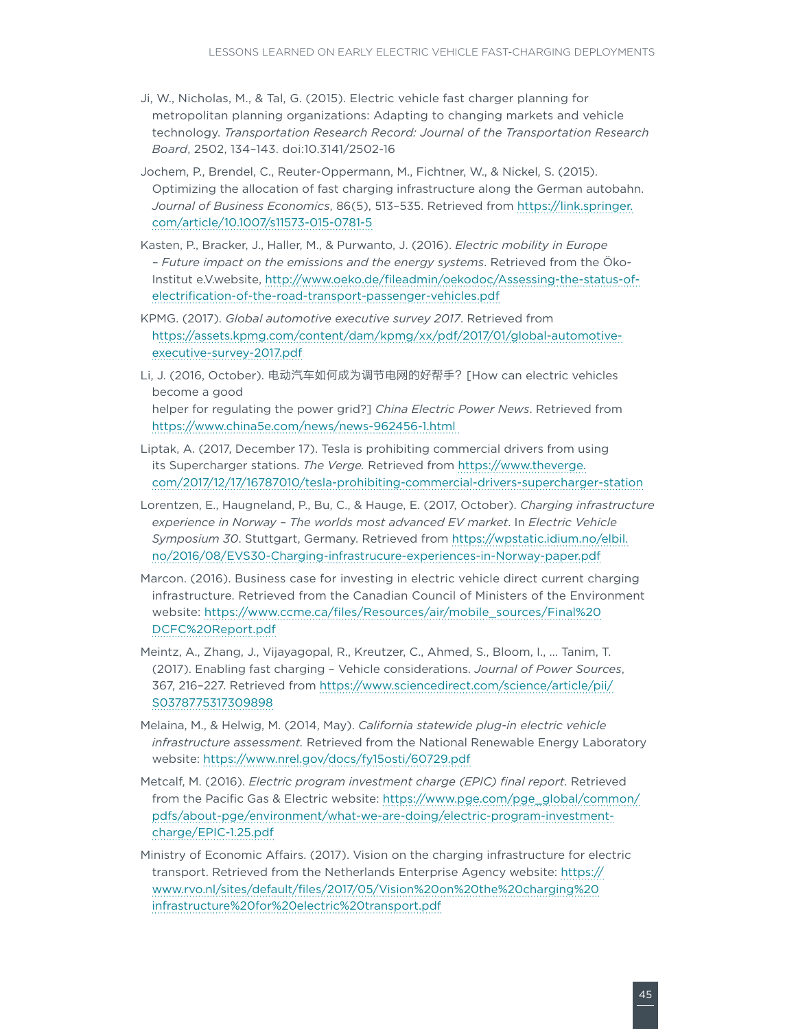- Ji, W., Nicholas, M., & Tal, G. (2015). Electric vehicle fast charger planning for metropolitan planning organizations: Adapting to changing markets and vehicle technology. *Transportation Research Record: Journal of the Transportation Research Board*, 2502, 134–143. doi:10.3141/2502-16
- Jochem, P., Brendel, C., Reuter-Oppermann, M., Fichtner, W., & Nickel, S. (2015). Optimizing the allocation of fast charging infrastructure along the German autobahn. *Journal of Business Economics*, 86(5), 513–535. Retrieved from [https://link.springer.](https://link.springer.com/article/10.1007/s11573-015-0781-5) [com/article/10.1007/s11573-015-0781-5](https://link.springer.com/article/10.1007/s11573-015-0781-5)
- Kasten, P., Bracker, J., Haller, M., & Purwanto, J. (2016). *Electric mobility in Europe – Future impact on the emissions and the energy systems*. Retrieved from the Öko-Institut e.V.website, [http://www.oeko.de/fileadmin/oekodoc/Assessing-the-status-of](http://www.oeko.de/fileadmin/oekodoc/Assessing-the-status-of-electrification-of-the-road-transport-passenger-vehicles.pdf)[electrification-of-the-road-transport-passenger-vehicles.pdf](http://www.oeko.de/fileadmin/oekodoc/Assessing-the-status-of-electrification-of-the-road-transport-passenger-vehicles.pdf)
- KPMG. (2017). *Global automotive executive survey 2017*. Retrieved from [https://assets.kpmg.com/content/dam/kpmg/xx/pdf/2017/01/global-automotive](https://assets.kpmg.com/content/dam/kpmg/xx/pdf/2017/01/global-automotive-executive-survey-2017.pdf)[executive-survey-2017.pdf](https://assets.kpmg.com/content/dam/kpmg/xx/pdf/2017/01/global-automotive-executive-survey-2017.pdf)
- Li, J. (2016, October). 电动汽车如何成为调节电网的好帮手?[How can electric vehicles become a good helper for regulating the power grid?] *China Electric Power News*. Retrieved from <https://www.china5e.com/news/news-962456-1.html>
- Liptak, A. (2017, December 17). Tesla is prohibiting commercial drivers from using its Supercharger stations. *The Verge.* Retrieved from [https://www.theverge.](https://www.theverge.com/2017/12/17/16787010/tesla-prohibiting-commercial-drivers-supercharger-station) [com/2017/12/17/16787010/tesla-prohibiting-commercial-drivers-supercharger-station](https://www.theverge.com/2017/12/17/16787010/tesla-prohibiting-commercial-drivers-supercharger-station)
- Lorentzen, E., Haugneland, P., Bu, C., & Hauge, E. (2017, October). *Charging infrastructure experience in Norway – The worlds most advanced EV market*. In *Electric Vehicle Symposium 30*. Stuttgart, Germany. Retrieved from [https://wpstatic.idium.no/elbil.](https://wpstatic.idium.no/elbil.no/2016/08/EVS30-Charging-infrastrucure-experiences-in-Norway-paper.pdf) [no/2016/08/EVS30-Charging-infrastrucure-experiences-in-Norway-paper.pdf](https://wpstatic.idium.no/elbil.no/2016/08/EVS30-Charging-infrastrucure-experiences-in-Norway-paper.pdf)
- Marcon. (2016). Business case for investing in electric vehicle direct current charging infrastructure. Retrieved from the Canadian Council of Ministers of the Environment website: [https://www.ccme.ca/files/Resources/air/mobile\\_sources/Final%20](https://www.ccme.ca/files/Resources/air/mobile_sources/Final DCFC Report.pdf) [DCFC%20Report.pdf](https://www.ccme.ca/files/Resources/air/mobile_sources/Final DCFC Report.pdf)
- Meintz, A., Zhang, J., Vijayagopal, R., Kreutzer, C., Ahmed, S., Bloom, I., … Tanim, T. (2017). Enabling fast charging – Vehicle considerations. *Journal of Power Sources*, 367, 216–227. Retrieved from [https://www.sciencedirect.com/science/article/pii/](https://www.sciencedirect.com/science/article/pii/S0378775317309898) [S0378775317309898](https://www.sciencedirect.com/science/article/pii/S0378775317309898)
- Melaina, M., & Helwig, M. (2014, May). *California statewide plug-in electric vehicle infrastructure assessment.* Retrieved from the National Renewable Energy Laboratory website:<https://www.nrel.gov/docs/fy15osti/60729.pdf>
- Metcalf, M. (2016). *Electric program investment charge (EPIC) final report*. Retrieved from the Pacific Gas & Electric website: [https://www.pge.com/pge\\_global/common/](https://www.pge.com/pge_global/common/pdfs/about-pge/environment/what-we-are-doing/electric-program-investment-charge/EPIC-1.25.pdf) [pdfs/about-pge/environment/what-we-are-doing/electric-program-investment](https://www.pge.com/pge_global/common/pdfs/about-pge/environment/what-we-are-doing/electric-program-investment-charge/EPIC-1.25.pdf)[charge/EPIC-1.25.pdf](https://www.pge.com/pge_global/common/pdfs/about-pge/environment/what-we-are-doing/electric-program-investment-charge/EPIC-1.25.pdf)
- Ministry of Economic Affairs. (2017). Vision on the charging infrastructure for electric transport. Retrieved from the Netherlands Enterprise Agency website: [https://](https://www.rvo.nl/sites/default/files/2017/05/Vision on the charging infrastructure for electric transport.pdf) [www.rvo.nl/sites/default/files/2017/05/Vision%20on%20the%20charging%20](https://www.rvo.nl/sites/default/files/2017/05/Vision on the charging infrastructure for electric transport.pdf) [infrastructure%20for%20electric%20transport.pdf](https://www.rvo.nl/sites/default/files/2017/05/Vision on the charging infrastructure for electric transport.pdf)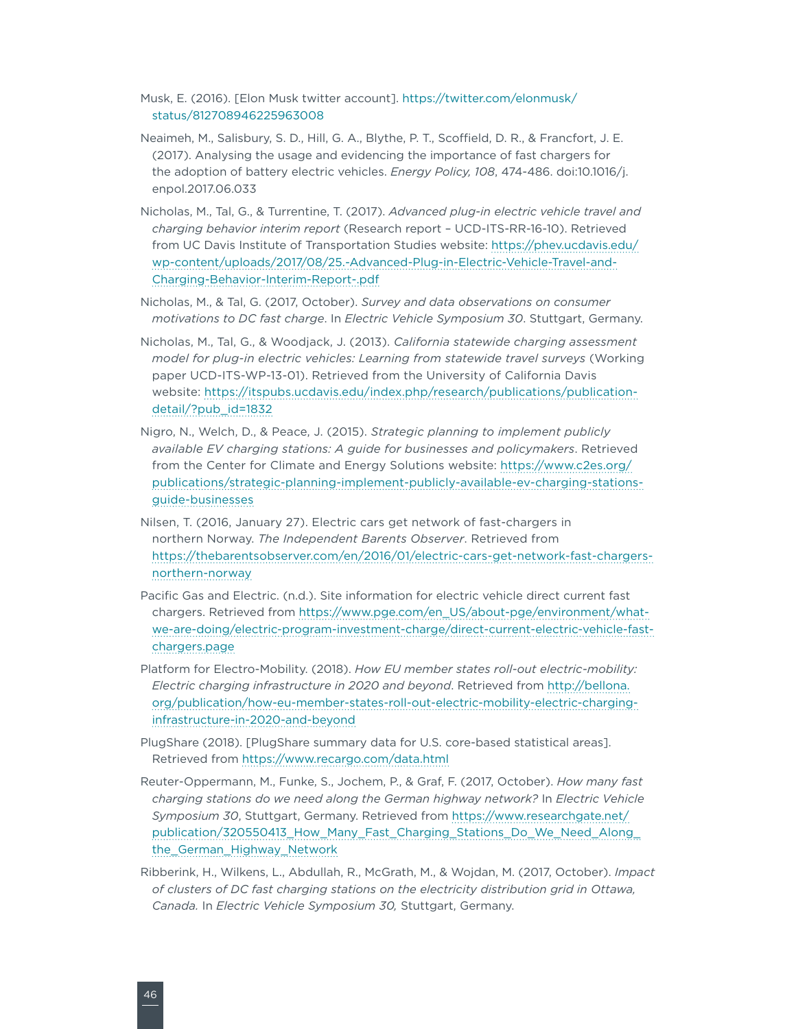Musk, E. (2016). [Elon Musk twitter account]. [https://twitter.com/elonmusk/](https://twitter.com/elonmusk/status/812708946225963008) [status/812708946225963008](https://twitter.com/elonmusk/status/812708946225963008)

- Neaimeh, M., Salisbury, S. D., Hill, G. A., Blythe, P. T., Scoffield, D. R., & Francfort, J. E. (2017). Analysing the usage and evidencing the importance of fast chargers for the adoption of battery electric vehicles. *Energy Policy, 108*, 474-486. doi:10.1016/j. enpol.2017.06.033
- Nicholas, M., Tal, G., & Turrentine, T. (2017). *Advanced plug-in electric vehicle travel and charging behavior interim report* (Research report – UCD-ITS-RR-16-10). Retrieved from UC Davis Institute of Transportation Studies website: [https://phev.ucdavis.edu/](https://phev.ucdavis.edu/wp-content/uploads/2017/08/25.-Advanced-Plug-in-Electric-Vehicle-Travel-and-Charging-Behavior-Interim-Report-.pdf) [wp-content/uploads/2017/08/25.-Advanced-Plug-in-Electric-Vehicle-Travel-and-](https://phev.ucdavis.edu/wp-content/uploads/2017/08/25.-Advanced-Plug-in-Electric-Vehicle-Travel-and-Charging-Behavior-Interim-Report-.pdf)[Charging-Behavior-Interim-Report-.pdf](https://phev.ucdavis.edu/wp-content/uploads/2017/08/25.-Advanced-Plug-in-Electric-Vehicle-Travel-and-Charging-Behavior-Interim-Report-.pdf)
- Nicholas, M., & Tal, G. (2017, October). *Survey and data observations on consumer motivations to DC fast charge*. In *Electric Vehicle Symposium 30*. Stuttgart, Germany.
- Nicholas, M., Tal, G., & Woodjack, J. (2013). *California statewide charging assessment model for plug-in electric vehicles: Learning from statewide travel surveys* (Working paper UCD-ITS-WP-13-01). Retrieved from the University of California Davis website: [https://itspubs.ucdavis.edu/index.php/research/publications/publication](https://itspubs.ucdavis.edu/index.php/research/publications/publication-detail/?pub_id=1832)[detail/?pub\\_id=1832](https://itspubs.ucdavis.edu/index.php/research/publications/publication-detail/?pub_id=1832)
- Nigro, N., Welch, D., & Peace, J. (2015). *Strategic planning to implement publicly available EV charging stations: A guide for businesses and policymakers*. Retrieved from the Center for Climate and Energy Solutions website: [https://www.c2es.org/](https://www.c2es.org/publications/strategic-planning-implement-publicly-available-ev-charging-stations-guide-businesses) [publications/strategic-planning-implement-publicly-available-ev-charging-stations](https://www.c2es.org/publications/strategic-planning-implement-publicly-available-ev-charging-stations-guide-businesses)[guide-businesses](https://www.c2es.org/publications/strategic-planning-implement-publicly-available-ev-charging-stations-guide-businesses)
- Nilsen, T. (2016, January 27). Electric cars get network of fast-chargers in northern Norway. *The Independent Barents Observer*. Retrieved from [https://thebarentsobserver.com/en/2016/01/electric-cars-get-network-fast-chargers](https://thebarentsobserver.com/en/2016/01/electric-cars-get-network-fast-chargers-northern-norway)[northern-norway](https://thebarentsobserver.com/en/2016/01/electric-cars-get-network-fast-chargers-northern-norway)
- Pacific Gas and Electric. (n.d.). Site information for electric vehicle direct current fast chargers. Retrieved from [https://www.pge.com/en\\_US/about-pge/environment/what](https://www.pge.com/en_US/about-pge/environment/what-we-are-doing/electric-program-investment-charge/direct-current-electric-vehicle-fast-chargers.page)[we-are-doing/electric-program-investment-charge/direct-current-electric-vehicle-fast](https://www.pge.com/en_US/about-pge/environment/what-we-are-doing/electric-program-investment-charge/direct-current-electric-vehicle-fast-chargers.page)[chargers.page](https://www.pge.com/en_US/about-pge/environment/what-we-are-doing/electric-program-investment-charge/direct-current-electric-vehicle-fast-chargers.page)
- Platform for Electro-Mobility. (2018). *How EU member states roll-out electric-mobility: Electric charging infrastructure in 2020 and beyond*. Retrieved from [http://bellona.](http://bellona.org/publication/how-eu-member-states-roll-out-electric-mobility-electric-charging-infrastructure-in-2020-and-beyond) [org/publication/how-eu-member-states-roll-out-electric-mobility-electric-charging](http://bellona.org/publication/how-eu-member-states-roll-out-electric-mobility-electric-charging-infrastructure-in-2020-and-beyond)[infrastructure-in-2020-and-beyond](http://bellona.org/publication/how-eu-member-states-roll-out-electric-mobility-electric-charging-infrastructure-in-2020-and-beyond)
- PlugShare (2018). [PlugShare summary data for U.S. core-based statistical areas]. Retrieved from https://www.recargo.com/data.html
- Reuter-Oppermann, M., Funke, S., Jochem, P., & Graf, F. (2017, October). *How many fast charging stations do we need along the German highway network?* In *Electric Vehicle Symposium 30*, Stuttgart, Germany. Retrieved from [https://www.researchgate.net/](https://www.researchgate.net/publication/320550413_How_Many_Fast_Charging_Stations_Do_We_Need_Along_the_German_Highway_Network) [publication/320550413\\_How\\_Many\\_Fast\\_Charging\\_Stations\\_Do\\_We\\_Need\\_Along\\_](https://www.researchgate.net/publication/320550413_How_Many_Fast_Charging_Stations_Do_We_Need_Along_the_German_Highway_Network) [the\\_German\\_Highway\\_Network](https://www.researchgate.net/publication/320550413_How_Many_Fast_Charging_Stations_Do_We_Need_Along_the_German_Highway_Network)
- Ribberink, H., Wilkens, L., Abdullah, R., McGrath, M., & Wojdan, M. (2017, October). *Impact of clusters of DC fast charging stations on the electricity distribution grid in Ottawa, Canada.* In *Electric Vehicle Symposium 30,* Stuttgart, Germany.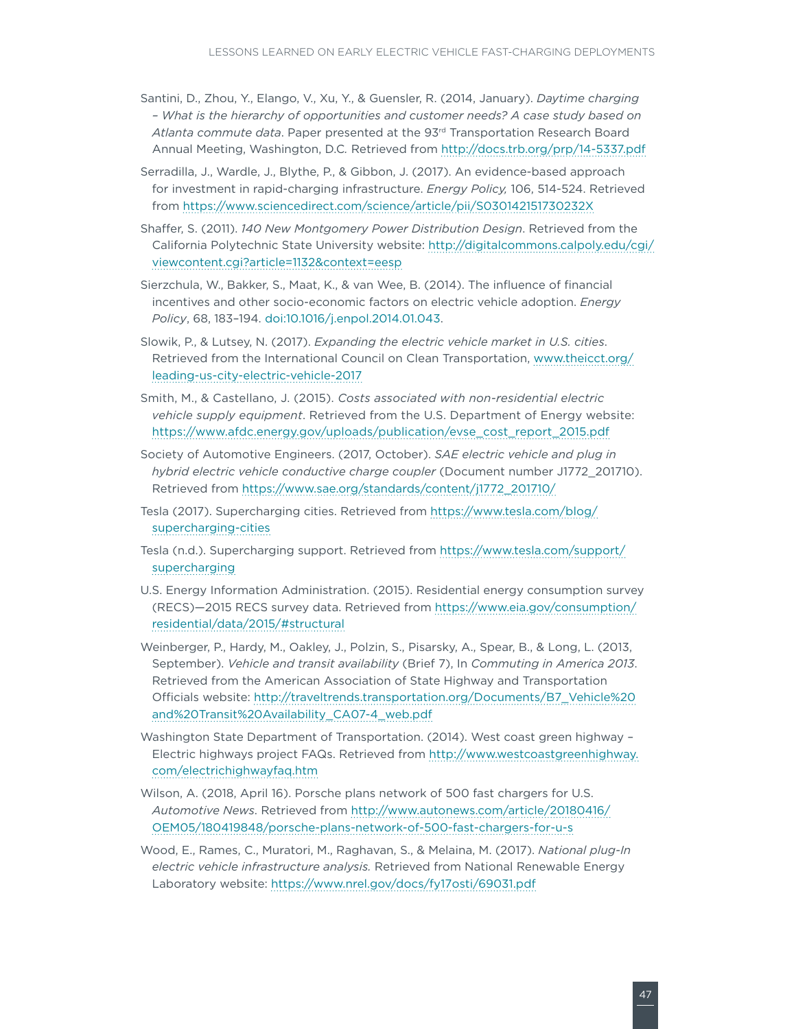- Santini, D., Zhou, Y., Elango, V., Xu, Y., & Guensler, R. (2014, January). *Daytime charging – What is the hierarchy of opportunities and customer needs? A case study based on Atlanta commute data*. Paper presented at the 93rd Transportation Research Board Annual Meeting, Washington, D.C*.* Retrieved from <http://docs.trb.org/prp/14-5337.pdf>
- Serradilla, J., Wardle, J., Blythe, P., & Gibbon, J. (2017). An evidence-based approach for investment in rapid-charging infrastructure. *Energy Policy,* 106, 514-524. Retrieved from <https://www.sciencedirect.com/science/article/pii/S030142151730232X>
- Shaffer, S. (2011). *140 New Montgomery Power Distribution Design*. Retrieved from the California Polytechnic State University website: [http://digitalcommons.calpoly.edu/cgi/](http://digitalcommons.calpoly.edu/cgi/viewcontent.cgi?article=1132&context=eesp) [viewcontent.cgi?article=1132&context=eesp](http://digitalcommons.calpoly.edu/cgi/viewcontent.cgi?article=1132&context=eesp)
- Sierzchula, W., Bakker, S., Maat, K., & van Wee, B. (2014). The influence of financial incentives and other socio-economic factors on electric vehicle adoption. *Energy Policy*, 68, 183–194. [doi:10.1016/j.enpol.2014.01.043.](https://doi.org/10.1016/j.enpol.2014.01.043)
- Slowik, P., & Lutsey, N. (2017). *Expanding the electric vehicle market in U.S. cities*. Retrieved from the International Council on Clean Transportation, [www.theicct.org/](http://www.theicct.org/leading-us-city-electric-vehicle-2017) [leading-us-city-electric-vehicle-2017](http://www.theicct.org/leading-us-city-electric-vehicle-2017)
- Smith, M., & Castellano, J. (2015). *Costs associated with non-residential electric vehicle supply equipment*. Retrieved from the U.S. Department of Energy website: [https://www.afdc.energy.gov/uploads/publication/evse\\_cost\\_report\\_2015.pdf](https://www.afdc.energy.gov/uploads/publication/evse_cost_report_2015.pdf)
- Society of Automotive Engineers. (2017, October). *SAE electric vehicle and plug in hybrid electric vehicle conductive charge coupler* (Document number J1772\_201710). Retrieved from [https://www.sae.org/standards/content/j1772\\_201710/](https://www.sae.org/standards/content/j1772_201710/)
- Tesla (2017). Supercharging cities. Retrieved from [https://www.tesla.com/blog/](https://www.tesla.com/blog/supercharging-cities) [supercharging-cities](https://www.tesla.com/blog/supercharging-cities)
- Tesla (n.d.). Supercharging support. Retrieved from [https://www.tesla.com/support/](https://www.tesla.com/support/supercharging) [supercharging](https://www.tesla.com/support/supercharging)
- U.S. Energy Information Administration. (2015). Residential energy consumption survey (RECS)—2015 RECS survey data. Retrieved from [https://www.eia.gov/consumption/](https://www.eia.gov/consumption/residential/data/2015/#structural) [residential/data/2015/#structural](https://www.eia.gov/consumption/residential/data/2015/#structural)
- Weinberger, P., Hardy, M., Oakley, J., Polzin, S., Pisarsky, A., Spear, B., & Long, L. (2013, September). *Vehicle and transit availability* (Brief 7), In *Commuting in America 2013*. Retrieved from the American Association of State Highway and Transportation Officials website: [http://traveltrends.transportation.org/Documents/B7\\_Vehicle%20](http://traveltrends.transportation.org/Documents/B7_Vehicle and Transit Availability_CA07-4_web.pdf) [and%20Transit%20Availability\\_CA07-4\\_web.pdf](http://traveltrends.transportation.org/Documents/B7_Vehicle and Transit Availability_CA07-4_web.pdf)
- Washington State Department of Transportation. (2014). West coast green highway Electric highways project FAQs. Retrieved from [http://www.westcoastgreenhighway.](http://www.westcoastgreenhighway.com/electrichighwayfaq.htm) [com/electrichighwayfaq.htm](http://www.westcoastgreenhighway.com/electrichighwayfaq.htm)
- Wilson, A. (2018, April 16). Porsche plans network of 500 fast chargers for U.S. *Automotive News*. Retrieved from [http://www.autonews.com/article/20180416/](http://www.autonews.com/article/20180416/OEM05/180419848/porsche-plans-network-of-500-fast-chargers-for-u-s) [OEM05/180419848/porsche-plans-network-of-500-fast-chargers-for-u-s](http://www.autonews.com/article/20180416/OEM05/180419848/porsche-plans-network-of-500-fast-chargers-for-u-s)
- Wood, E., Rames, C., Muratori, M., Raghavan, S., & Melaina, M. (2017). *National plug-In electric vehicle infrastructure analysis.* Retrieved from National Renewable Energy Laboratory website: <https://www.nrel.gov/docs/fy17osti/69031.pdf>